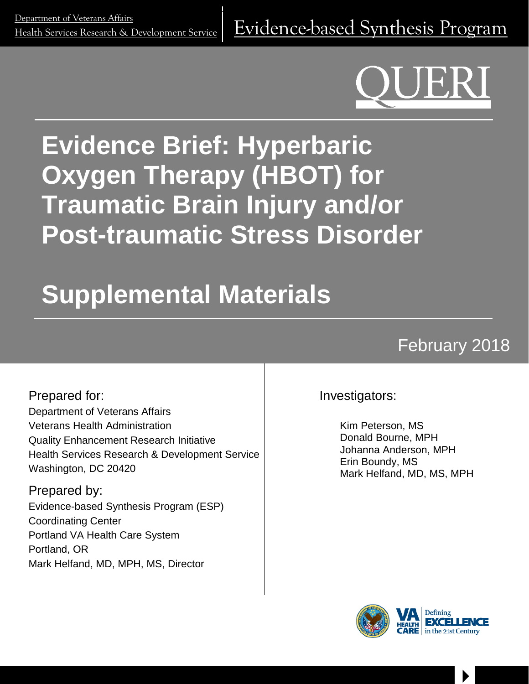<u>Department of veteralis Analis</u><br>[Health Services Research & Development Service](http://www.hsrd.research.va.gov/) |  $\ket{\text{Evidence-based Synthesis Program}}$  $\ket{\text{Evidence-based Synthesis Program}}$  $\ket{\text{Evidence-based Synthesis Program}}$ 

# **Evidence Brief: Hyperbaric Oxygen Therapy (HBOT) for Traumatic Brain Injury and/or Post-traumatic Stress Disorder**

# **Supplemental Materials**

# February 2018

Prepared for: Department of Veterans Affairs Veterans Health Administration Quality Enhancement Research Initiative Health Services Research & Development Service Washington, DC 20420

Prepared by: Evidence-based Synthesis Program (ESP) Coordinating Center Portland VA Health Care System Portland, OR Mark Helfand, MD, MPH, MS, Director

Investigators:

Kim Peterson, MS Donald Bourne, MPH Johanna Anderson, MPH Erin Boundy, MS Mark Helfand, MD, MS, MPH



 $\begin{array}{c} \hline \end{array}$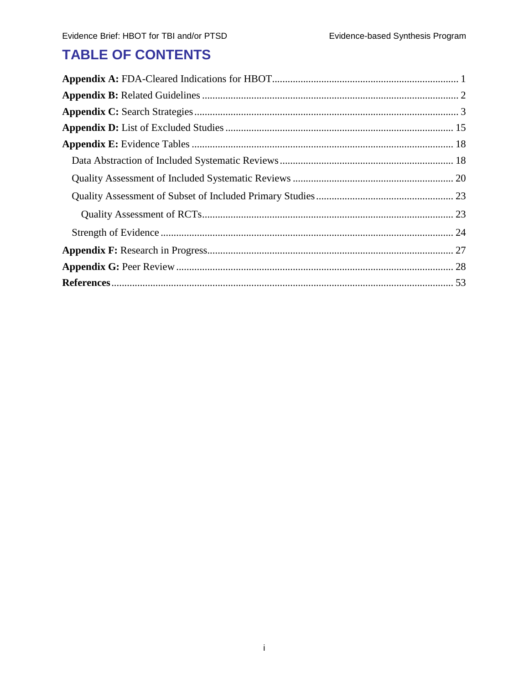# **TABLE OF CONTENTS**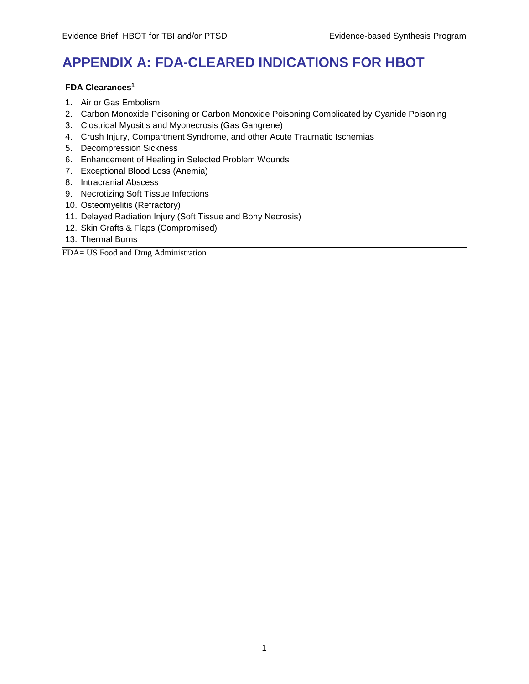# <span id="page-2-0"></span>**APPENDIX A: FDA-CLEARED INDICATIONS FOR HBOT**

#### **FDA Clearance[s1](#page-56-1)**

- 1. Air or Gas Embolism
- 2. Carbon Monoxide Poisoning or Carbon Monoxide Poisoning Complicated by Cyanide Poisoning
- 3. Clostridal Myositis and Myonecrosis (Gas Gangrene)
- 4. Crush Injury, Compartment Syndrome, and other Acute Traumatic Ischemias
- 5. Decompression Sickness
- 6. Enhancement of Healing in Selected Problem Wounds
- 7. Exceptional Blood Loss (Anemia)
- 8. Intracranial Abscess
- 9. Necrotizing Soft Tissue Infections
- 10. Osteomyelitis (Refractory)
- 11. Delayed Radiation Injury (Soft Tissue and Bony Necrosis)
- 12. Skin Grafts & Flaps (Compromised)
- 13. Thermal Burns

FDA= US Food and Drug Administration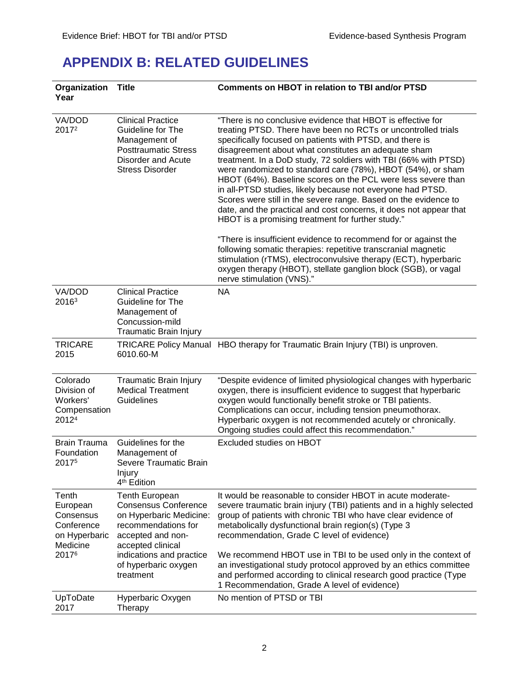### <span id="page-3-0"></span>**APPENDIX B: RELATED GUIDELINES**

| Organization<br>Year                                                               | <b>Title</b>                                                                                                                                                                                                      | <b>Comments on HBOT in relation to TBI and/or PTSD</b>                                                                                                                                                                                                                                                                                                                                                                                                                                                                                                                                                                                                                                                                                                                                                                                                                                                                                                                                  |
|------------------------------------------------------------------------------------|-------------------------------------------------------------------------------------------------------------------------------------------------------------------------------------------------------------------|-----------------------------------------------------------------------------------------------------------------------------------------------------------------------------------------------------------------------------------------------------------------------------------------------------------------------------------------------------------------------------------------------------------------------------------------------------------------------------------------------------------------------------------------------------------------------------------------------------------------------------------------------------------------------------------------------------------------------------------------------------------------------------------------------------------------------------------------------------------------------------------------------------------------------------------------------------------------------------------------|
| VA/DOD<br>2017 <sup>2</sup>                                                        | <b>Clinical Practice</b><br>Guideline for The<br>Management of<br><b>Posttraumatic Stress</b><br><b>Disorder and Acute</b><br><b>Stress Disorder</b>                                                              | "There is no conclusive evidence that HBOT is effective for<br>treating PTSD. There have been no RCTs or uncontrolled trials<br>specifically focused on patients with PTSD, and there is<br>disagreement about what constitutes an adequate sham<br>treatment. In a DoD study, 72 soldiers with TBI (66% with PTSD)<br>were randomized to standard care (78%), HBOT (54%), or sham<br>HBOT (64%). Baseline scores on the PCL were less severe than<br>in all-PTSD studies, likely because not everyone had PTSD.<br>Scores were still in the severe range. Based on the evidence to<br>date, and the practical and cost concerns, it does not appear that<br>HBOT is a promising treatment for further study."<br>"There is insufficient evidence to recommend for or against the<br>following somatic therapies: repetitive transcranial magnetic<br>stimulation (rTMS), electroconvulsive therapy (ECT), hyperbaric<br>oxygen therapy (HBOT), stellate ganglion block (SGB), or vagal |
| VA/DOD<br>20163                                                                    | <b>Clinical Practice</b><br>Guideline for The<br>Management of<br>Concussion-mild<br><b>Traumatic Brain Injury</b>                                                                                                | nerve stimulation (VNS)."<br><b>NA</b>                                                                                                                                                                                                                                                                                                                                                                                                                                                                                                                                                                                                                                                                                                                                                                                                                                                                                                                                                  |
| <b>TRICARE</b><br>2015                                                             | 6010.60-M                                                                                                                                                                                                         | TRICARE Policy Manual HBO therapy for Traumatic Brain Injury (TBI) is unproven.                                                                                                                                                                                                                                                                                                                                                                                                                                                                                                                                                                                                                                                                                                                                                                                                                                                                                                         |
| Colorado<br>Division of<br>Workers'<br>Compensation<br>2012 <sup>4</sup>           | Traumatic Brain Injury<br><b>Medical Treatment</b><br>Guidelines                                                                                                                                                  | "Despite evidence of limited physiological changes with hyperbaric<br>oxygen, there is insufficient evidence to suggest that hyperbaric<br>oxygen would functionally benefit stroke or TBI patients.<br>Complications can occur, including tension pneumothorax.<br>Hyperbaric oxygen is not recommended acutely or chronically.<br>Ongoing studies could affect this recommendation."                                                                                                                                                                                                                                                                                                                                                                                                                                                                                                                                                                                                  |
| <b>Brain Trauma</b><br>Foundation<br>20175                                         | Guidelines for the<br>Management of<br>Severe Traumatic Brain<br>Injury<br>4 <sup>th</sup> Edition                                                                                                                | Excluded studies on HBOT                                                                                                                                                                                                                                                                                                                                                                                                                                                                                                                                                                                                                                                                                                                                                                                                                                                                                                                                                                |
| Tenth<br>European<br>Consensus<br>Conference<br>on Hyperbaric<br>Medicine<br>20176 | <b>Tenth European</b><br><b>Consensus Conference</b><br>on Hyperbaric Medicine:<br>recommendations for<br>accepted and non-<br>accepted clinical<br>indications and practice<br>of hyperbaric oxygen<br>treatment | It would be reasonable to consider HBOT in acute moderate-<br>severe traumatic brain injury (TBI) patients and in a highly selected<br>group of patients with chronic TBI who have clear evidence of<br>metabolically dysfunctional brain region(s) (Type 3<br>recommendation, Grade C level of evidence)<br>We recommend HBOT use in TBI to be used only in the context of<br>an investigational study protocol approved by an ethics committee<br>and performed according to clinical research good practice (Type<br>1 Recommendation, Grade A level of evidence)                                                                                                                                                                                                                                                                                                                                                                                                                    |
| UpToDate<br>2017                                                                   | Hyperbaric Oxygen<br>Therapy                                                                                                                                                                                      | No mention of PTSD or TBI                                                                                                                                                                                                                                                                                                                                                                                                                                                                                                                                                                                                                                                                                                                                                                                                                                                                                                                                                               |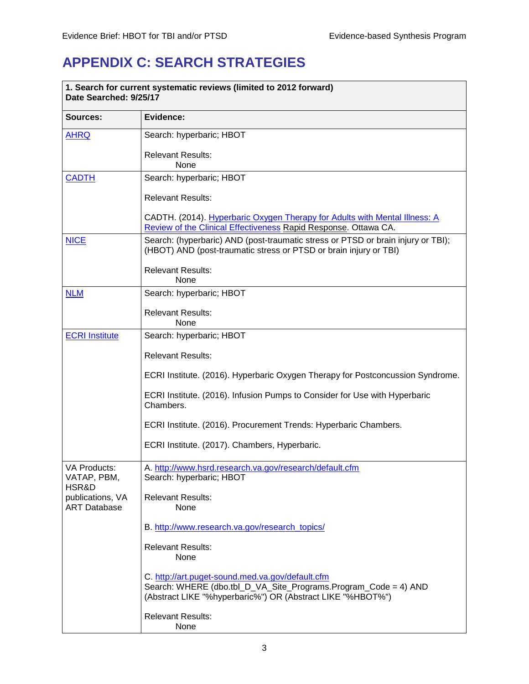# <span id="page-4-0"></span>**APPENDIX C: SEARCH STRATEGIES**

| 1. Search for current systematic reviews (limited to 2012 forward)<br>Date Searched: 9/25/17 |                                                                                                                                                                                   |  |
|----------------------------------------------------------------------------------------------|-----------------------------------------------------------------------------------------------------------------------------------------------------------------------------------|--|
| Sources:                                                                                     | Evidence:                                                                                                                                                                         |  |
| <b>AHRQ</b>                                                                                  | Search: hyperbaric; HBOT                                                                                                                                                          |  |
|                                                                                              | <b>Relevant Results:</b><br>None                                                                                                                                                  |  |
| <b>CADTH</b>                                                                                 | Search: hyperbaric; HBOT                                                                                                                                                          |  |
|                                                                                              | <b>Relevant Results:</b>                                                                                                                                                          |  |
|                                                                                              | CADTH. (2014). Hyperbaric Oxygen Therapy for Adults with Mental Illness: A<br>Review of the Clinical Effectiveness Rapid Response. Ottawa CA.                                     |  |
| <b>NICE</b>                                                                                  | Search: (hyperbaric) AND (post-traumatic stress or PTSD or brain injury or TBI);<br>(HBOT) AND (post-traumatic stress or PTSD or brain injury or TBI)                             |  |
|                                                                                              | <b>Relevant Results:</b><br>None                                                                                                                                                  |  |
| <b>NLM</b>                                                                                   | Search: hyperbaric; HBOT                                                                                                                                                          |  |
|                                                                                              | <b>Relevant Results:</b><br>None                                                                                                                                                  |  |
| <b>ECRI Institute</b>                                                                        | Search: hyperbaric; HBOT                                                                                                                                                          |  |
|                                                                                              | <b>Relevant Results:</b>                                                                                                                                                          |  |
|                                                                                              | ECRI Institute. (2016). Hyperbaric Oxygen Therapy for Postconcussion Syndrome.                                                                                                    |  |
|                                                                                              | ECRI Institute. (2016). Infusion Pumps to Consider for Use with Hyperbaric<br>Chambers.                                                                                           |  |
|                                                                                              | ECRI Institute. (2016). Procurement Trends: Hyperbaric Chambers.                                                                                                                  |  |
|                                                                                              | ECRI Institute. (2017). Chambers, Hyperbaric.                                                                                                                                     |  |
| VA Products:<br>VATAP, PBM,                                                                  | A. http://www.hsrd.research.va.gov/research/default.cfm<br>Search: hyperbaric; HBOT                                                                                               |  |
| HSR&D<br>publications, VA<br><b>ART Database</b>                                             | <b>Relevant Results:</b><br>None                                                                                                                                                  |  |
|                                                                                              | B. http://www.research.va.gov/research_topics/                                                                                                                                    |  |
|                                                                                              | <b>Relevant Results:</b><br>None                                                                                                                                                  |  |
|                                                                                              | C. http://art.puget-sound.med.va.gov/default.cfm<br>Search: WHERE (dbo.tbl_D_VA_Site_Programs.Program_Code = 4) AND<br>(Abstract LIKE "%hyperbaric%") OR (Abstract LIKE "%HBOT%") |  |
|                                                                                              | <b>Relevant Results:</b><br>None                                                                                                                                                  |  |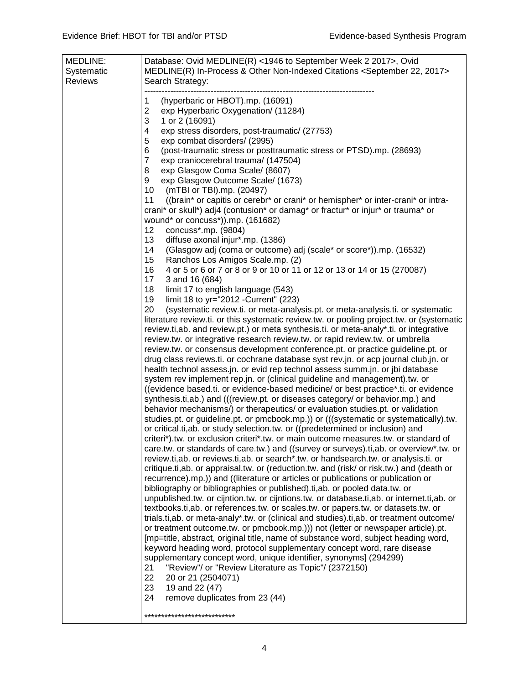| MEDLINE:   | Database: Ovid MEDLINE(R) <1946 to September Week 2 2017>, Ovid                            |
|------------|--------------------------------------------------------------------------------------------|
| Systematic | MEDLINE(R) In-Process & Other Non-Indexed Citations <september 2017="" 22,=""></september> |
|            |                                                                                            |
| Reviews    | Search Strategy:                                                                           |
|            |                                                                                            |
|            | (hyperbaric or HBOT).mp. (16091)<br>1                                                      |
|            | $\overline{2}$<br>exp Hyperbaric Oxygenation/ (11284)                                      |
|            | 3<br>1 or 2 (16091)                                                                        |
|            | 4<br>exp stress disorders, post-traumatic/ (27753)                                         |
|            | 5<br>exp combat disorders/ (2995)                                                          |
|            | 6<br>(post-traumatic stress or posttraumatic stress or PTSD).mp. (28693)                   |
|            | $\overline{7}$<br>exp craniocerebral trauma/ (147504)                                      |
|            | 8<br>exp Glasgow Coma Scale/ (8607)                                                        |
|            | exp Glasgow Outcome Scale/ (1673)<br>9                                                     |
|            | 10<br>(mTBI or TBI).mp. (20497)                                                            |
|            | ((brain* or capitis or cerebr* or crani* or hemispher* or inter-crani* or intra-<br>11     |
|            |                                                                                            |
|            | crani* or skull*) adj4 (contusion* or damag* or fractur* or injur* or trauma* or           |
|            | wound* or concuss*)).mp. (161682)                                                          |
|            | 12<br>concuss*.mp. (9804)                                                                  |
|            | 13<br>diffuse axonal injur*.mp. (1386)                                                     |
|            | 14<br>(Glasgow adj (coma or outcome) adj (scale* or score*)).mp. (16532)                   |
|            | 15<br>Ranchos Los Amigos Scale.mp. (2)                                                     |
|            | 16<br>4 or 5 or 6 or 7 or 8 or 9 or 10 or 11 or 12 or 13 or 14 or 15 (270087)              |
|            | 17<br>3 and 16 (684)                                                                       |
|            | 18<br>limit 17 to english language (543)                                                   |
|            | 19<br>limit 18 to yr="2012 - Current" (223)                                                |
|            | 20<br>(systematic review.ti. or meta-analysis.pt. or meta-analysis.ti. or systematic       |
|            | literature review.ti. or this systematic review.tw. or pooling project.tw. or (systematic  |
|            | review.ti,ab. and review.pt.) or meta synthesis.ti. or meta-analy*.ti. or integrative      |
|            |                                                                                            |
|            | review.tw. or integrative research review.tw. or rapid review.tw. or umbrella              |
|            | review.tw. or consensus development conference.pt. or practice guideline.pt. or            |
|            | drug class reviews.ti. or cochrane database syst rev.jn. or acp journal club.jn. or        |
|            | health technol assess.jn. or evid rep technol assess summ.jn. or jbi database              |
|            | system rev implement rep.jn. or (clinical guideline and management).tw. or                 |
|            | ((evidence based.ti. or evidence-based medicine/ or best practice*.ti. or evidence         |
|            | synthesis.ti,ab.) and (((review.pt. or diseases category/ or behavior.mp.) and             |
|            | behavior mechanisms/) or therapeutics/ or evaluation studies.pt. or validation             |
|            | studies.pt. or guideline.pt. or pmcbook.mp.)) or (((systematic or systematically).tw.      |
|            | or critical.ti, ab. or study selection.tw. or ((predetermined or inclusion) and            |
|            | criteri*) tw. or exclusion criteri* tw. or main outcome measures tw. or standard of        |
|            | care.tw. or standards of care.tw.) and ((survey or surveys).ti,ab. or overview*.tw. or     |
|            | review.ti,ab. or reviews.ti,ab. or search*.tw. or handsearch.tw. or analysis.ti. or        |
|            | critique.ti,ab. or appraisal.tw. or (reduction.tw. and (risk/ or risk.tw.) and (death or   |
|            | recurrence).mp.)) and ((literature or articles or publications or publication or           |
|            |                                                                                            |
|            | bibliography or bibliographies or published).ti, ab. or pooled data.tw. or                 |
|            | unpublished.tw. or cijntion.tw. or cijntions.tw. or database.ti,ab. or internet.ti,ab. or  |
|            | textbooks.ti,ab. or references.tw. or scales.tw. or papers.tw. or datasets.tw. or          |
|            | trials.ti,ab. or meta-analy*.tw. or (clinical and studies).ti,ab. or treatment outcome/    |
|            | or treatment outcome.tw. or pmcbook.mp.))) not (letter or newspaper article).pt.           |
|            | [mp=title, abstract, original title, name of substance word, subject heading word,         |
|            | keyword heading word, protocol supplementary concept word, rare disease                    |
|            | supplementary concept word, unique identifier, synonyms] (294299)                          |
|            | "Review"/ or "Review Literature as Topic"/ (2372150)<br>21                                 |
|            | 22<br>20 or 21 (2504071)                                                                   |
|            | 23<br>19 and 22 (47)                                                                       |
|            | remove duplicates from 23 (44)<br>24                                                       |
|            |                                                                                            |
|            | ***************************                                                                |
|            |                                                                                            |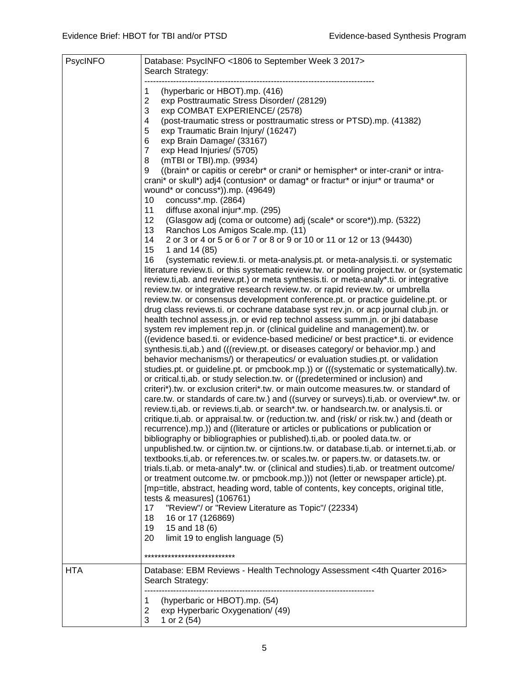| PsycINFO   | Database: PsycINFO <1806 to September Week 3 2017><br>Search Strategy:                                                                                                                                                                                                                                                                                                                                                                                                                                                                                                                                                                                                                                                                                                                                                                                                                                                                                                                                                                                                                                                                                                                                                                                                                                                                                                                                                                                                                                                                                                                                                                                                                                                                                                                                                                                                                                                                                                                                                                                                                                                                                                                                                                                                                                                                                                                                                                                                                                                                                                                                                                                                                                                                                                                                                                                                                                                                                                                                                                                                                                                                                                                                                                   |
|------------|------------------------------------------------------------------------------------------------------------------------------------------------------------------------------------------------------------------------------------------------------------------------------------------------------------------------------------------------------------------------------------------------------------------------------------------------------------------------------------------------------------------------------------------------------------------------------------------------------------------------------------------------------------------------------------------------------------------------------------------------------------------------------------------------------------------------------------------------------------------------------------------------------------------------------------------------------------------------------------------------------------------------------------------------------------------------------------------------------------------------------------------------------------------------------------------------------------------------------------------------------------------------------------------------------------------------------------------------------------------------------------------------------------------------------------------------------------------------------------------------------------------------------------------------------------------------------------------------------------------------------------------------------------------------------------------------------------------------------------------------------------------------------------------------------------------------------------------------------------------------------------------------------------------------------------------------------------------------------------------------------------------------------------------------------------------------------------------------------------------------------------------------------------------------------------------------------------------------------------------------------------------------------------------------------------------------------------------------------------------------------------------------------------------------------------------------------------------------------------------------------------------------------------------------------------------------------------------------------------------------------------------------------------------------------------------------------------------------------------------------------------------------------------------------------------------------------------------------------------------------------------------------------------------------------------------------------------------------------------------------------------------------------------------------------------------------------------------------------------------------------------------------------------------------------------------------------------------------------------------|
|            | (hyperbaric or HBOT).mp. (416)<br>1<br>$\overline{2}$<br>exp Posttraumatic Stress Disorder/ (28129)<br>3<br>exp COMBAT EXPERIENCE/ (2578)<br>4<br>(post-traumatic stress or posttraumatic stress or PTSD).mp. (41382)<br>5<br>exp Traumatic Brain Injury/ (16247)<br>6<br>exp Brain Damage/ (33167)<br>$\overline{7}$<br>exp Head Injuries/ (5705)<br>8<br>(mTBI or TBI).mp. (9934)<br>9<br>((brain* or capitis or cerebr* or crani* or hemispher* or inter-crani* or intra-<br>crani* or skull*) adj4 (contusion* or damag* or fractur* or injur* or trauma* or<br>wound* or concuss*)).mp. (49649)<br>concuss*.mp. (2864)<br>10<br>11<br>diffuse axonal injur*.mp. (295)<br>12<br>(Glasgow adj (coma or outcome) adj (scale* or score*)).mp. (5322)<br>13<br>Ranchos Los Amigos Scale.mp. (11)<br>2 or 3 or 4 or 5 or 6 or 7 or 8 or 9 or 10 or 11 or 12 or 13 (94430)<br>14<br>15<br>1 and 14 (85)<br>16<br>(systematic review.ti. or meta-analysis.pt. or meta-analysis.ti. or systematic<br>literature review.ti. or this systematic review.tw. or pooling project.tw. or (systematic<br>review.ti, ab. and review.pt.) or meta synthesis.ti. or meta-analy*.ti. or integrative<br>review.tw. or integrative research review.tw. or rapid review.tw. or umbrella<br>review.tw. or consensus development conference.pt. or practice guideline.pt. or<br>drug class reviews.ti. or cochrane database syst rev.jn. or acp journal club.jn. or<br>health technol assess.jn. or evid rep technol assess summ.jn. or jbi database<br>system rev implement rep.jn. or (clinical guideline and management).tw. or<br>((evidence based.ti. or evidence-based medicine/ or best practice*.ti. or evidence<br>synthesis.ti,ab.) and (((review.pt. or diseases category/ or behavior.mp.) and<br>behavior mechanisms/) or therapeutics/ or evaluation studies.pt. or validation<br>studies.pt. or guideline.pt. or pmcbook.mp.)) or (((systematic or systematically).tw.<br>or critical.ti, ab. or study selection.tw. or ((predetermined or inclusion) and<br>criteri*).tw. or exclusion criteri*.tw. or main outcome measures.tw. or standard of<br>care.tw. or standards of care.tw.) and ((survey or surveys).ti,ab. or overview*.tw. or<br>review.ti,ab. or reviews.ti,ab. or search*.tw. or handsearch.tw. or analysis.ti. or<br>critique.ti,ab. or appraisal.tw. or (reduction.tw. and (risk/ or risk.tw.) and (death or<br>recurrence).mp.)) and ((literature or articles or publications or publication or<br>bibliography or bibliographies or published).ti, ab. or pooled data.tw. or<br>unpublished.tw. or cijntion.tw. or cijntions.tw. or database.ti,ab. or internet.ti,ab. or<br>textbooks.ti,ab. or references.tw. or scales.tw. or papers.tw. or datasets.tw. or<br>trials.ti,ab. or meta-analy*.tw. or (clinical and studies).ti,ab. or treatment outcome/<br>or treatment outcome.tw. or pmcbook.mp.))) not (letter or newspaper article).pt.<br>[mp=title, abstract, heading word, table of contents, key concepts, original title,<br>tests & measures] (106761)<br>17<br>"Review"/ or "Review Literature as Topic"/ (22334)<br>18<br>16 or 17 (126869)<br>19<br>15 and 18 (6)<br>20<br>limit 19 to english language (5) |
| <b>HTA</b> | ****************************<br>Database: EBM Reviews - Health Technology Assessment <4th Quarter 2016>                                                                                                                                                                                                                                                                                                                                                                                                                                                                                                                                                                                                                                                                                                                                                                                                                                                                                                                                                                                                                                                                                                                                                                                                                                                                                                                                                                                                                                                                                                                                                                                                                                                                                                                                                                                                                                                                                                                                                                                                                                                                                                                                                                                                                                                                                                                                                                                                                                                                                                                                                                                                                                                                                                                                                                                                                                                                                                                                                                                                                                                                                                                                  |
|            | Search Strategy:<br>(hyperbaric or HBOT).mp. (54)<br>1<br>exp Hyperbaric Oxygenation/ (49)<br>2<br>3<br>1 or 2 (54)                                                                                                                                                                                                                                                                                                                                                                                                                                                                                                                                                                                                                                                                                                                                                                                                                                                                                                                                                                                                                                                                                                                                                                                                                                                                                                                                                                                                                                                                                                                                                                                                                                                                                                                                                                                                                                                                                                                                                                                                                                                                                                                                                                                                                                                                                                                                                                                                                                                                                                                                                                                                                                                                                                                                                                                                                                                                                                                                                                                                                                                                                                                      |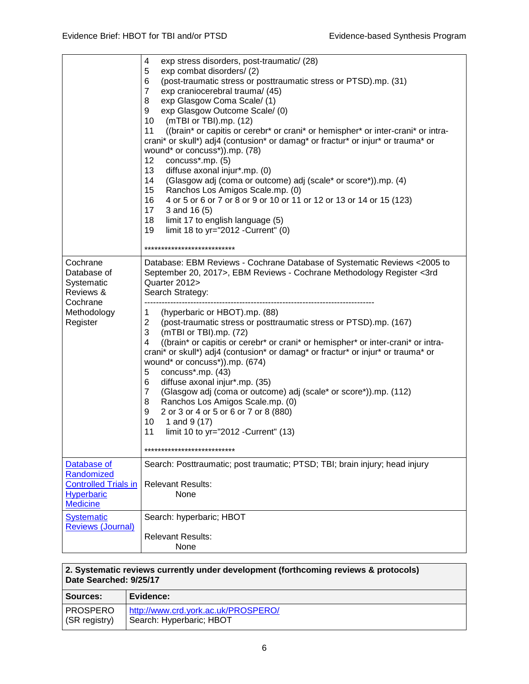|                                                                                                  | 4<br>exp stress disorders, post-traumatic/ (28)<br>exp combat disorders/(2)<br>5<br>6<br>(post-traumatic stress or posttraumatic stress or PTSD).mp. (31)<br>7<br>exp craniocerebral trauma/ (45)<br>exp Glasgow Coma Scale/(1)<br>8<br>exp Glasgow Outcome Scale/ (0)<br>9<br>10<br>(mTBI or TBI).mp. (12)<br>11<br>((brain* or capitis or cerebr* or crani* or hemispher* or inter-crani* or intra-<br>crani* or skull*) adj4 (contusion* or damag* or fractur* or injur* or trauma* or<br>wound* or concuss*)).mp. (78)<br>12<br>concuss*.mp. (5)<br>13<br>diffuse axonal injur*.mp. (0)<br>14<br>(Glasgow adj (coma or outcome) adj (scale* or score*)).mp. (4)<br>15<br>Ranchos Los Amigos Scale.mp. (0)<br>16<br>4 or 5 or 6 or 7 or 8 or 9 or 10 or 11 or 12 or 13 or 14 or 15 (123)<br>17<br>3 and 16 (5)<br>18<br>limit 17 to english language (5)<br>19<br>limit 18 to yr="2012 - Current" (0) |
|--------------------------------------------------------------------------------------------------|----------------------------------------------------------------------------------------------------------------------------------------------------------------------------------------------------------------------------------------------------------------------------------------------------------------------------------------------------------------------------------------------------------------------------------------------------------------------------------------------------------------------------------------------------------------------------------------------------------------------------------------------------------------------------------------------------------------------------------------------------------------------------------------------------------------------------------------------------------------------------------------------------------|
|                                                                                                  | ***************************                                                                                                                                                                                                                                                                                                                                                                                                                                                                                                                                                                                                                                                                                                                                                                                                                                                                              |
| Cochrane<br>Database of<br>Systematic<br>Reviews &<br>Cochrane                                   | Database: EBM Reviews - Cochrane Database of Systematic Reviews < 2005 to<br>September 20, 2017>, EBM Reviews - Cochrane Methodology Register <3rd<br>Quarter 2012><br>Search Strategy:                                                                                                                                                                                                                                                                                                                                                                                                                                                                                                                                                                                                                                                                                                                  |
| Methodology<br>Register                                                                          | (hyperbaric or HBOT).mp. (88)<br>1<br>$\overline{2}$<br>(post-traumatic stress or posttraumatic stress or PTSD).mp. (167)<br>3<br>(mTBI or TBI).mp. (72)<br>((brain* or capitis or cerebr* or crani* or hemispher* or inter-crani* or intra-<br>4<br>crani* or skull*) adj4 (contusion* or damag* or fractur* or injur* or trauma* or<br>wound* or concuss*)).mp. (674)<br>concuss*.mp. (43)<br>5<br>diffuse axonal injur*.mp. (35)<br>6<br>7<br>(Glasgow adj (coma or outcome) adj (scale* or score*)).mp. (112)<br>8<br>Ranchos Los Amigos Scale.mp. (0)<br>2 or 3 or 4 or 5 or 6 or 7 or 8 (880)<br>9<br>10<br>1 and 9 (17)<br>11<br>limit 10 to yr="2012 - Current" (13)<br>**************************                                                                                                                                                                                               |
| Database of<br>Randomized<br><b>Controlled Trials in</b><br><b>Hyperbaric</b><br><b>Medicine</b> | Search: Posttraumatic; post traumatic; PTSD; TBI; brain injury; head injury<br><b>Relevant Results:</b><br>None                                                                                                                                                                                                                                                                                                                                                                                                                                                                                                                                                                                                                                                                                                                                                                                          |
| <b>Systematic</b><br><b>Reviews (Journal)</b>                                                    | Search: hyperbaric; HBOT<br><b>Relevant Results:</b><br>None                                                                                                                                                                                                                                                                                                                                                                                                                                                                                                                                                                                                                                                                                                                                                                                                                                             |

#### **2. Systematic reviews currently under development (forthcoming reviews & protocols) Date Searched: 9/25/17**

| Sources:      | Evidence:                           |
|---------------|-------------------------------------|
| PROSPERO      | http://www.crd.york.ac.uk/PROSPERO/ |
| (SR registry) | Search: Hyperbaric; HBOT            |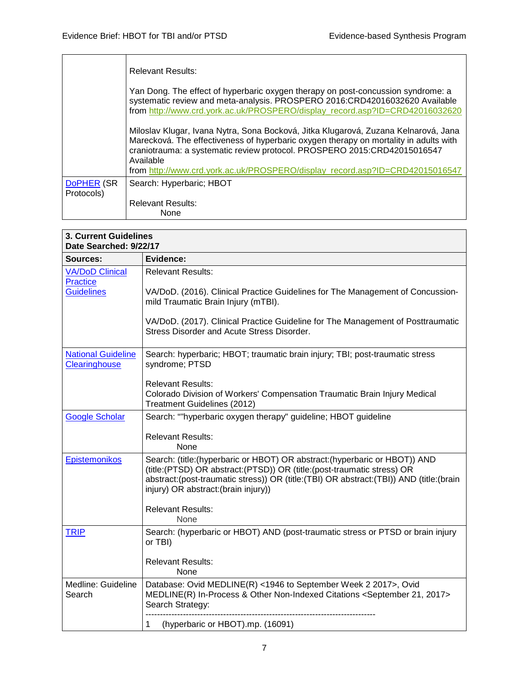|                          | Relevant Results:                                                                                                                                                                                                                                                                                                                                     |
|--------------------------|-------------------------------------------------------------------------------------------------------------------------------------------------------------------------------------------------------------------------------------------------------------------------------------------------------------------------------------------------------|
|                          | Yan Dong. The effect of hyperbaric oxygen therapy on post-concussion syndrome: a<br>systematic review and meta-analysis. PROSPERO 2016:CRD42016032620 Available<br>from http://www.crd.york.ac.uk/PROSPERO/display_record.asp?ID=CRD42016032620                                                                                                       |
|                          | Miloslav Klugar, Ivana Nytra, Sona Bocková, Jitka Klugarová, Zuzana Kelnarová, Jana<br>Marecková. The effectiveness of hyperbaric oxygen therapy on mortality in adults with<br>craniotrauma: a systematic review protocol. PROSPERO 2015:CRD42015016547<br>Available<br>from http://www.crd.york.ac.uk/PROSPERO/display record.asp?ID=CRD42015016547 |
| DoPHER (SR<br>Protocols) | Search: Hyperbaric; HBOT                                                                                                                                                                                                                                                                                                                              |
|                          | <b>Relevant Results:</b><br>None                                                                                                                                                                                                                                                                                                                      |

| <b>3. Current Guidelines</b><br>Date Searched: 9/22/17 |                                                                                                                                                                                                                                                                                         |  |
|--------------------------------------------------------|-----------------------------------------------------------------------------------------------------------------------------------------------------------------------------------------------------------------------------------------------------------------------------------------|--|
| Sources:                                               | Evidence:                                                                                                                                                                                                                                                                               |  |
| <b>VA/DoD Clinical</b><br><b>Practice</b>              | <b>Relevant Results:</b>                                                                                                                                                                                                                                                                |  |
| <b>Guidelines</b>                                      | VA/DoD. (2016). Clinical Practice Guidelines for The Management of Concussion-<br>mild Traumatic Brain Injury (mTBI).                                                                                                                                                                   |  |
|                                                        | VA/DoD. (2017). Clinical Practice Guideline for The Management of Posttraumatic<br>Stress Disorder and Acute Stress Disorder.                                                                                                                                                           |  |
| <b>National Guideline</b><br>Clearinghouse             | Search: hyperbaric; HBOT; traumatic brain injury; TBI; post-traumatic stress<br>syndrome; PTSD                                                                                                                                                                                          |  |
|                                                        | <b>Relevant Results:</b><br>Colorado Division of Workers' Compensation Traumatic Brain Injury Medical<br>Treatment Guidelines (2012)                                                                                                                                                    |  |
| <b>Google Scholar</b>                                  | Search: ""hyperbaric oxygen therapy" guideline; HBOT guideline                                                                                                                                                                                                                          |  |
|                                                        | <b>Relevant Results:</b><br><b>None</b>                                                                                                                                                                                                                                                 |  |
| <b>Epistemonikos</b>                                   | Search: (title: (hyperbaric or HBOT) OR abstract: (hyperbaric or HBOT)) AND<br>(title:(PTSD) OR abstract:(PTSD)) OR (title:(post-traumatic stress) OR<br>abstract:(post-traumatic stress)) OR (title:(TBI) OR abstract:(TBI)) AND (title:(brain<br>injury) OR abstract: (brain injury)) |  |
|                                                        | <b>Relevant Results:</b><br>None                                                                                                                                                                                                                                                        |  |
| <b>TRIP</b>                                            | Search: (hyperbaric or HBOT) AND (post-traumatic stress or PTSD or brain injury<br>or TBI)                                                                                                                                                                                              |  |
|                                                        | <b>Relevant Results:</b><br>None                                                                                                                                                                                                                                                        |  |
| Medline: Guideline<br>Search                           | Database: Ovid MEDLINE(R) <1946 to September Week 2 2017>, Ovid<br>MEDLINE(R) In-Process & Other Non-Indexed Citations <september 2017="" 21,=""><br/>Search Strategy:</september>                                                                                                      |  |
|                                                        | (hyperbaric or HBOT).mp. (16091)<br>1                                                                                                                                                                                                                                                   |  |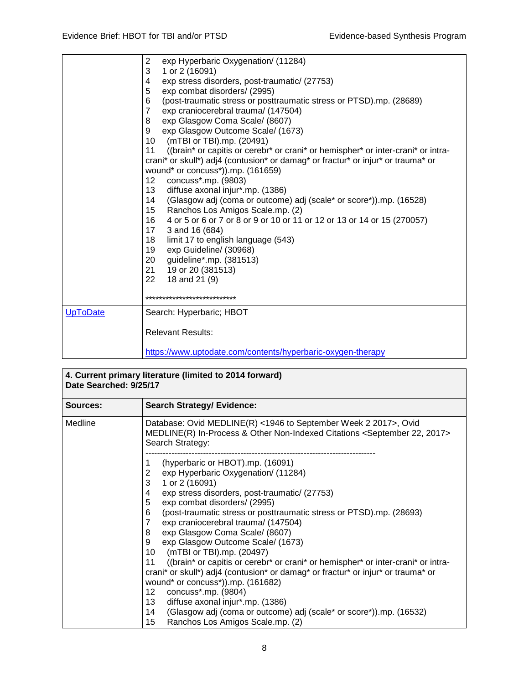|          | $\overline{c}$<br>exp Hyperbaric Oxygenation/ (11284)<br>3<br>1 or 2 (16091)<br>exp stress disorders, post-traumatic/ (27753)<br>4<br>5<br>exp combat disorders/ (2995)<br>(post-traumatic stress or posttraumatic stress or PTSD).mp. (28689)<br>6<br>7<br>exp craniocerebral trauma/ (147504)<br>8<br>exp Glasgow Coma Scale/ (8607)<br>exp Glasgow Outcome Scale/ (1673)<br>9<br>(mTBI or TBI).mp. (20491)<br>10<br>11<br>((brain* or capitis or cerebr* or crani* or hemispher* or inter-crani* or intra-<br>crani* or skull*) adj4 (contusion* or damag* or fractur* or injur* or trauma* or<br>wound* or concuss*)).mp. (161659)<br>concuss*.mp. (9803)<br>12<br>diffuse axonal injur*.mp. (1386)<br>13<br>(Glasgow adj (coma or outcome) adj (scale* or score*)).mp. (16528)<br>14<br>15 <sub>1</sub><br>Ranchos Los Amigos Scale.mp. (2)<br>16<br>4 or 5 or 6 or 7 or 8 or 9 or 10 or 11 or 12 or 13 or 14 or 15 (270057)<br>3 and 16 (684)<br>17<br>18<br>limit 17 to english language (543)<br>19<br>exp Guideline/ (30968)<br>20 guideline*.mp. (381513)<br>21<br>19 or 20 (381513)<br>22<br>18 and 21 (9)<br>*************************** |
|----------|------------------------------------------------------------------------------------------------------------------------------------------------------------------------------------------------------------------------------------------------------------------------------------------------------------------------------------------------------------------------------------------------------------------------------------------------------------------------------------------------------------------------------------------------------------------------------------------------------------------------------------------------------------------------------------------------------------------------------------------------------------------------------------------------------------------------------------------------------------------------------------------------------------------------------------------------------------------------------------------------------------------------------------------------------------------------------------------------------------------------------------------------------|
| UpToDate | Search: Hyperbaric; HBOT<br><b>Relevant Results:</b><br>https://www.uptodate.com/contents/hyperbaric-oxygen-therapy                                                                                                                                                                                                                                                                                                                                                                                                                                                                                                                                                                                                                                                                                                                                                                                                                                                                                                                                                                                                                                  |

| 4. Current primary literature (limited to 2014 forward)<br>Date Searched: 9/25/17 |                                                                                                                                                                                                                                                                                                                                                                                                                                                                                                                                                                                                                                                                                                                                                                                                                                                                                           |
|-----------------------------------------------------------------------------------|-------------------------------------------------------------------------------------------------------------------------------------------------------------------------------------------------------------------------------------------------------------------------------------------------------------------------------------------------------------------------------------------------------------------------------------------------------------------------------------------------------------------------------------------------------------------------------------------------------------------------------------------------------------------------------------------------------------------------------------------------------------------------------------------------------------------------------------------------------------------------------------------|
| Sources:                                                                          | <b>Search Strategy/ Evidence:</b>                                                                                                                                                                                                                                                                                                                                                                                                                                                                                                                                                                                                                                                                                                                                                                                                                                                         |
| Medline                                                                           | Database: Ovid MEDLINE(R) <1946 to September Week 2 2017>, Ovid<br>MEDLINE(R) In-Process & Other Non-Indexed Citations <september 2017="" 22,=""><br/>Search Strategy:</september>                                                                                                                                                                                                                                                                                                                                                                                                                                                                                                                                                                                                                                                                                                        |
|                                                                                   | (hyperbaric or HBOT).mp. (16091)<br>1<br>exp Hyperbaric Oxygenation/ (11284)<br>2<br>3<br>1 or 2 (16091)<br>4<br>exp stress disorders, post-traumatic/ (27753)<br>5<br>exp combat disorders/ (2995)<br>(post-traumatic stress or posttraumatic stress or PTSD).mp. (28693)<br>6<br>$\overline{7}$<br>exp craniocerebral trauma/ (147504)<br>exp Glasgow Coma Scale/ (8607)<br>8<br>exp Glasgow Outcome Scale/ (1673)<br>9<br>10<br>(mTBI or TBI).mp. (20497)<br>11<br>((brain* or capitis or cerebr* or crani* or hemispher* or inter-crani* or intra-<br>crani* or skull*) adj4 (contusion* or damag* or fractur* or injur* or trauma* or<br>wound* or concuss*)).mp. (161682)<br>concuss*.mp. (9804)<br>12 <sup>°</sup><br>diffuse axonal injur*.mp. (1386)<br>13<br>14<br>(Glasgow adj (coma or outcome) adj (scale* or score*)).mp. (16532)<br>15<br>Ranchos Los Amigos Scale.mp. (2) |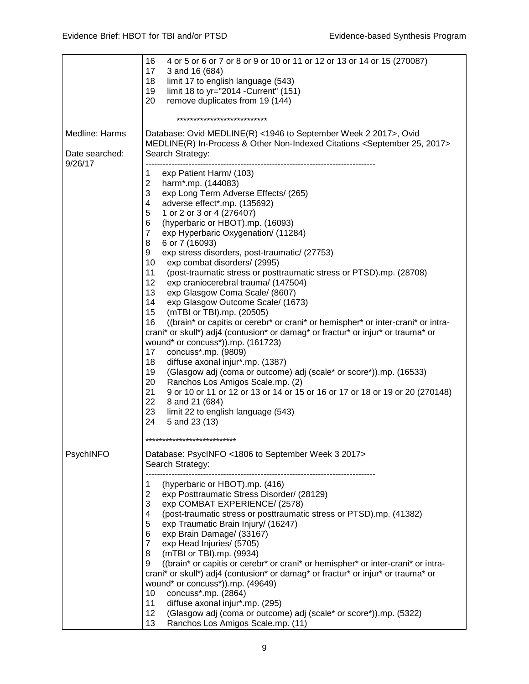|                                  | 16<br>4 or 5 or 6 or 7 or 8 or 9 or 10 or 11 or 12 or 13 or 14 or 15 (270087)<br>17<br>3 and 16 (684)                                                                                                                                                                                                                                                                                                                                                                                                                                                                                                                                                                                                                                                                                                                                                                                                                                                                                                                                                                                                                                                                                                                                                                                           |
|----------------------------------|-------------------------------------------------------------------------------------------------------------------------------------------------------------------------------------------------------------------------------------------------------------------------------------------------------------------------------------------------------------------------------------------------------------------------------------------------------------------------------------------------------------------------------------------------------------------------------------------------------------------------------------------------------------------------------------------------------------------------------------------------------------------------------------------------------------------------------------------------------------------------------------------------------------------------------------------------------------------------------------------------------------------------------------------------------------------------------------------------------------------------------------------------------------------------------------------------------------------------------------------------------------------------------------------------|
|                                  | 18<br>limit 17 to english language (543)                                                                                                                                                                                                                                                                                                                                                                                                                                                                                                                                                                                                                                                                                                                                                                                                                                                                                                                                                                                                                                                                                                                                                                                                                                                        |
|                                  | 19<br>limit 18 to yr="2014 - Current" (151)<br>20<br>remove duplicates from 19 (144)                                                                                                                                                                                                                                                                                                                                                                                                                                                                                                                                                                                                                                                                                                                                                                                                                                                                                                                                                                                                                                                                                                                                                                                                            |
|                                  | ***************************                                                                                                                                                                                                                                                                                                                                                                                                                                                                                                                                                                                                                                                                                                                                                                                                                                                                                                                                                                                                                                                                                                                                                                                                                                                                     |
| Medline: Harms<br>Date searched: | Database: Ovid MEDLINE(R) <1946 to September Week 2 2017>, Ovid<br>MEDLINE(R) In-Process & Other Non-Indexed Citations <september 2017="" 25,=""><br/>Search Strategy:</september>                                                                                                                                                                                                                                                                                                                                                                                                                                                                                                                                                                                                                                                                                                                                                                                                                                                                                                                                                                                                                                                                                                              |
| 9/26/17                          | 1<br>exp Patient Harm/ (103)<br>$\boldsymbol{2}$<br>harm*.mp. (144083)<br>3<br>exp Long Term Adverse Effects/ (265)<br>4<br>adverse effect*.mp. (135692)<br>5<br>1 or 2 or 3 or 4 (276407)<br>6<br>(hyperbaric or HBOT).mp. (16093)<br>$\overline{7}$<br>exp Hyperbaric Oxygenation/ (11284)<br>8<br>6 or 7 (16093)<br>9<br>exp stress disorders, post-traumatic/ (27753)<br>10<br>exp combat disorders/ (2995)<br>11<br>(post-traumatic stress or posttraumatic stress or PTSD).mp. (28708)<br>12<br>exp craniocerebral trauma/ (147504)<br>13<br>exp Glasgow Coma Scale/ (8607)<br>14<br>exp Glasgow Outcome Scale/ (1673)<br>15<br>(mTBI or TBI).mp. (20505)<br>16<br>((brain* or capitis or cerebr* or crani* or hemispher* or inter-crani* or intra-<br>crani* or skull*) adj4 (contusion* or damag* or fractur* or injur* or trauma* or<br>wound* or concuss*)).mp. (161723)<br>concuss*.mp. (9809)<br>17<br>18<br>diffuse axonal injur*.mp. (1387)<br>19<br>(Glasgow adj (coma or outcome) adj (scale* or score*)).mp. (16533)<br>20<br>Ranchos Los Amigos Scale.mp. (2)<br>21<br>9 or 10 or 11 or 12 or 13 or 14 or 15 or 16 or 17 or 18 or 19 or 20 (270148)<br>22<br>8 and 21 (684)<br>23<br>limit 22 to english language (543)<br>24<br>5 and 23 (13)<br>*************************** |
| PsychINFO                        | Database: PsycINFO <1806 to September Week 3 2017><br>Search Strategy:                                                                                                                                                                                                                                                                                                                                                                                                                                                                                                                                                                                                                                                                                                                                                                                                                                                                                                                                                                                                                                                                                                                                                                                                                          |
|                                  | (hyperbaric or HBOT).mp. (416)<br>$\mathbf 1$<br>$\overline{2}$<br>exp Posttraumatic Stress Disorder/ (28129)<br>3<br>exp COMBAT EXPERIENCE/ (2578)<br>4<br>(post-traumatic stress or posttraumatic stress or PTSD).mp. (41382)<br>5<br>exp Traumatic Brain Injury/ (16247)<br>6<br>exp Brain Damage/ (33167)<br>$\overline{7}$<br>exp Head Injuries/ (5705)<br>8<br>(mTBI or TBI).mp. (9934)<br>9<br>((brain* or capitis or cerebr* or crani* or hemispher* or inter-crani* or intra-<br>crani* or skull*) adj4 (contusion* or damag* or fractur* or injur* or trauma* or<br>wound* or concuss*)).mp. (49649)<br>concuss*.mp. (2864)<br>10<br>11<br>diffuse axonal injur*.mp. (295)<br>(Glasgow adj (coma or outcome) adj (scale* or score*)).mp. (5322)<br>12<br>13<br>Ranchos Los Amigos Scale.mp. (11)                                                                                                                                                                                                                                                                                                                                                                                                                                                                                      |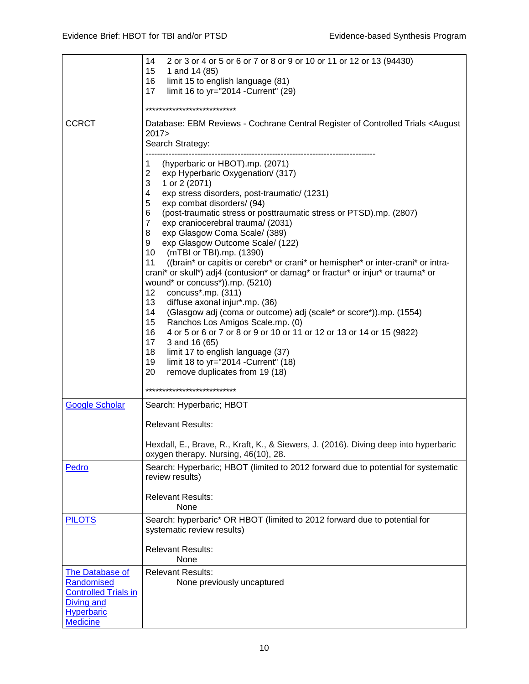|                                                                                                               | 14<br>2 or 3 or 4 or 5 or 6 or 7 or 8 or 9 or 10 or 11 or 12 or 13 (94430)<br>15 <sub>15</sub><br>1 and 14 (85)<br>limit 15 to english language (81)<br>16<br>limit 16 to yr="2014 -Current" (29)<br>17                                         |
|---------------------------------------------------------------------------------------------------------------|-------------------------------------------------------------------------------------------------------------------------------------------------------------------------------------------------------------------------------------------------|
|                                                                                                               | ***************************                                                                                                                                                                                                                     |
| <b>CCRCT</b>                                                                                                  | Database: EBM Reviews - Cochrane Central Register of Controlled Trials < August<br>2017<br>Search Strategy:<br>(hyperbaric or HBOT).mp. (2071)<br>1                                                                                             |
|                                                                                                               | $\mathbf{2}$<br>exp Hyperbaric Oxygenation/ (317)<br>$\ensuremath{\mathsf{3}}$<br>1 or 2 (2071)<br>4<br>exp stress disorders, post-traumatic/ (1231)<br>5<br>exp combat disorders/ (94)                                                         |
|                                                                                                               | 6<br>(post-traumatic stress or posttraumatic stress or PTSD).mp. (2807)<br>$\overline{7}$<br>exp craniocerebral trauma/ (2031)<br>8<br>exp Glasgow Coma Scale/ (389)<br>9<br>exp Glasgow Outcome Scale/ (122)<br>10<br>(mTBI or TBI).mp. (1390) |
|                                                                                                               | ((brain* or capitis or cerebr* or crani* or hemispher* or inter-crani* or intra-<br>11<br>crani* or skull*) adj4 (contusion* or damag* or fractur* or injur* or trauma* or<br>wound* or concuss*)).mp. (5210)<br>concuss*.mp. (311)<br>12       |
|                                                                                                               | 13<br>diffuse axonal injur*.mp. (36)<br>14<br>(Glasgow adj (coma or outcome) adj (scale* or score*)).mp. (1554)<br>15 <sub>15</sub><br>Ranchos Los Amigos Scale.mp. (0)                                                                         |
|                                                                                                               | 16<br>4 or 5 or 6 or 7 or 8 or 9 or 10 or 11 or 12 or 13 or 14 or 15 (9822)<br>17 <sup>2</sup><br>3 and 16 (65)<br>18<br>limit 17 to english language (37)<br>19<br>limit 18 to yr="2014 - Current" (18)<br>20                                  |
|                                                                                                               | remove duplicates from 19 (18)<br>***************************                                                                                                                                                                                   |
| <b>Google Scholar</b>                                                                                         | Search: Hyperbaric; HBOT                                                                                                                                                                                                                        |
|                                                                                                               | <b>Relevant Results:</b>                                                                                                                                                                                                                        |
|                                                                                                               | Hexdall, E., Brave, R., Kraft, K., & Siewers, J. (2016). Diving deep into hyperbaric<br>oxygen therapy. Nursing, 46(10), 28.                                                                                                                    |
| Pedro                                                                                                         | Search: Hyperbaric; HBOT (limited to 2012 forward due to potential for systematic<br>review results)                                                                                                                                            |
|                                                                                                               | <b>Relevant Results:</b><br>None                                                                                                                                                                                                                |
| <b>PILOTS</b>                                                                                                 | Search: hyperbaric* OR HBOT (limited to 2012 forward due to potential for<br>systematic review results)                                                                                                                                         |
|                                                                                                               | <b>Relevant Results:</b><br>None                                                                                                                                                                                                                |
| <b>The Database of</b><br>Randomised<br><b>Controlled Trials in</b><br><b>Diving and</b><br><b>Hyperbaric</b> | <b>Relevant Results:</b><br>None previously uncaptured                                                                                                                                                                                          |
| <b>Medicine</b>                                                                                               |                                                                                                                                                                                                                                                 |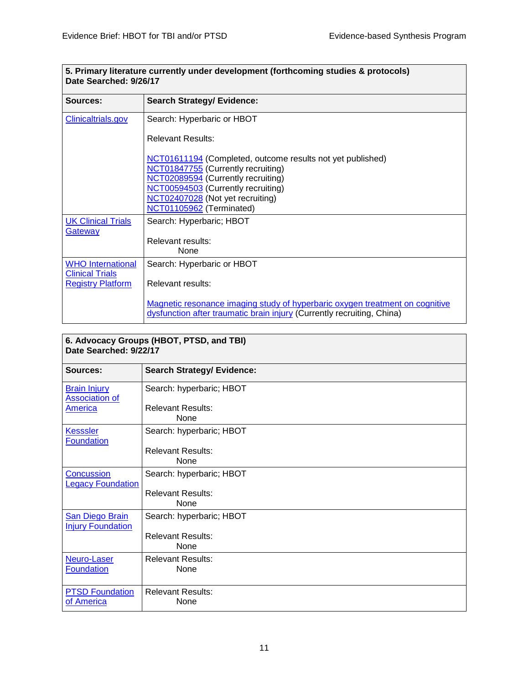┑

| <u>. Filmaly includic currently under development from louning studies &amp; protocols (</u><br>Date Searched: 9/26/17 |                                                                                                                                                        |
|------------------------------------------------------------------------------------------------------------------------|--------------------------------------------------------------------------------------------------------------------------------------------------------|
| Sources:                                                                                                               | <b>Search Strategy/ Evidence:</b>                                                                                                                      |
| Clinicaltrials.gov                                                                                                     | Search: Hyperbaric or HBOT                                                                                                                             |
|                                                                                                                        | <b>Relevant Results:</b>                                                                                                                               |
|                                                                                                                        | NCT01611194 (Completed, outcome results not yet published)                                                                                             |
|                                                                                                                        | NCT01847755 (Currently recruiting)                                                                                                                     |
|                                                                                                                        | NCT02089594 (Currently recruiting)                                                                                                                     |
|                                                                                                                        | NCT00594503 (Currently recruiting)<br>NCT02407028 (Not yet recruiting)                                                                                 |
|                                                                                                                        | NCT01105962 (Terminated)                                                                                                                               |
| <b>UK Clinical Trials</b>                                                                                              | Search: Hyperbaric; HBOT                                                                                                                               |
| <b>Gateway</b>                                                                                                         | Relevant results:                                                                                                                                      |
|                                                                                                                        | None                                                                                                                                                   |
| <b>WHO</b> International<br><b>Clinical Trials</b>                                                                     | Search: Hyperbaric or HBOT                                                                                                                             |
| <b>Registry Platform</b>                                                                                               | Relevant results:                                                                                                                                      |
|                                                                                                                        | Magnetic resonance imaging study of hyperbaric oxygen treatment on cognitive<br>dysfunction after traumatic brain injury (Currently recruiting, China) |

| 6. Advocacy Groups (HBOT, PTSD, and TBI)<br>Date Searched: 9/22/17 |                                         |  |
|--------------------------------------------------------------------|-----------------------------------------|--|
| Sources:                                                           | <b>Search Strategy/ Evidence:</b>       |  |
| <b>Brain Injury</b><br><b>Association of</b>                       | Search: hyperbaric; HBOT                |  |
| America                                                            | <b>Relevant Results:</b><br><b>None</b> |  |
| <b>Kesssler</b><br><b>Foundation</b>                               | Search: hyperbaric; HBOT                |  |
|                                                                    | <b>Relevant Results:</b><br><b>None</b> |  |
| <b>Concussion</b><br><b>Legacy Foundation</b>                      | Search: hyperbaric; HBOT                |  |
|                                                                    | <b>Relevant Results:</b><br>None        |  |
| <b>San Diego Brain</b><br><b>Injury Foundation</b>                 | Search: hyperbaric; HBOT                |  |
|                                                                    | <b>Relevant Results:</b><br>None        |  |
| Neuro-Laser<br><b>Foundation</b>                                   | <b>Relevant Results:</b><br>None        |  |
| <b>PTSD Foundation</b><br>of America                               | <b>Relevant Results:</b><br>None        |  |

# **5. Primary literature currently under development (forthcoming studies & protocols)**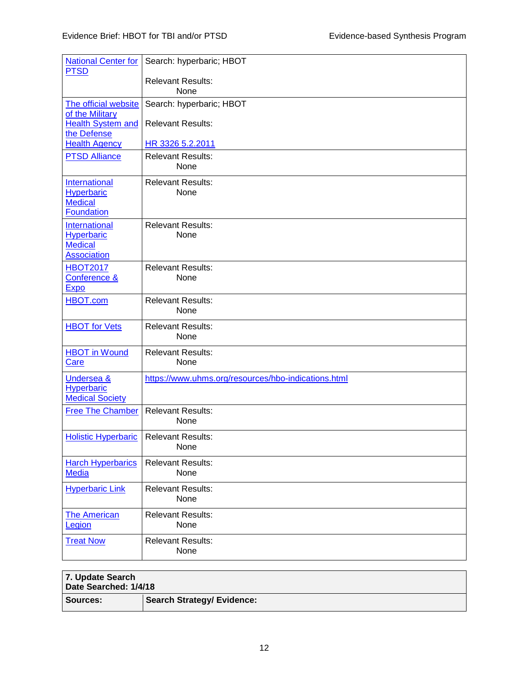| <b>National Center for</b><br><b>PTSD</b>                                        | Search: hyperbaric; HBOT                            |
|----------------------------------------------------------------------------------|-----------------------------------------------------|
|                                                                                  | <b>Relevant Results:</b><br>None                    |
| The official website<br>of the Military                                          | Search: hyperbaric; HBOT                            |
| Health System and<br>the Defense                                                 | <b>Relevant Results:</b>                            |
| <b>Health Agency</b>                                                             | HR 3326 5.2.2011                                    |
| <b>PTSD Alliance</b>                                                             | <b>Relevant Results:</b><br>None                    |
| <b>International</b><br><b>Hyperbaric</b><br><b>Medical</b><br><b>Foundation</b> | <b>Relevant Results:</b><br>None                    |
| International<br><b>Hyperbaric</b><br><b>Medical</b><br><b>Association</b>       | <b>Relevant Results:</b><br>None                    |
| <b>HBOT2017</b><br><b>Conference &amp;</b><br><u>Expo</u>                        | <b>Relevant Results:</b><br>None                    |
| <b>HBOT.com</b>                                                                  | <b>Relevant Results:</b><br>None                    |
| <b>HBOT</b> for Vets                                                             | <b>Relevant Results:</b><br>None                    |
| <b>HBOT</b> in Wound<br><b>Care</b>                                              | <b>Relevant Results:</b><br>None                    |
| <b>Undersea &amp;</b><br><b>Hyperbaric</b><br><b>Medical Society</b>             | https://www.uhms.org/resources/hbo-indications.html |
| <b>Free The Chamber</b>                                                          | <b>Relevant Results:</b><br>None                    |
| <b>Holistic Hyperbaric</b>                                                       | <b>Relevant Results:</b><br>None                    |
| <b>Harch Hyperbarics</b><br><b>Media</b>                                         | <b>Relevant Results:</b><br>None                    |
| <b>Hyperbaric Link</b>                                                           | <b>Relevant Results:</b><br>None                    |
| <b>The American</b><br>Legion                                                    | <b>Relevant Results:</b><br>None                    |
| <b>Treat Now</b>                                                                 | <b>Relevant Results:</b><br>None                    |

| 7. Update Search<br>Date Searched: 1/4/18 |                                   |  |
|-------------------------------------------|-----------------------------------|--|
| <b>Sources:</b>                           | <b>Search Strategy/ Evidence:</b> |  |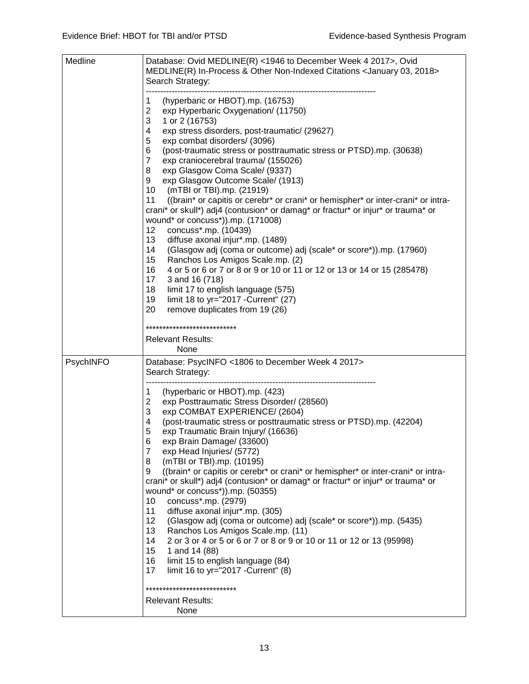| Medline   | Database: Ovid MEDLINE(R) <1946 to December Week 4 2017>, Ovid<br>MEDLINE(R) In-Process & Other Non-Indexed Citations < January 03, 2018><br>Search Strategy:                                                                                                                                                                                                                                                                                                                                                                                                                                                                                                                                                                                                                                                                                                                                                                                                                                                                                                                                                                         |
|-----------|---------------------------------------------------------------------------------------------------------------------------------------------------------------------------------------------------------------------------------------------------------------------------------------------------------------------------------------------------------------------------------------------------------------------------------------------------------------------------------------------------------------------------------------------------------------------------------------------------------------------------------------------------------------------------------------------------------------------------------------------------------------------------------------------------------------------------------------------------------------------------------------------------------------------------------------------------------------------------------------------------------------------------------------------------------------------------------------------------------------------------------------|
|           | (hyperbaric or HBOT).mp. (16753)<br>1<br>$\overline{2}$<br>exp Hyperbaric Oxygenation/ (11750)<br>3<br>1 or 2 (16753)<br>4<br>exp stress disorders, post-traumatic/ (29627)<br>5<br>exp combat disorders/ (3096)<br>6<br>(post-traumatic stress or posttraumatic stress or PTSD).mp. (30638)<br>$\overline{7}$<br>exp craniocerebral trauma/ (155026)<br>8<br>exp Glasgow Coma Scale/ (9337)<br>9<br>exp Glasgow Outcome Scale/ (1913)<br>10<br>(mTBI or TBI).mp. (21919)<br>11<br>((brain* or capitis or cerebr* or crani* or hemispher* or inter-crani* or intra-<br>crani* or skull*) adj4 (contusion* or damag* or fractur* or injur* or trauma* or<br>wound* or concuss*)).mp. (171008)<br>12<br>concuss*.mp. (10439)<br>13<br>diffuse axonal injur*.mp. (1489)<br>(Glasgow adj (coma or outcome) adj (scale* or score*)).mp. (17960)<br>14<br>15<br>Ranchos Los Amigos Scale.mp. (2)<br>16<br>4 or 5 or 6 or 7 or 8 or 9 or 10 or 11 or 12 or 13 or 14 or 15 (285478)<br>17<br>3 and 16 (718)<br>18<br>limit 17 to english language (575)<br>19<br>limit 18 to yr="2017 - Current" (27)<br>20<br>remove duplicates from 19 (26) |
|           | ***************************                                                                                                                                                                                                                                                                                                                                                                                                                                                                                                                                                                                                                                                                                                                                                                                                                                                                                                                                                                                                                                                                                                           |
|           | <b>Relevant Results:</b><br>None                                                                                                                                                                                                                                                                                                                                                                                                                                                                                                                                                                                                                                                                                                                                                                                                                                                                                                                                                                                                                                                                                                      |
| PsychINFO | Database: PsycINFO <1806 to December Week 4 2017><br>Search Strategy:                                                                                                                                                                                                                                                                                                                                                                                                                                                                                                                                                                                                                                                                                                                                                                                                                                                                                                                                                                                                                                                                 |
|           | 1<br>(hyperbaric or HBOT).mp. (423)<br>$\overline{2}$<br>exp Posttraumatic Stress Disorder/ (28560)<br>3<br>exp COMBAT EXPERIENCE/ (2604)<br>4<br>(post-traumatic stress or posttraumatic stress or PTSD).mp. (42204)<br>5<br>exp Traumatic Brain Injury/ (16636)<br>6<br>exp Brain Damage/ (33600)<br>7<br>exp Head Injuries/ (5772)<br>8<br>(mTBI or TBI).mp. (10195)<br>((brain* or capitis or cerebr* or crani* or hemispher* or inter-crani* or intra-<br>9<br>crani* or skull*) adj4 (contusion* or damag* or fractur* or injur* or trauma* or<br>wound* or concuss*)).mp. (50355)<br>concuss*.mp. (2979)<br>10<br>11<br>diffuse axonal injur*.mp. (305)<br>12<br>(Glasgow adj (coma or outcome) adj (scale* or score*)).mp. (5435)<br>13<br>Ranchos Los Amigos Scale.mp. (11)<br>2 or 3 or 4 or 5 or 6 or 7 or 8 or 9 or 10 or 11 or 12 or 13 (95998)<br>14<br>15<br>1 and 14 (88)<br>16<br>limit 15 to english language (84)<br>17<br>limit 16 to yr="2017 - Current" (8)<br>*************************                                                                                                                        |
|           | <b>Relevant Results:</b><br>None                                                                                                                                                                                                                                                                                                                                                                                                                                                                                                                                                                                                                                                                                                                                                                                                                                                                                                                                                                                                                                                                                                      |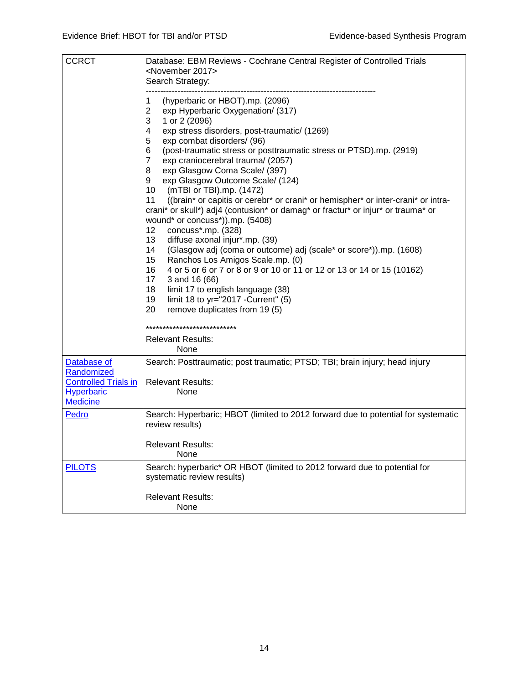| <b>CCRCT</b>                                                                                     | Database: EBM Reviews - Cochrane Central Register of Controlled Trials<br><november 2017=""><br/>Search Strategy:</november>                                                                                                                                                                                                                                                                                                                                                                                                                                                                                                                                                                                                                                                                                                                                                                                                                                                                                                                                                                                                                      |
|--------------------------------------------------------------------------------------------------|---------------------------------------------------------------------------------------------------------------------------------------------------------------------------------------------------------------------------------------------------------------------------------------------------------------------------------------------------------------------------------------------------------------------------------------------------------------------------------------------------------------------------------------------------------------------------------------------------------------------------------------------------------------------------------------------------------------------------------------------------------------------------------------------------------------------------------------------------------------------------------------------------------------------------------------------------------------------------------------------------------------------------------------------------------------------------------------------------------------------------------------------------|
|                                                                                                  | (hyperbaric or HBOT).mp. (2096)<br>1<br>$\overline{2}$<br>exp Hyperbaric Oxygenation/ (317)<br>3<br>1 or 2 (2096)<br>$\overline{\mathcal{A}}$<br>exp stress disorders, post-traumatic/ (1269)<br>5<br>exp combat disorders/ (96)<br>6<br>(post-traumatic stress or posttraumatic stress or PTSD).mp. (2919)<br>$\overline{7}$<br>exp craniocerebral trauma/ (2057)<br>8<br>exp Glasgow Coma Scale/ (397)<br>9<br>exp Glasgow Outcome Scale/ (124)<br>10<br>(mTBI or TBI).mp. (1472)<br>((brain* or capitis or cerebr* or crani* or hemispher* or inter-crani* or intra-<br>11<br>crani* or skull*) adj4 (contusion* or damag* or fractur* or injur* or trauma* or<br>wound* or concuss*)).mp. (5408)<br>concuss*.mp. (328)<br>12<br>13<br>diffuse axonal injur*.mp. (39)<br>14<br>(Glasgow adj (coma or outcome) adj (scale* or score*)).mp. (1608)<br>15 <sub>15</sub><br>Ranchos Los Amigos Scale.mp. (0)<br>16<br>4 or 5 or 6 or 7 or 8 or 9 or 10 or 11 or 12 or 13 or 14 or 15 (10162)<br>17<br>3 and 16 (66)<br>18<br>limit 17 to english language (38)<br>limit 18 to yr="2017 - Current" (5)<br>19<br>20<br>remove duplicates from 19 (5) |
|                                                                                                  | **************************                                                                                                                                                                                                                                                                                                                                                                                                                                                                                                                                                                                                                                                                                                                                                                                                                                                                                                                                                                                                                                                                                                                        |
|                                                                                                  | <b>Relevant Results:</b><br>None                                                                                                                                                                                                                                                                                                                                                                                                                                                                                                                                                                                                                                                                                                                                                                                                                                                                                                                                                                                                                                                                                                                  |
| Database of<br>Randomized<br><b>Controlled Trials in</b><br><b>Hyperbaric</b><br><b>Medicine</b> | Search: Posttraumatic; post traumatic; PTSD; TBI; brain injury; head injury<br><b>Relevant Results:</b><br>None                                                                                                                                                                                                                                                                                                                                                                                                                                                                                                                                                                                                                                                                                                                                                                                                                                                                                                                                                                                                                                   |
| Pedro                                                                                            | Search: Hyperbaric; HBOT (limited to 2012 forward due to potential for systematic<br>review results)                                                                                                                                                                                                                                                                                                                                                                                                                                                                                                                                                                                                                                                                                                                                                                                                                                                                                                                                                                                                                                              |
|                                                                                                  | <b>Relevant Results:</b><br>None                                                                                                                                                                                                                                                                                                                                                                                                                                                                                                                                                                                                                                                                                                                                                                                                                                                                                                                                                                                                                                                                                                                  |
| <b>PILOTS</b>                                                                                    | Search: hyperbaric* OR HBOT (limited to 2012 forward due to potential for<br>systematic review results)                                                                                                                                                                                                                                                                                                                                                                                                                                                                                                                                                                                                                                                                                                                                                                                                                                                                                                                                                                                                                                           |
|                                                                                                  | <b>Relevant Results:</b><br>None                                                                                                                                                                                                                                                                                                                                                                                                                                                                                                                                                                                                                                                                                                                                                                                                                                                                                                                                                                                                                                                                                                                  |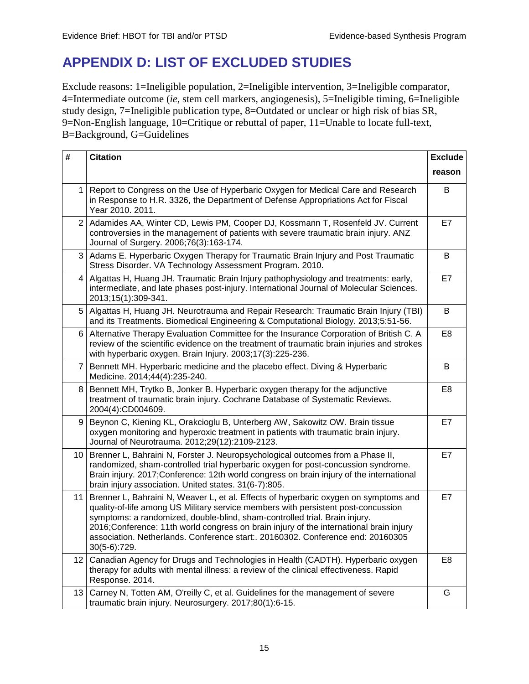# <span id="page-16-0"></span>**APPENDIX D: LIST OF EXCLUDED STUDIES**

Exclude reasons: 1=Ineligible population, 2=Ineligible intervention, 3=Ineligible comparator, 4=Intermediate outcome (*ie*, stem cell markers, angiogenesis), 5=Ineligible timing, 6=Ineligible study design, 7=Ineligible publication type, 8=Outdated or unclear or high risk of bias SR, 9=Non-English language, 10=Critique or rebuttal of paper, 11=Unable to locate full-text, B=Background, G=Guidelines

| #               | <b>Citation</b>                                                                                                                                                                                                                                                                                                                                                                                                                                      | <b>Exclude</b> |
|-----------------|------------------------------------------------------------------------------------------------------------------------------------------------------------------------------------------------------------------------------------------------------------------------------------------------------------------------------------------------------------------------------------------------------------------------------------------------------|----------------|
|                 |                                                                                                                                                                                                                                                                                                                                                                                                                                                      | reason         |
| 1               | Report to Congress on the Use of Hyperbaric Oxygen for Medical Care and Research<br>in Response to H.R. 3326, the Department of Defense Appropriations Act for Fiscal<br>Year 2010, 2011.                                                                                                                                                                                                                                                            | B              |
|                 | 2 Adamides AA, Winter CD, Lewis PM, Cooper DJ, Kossmann T, Rosenfeld JV. Current<br>controversies in the management of patients with severe traumatic brain injury. ANZ<br>Journal of Surgery. 2006;76(3):163-174.                                                                                                                                                                                                                                   | E7             |
|                 | 3 Adams E. Hyperbaric Oxygen Therapy for Traumatic Brain Injury and Post Traumatic<br>Stress Disorder. VA Technology Assessment Program. 2010.                                                                                                                                                                                                                                                                                                       | B              |
| 4               | Algattas H, Huang JH. Traumatic Brain Injury pathophysiology and treatments: early,<br>intermediate, and late phases post-injury. International Journal of Molecular Sciences.<br>2013;15(1):309-341.                                                                                                                                                                                                                                                | E7             |
| 5               | Algattas H, Huang JH. Neurotrauma and Repair Research: Traumatic Brain Injury (TBI)<br>and its Treatments. Biomedical Engineering & Computational Biology. 2013;5:51-56.                                                                                                                                                                                                                                                                             | B              |
| 6               | Alternative Therapy Evaluation Committee for the Insurance Corporation of British C. A<br>review of the scientific evidence on the treatment of traumatic brain injuries and strokes<br>with hyperbaric oxygen. Brain Injury. 2003;17(3):225-236.                                                                                                                                                                                                    | E <sub>8</sub> |
| $\overline{7}$  | Bennett MH. Hyperbaric medicine and the placebo effect. Diving & Hyperbaric<br>Medicine. 2014;44(4):235-240.                                                                                                                                                                                                                                                                                                                                         | В              |
| 8               | Bennett MH, Trytko B, Jonker B. Hyperbaric oxygen therapy for the adjunctive<br>treatment of traumatic brain injury. Cochrane Database of Systematic Reviews.<br>2004(4):CD004609.                                                                                                                                                                                                                                                                   | E <sub>8</sub> |
| 9               | Beynon C, Kiening KL, Orakcioglu B, Unterberg AW, Sakowitz OW. Brain tissue<br>oxygen monitoring and hyperoxic treatment in patients with traumatic brain injury.<br>Journal of Neurotrauma. 2012;29(12):2109-2123.                                                                                                                                                                                                                                  | E7             |
| 10              | Brenner L, Bahraini N, Forster J. Neuropsychological outcomes from a Phase II,<br>randomized, sham-controlled trial hyperbaric oxygen for post-concussion syndrome.<br>Brain injury. 2017;Conference: 12th world congress on brain injury of the international<br>brain injury association. United states. 31(6-7):805.                                                                                                                              | E7             |
| 11              | Brenner L, Bahraini N, Weaver L, et al. Effects of hyperbaric oxygen on symptoms and<br>quality-of-life among US Military service members with persistent post-concussion<br>symptoms: a randomized, double-blind, sham-controlled trial. Brain injury.<br>2016;Conference: 11th world congress on brain injury of the international brain injury<br>association. Netherlands. Conference start:. 20160302. Conference end: 20160305<br>30(5-6):729. | E7             |
| 12 <sub>1</sub> | Canadian Agency for Drugs and Technologies in Health (CADTH). Hyperbaric oxygen<br>therapy for adults with mental illness: a review of the clinical effectiveness. Rapid<br>Response. 2014.                                                                                                                                                                                                                                                          | E <sub>8</sub> |
| 13              | Carney N, Totten AM, O'reilly C, et al. Guidelines for the management of severe<br>traumatic brain injury. Neurosurgery. 2017;80(1):6-15.                                                                                                                                                                                                                                                                                                            | G              |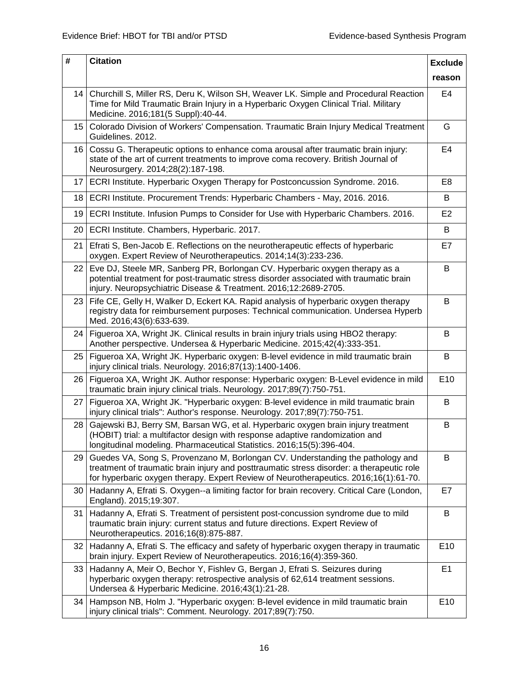| #               | <b>Citation</b>                                                                                                                                                                                                                                                     | <b>Exclude</b> |
|-----------------|---------------------------------------------------------------------------------------------------------------------------------------------------------------------------------------------------------------------------------------------------------------------|----------------|
|                 |                                                                                                                                                                                                                                                                     | reason         |
|                 | 14   Churchill S, Miller RS, Deru K, Wilson SH, Weaver LK. Simple and Procedural Reaction<br>Time for Mild Traumatic Brain Injury in a Hyperbaric Oxygen Clinical Trial. Military<br>Medicine. 2016;181(5 Suppl):40-44.                                             | E4             |
| 15              | Colorado Division of Workers' Compensation. Traumatic Brain Injury Medical Treatment<br>Guidelines. 2012.                                                                                                                                                           | G              |
| 16              | Cossu G. Therapeutic options to enhance coma arousal after traumatic brain injury:<br>state of the art of current treatments to improve coma recovery. British Journal of<br>Neurosurgery. 2014;28(2):187-198.                                                      | E4             |
| 17              | ECRI Institute. Hyperbaric Oxygen Therapy for Postconcussion Syndrome. 2016.                                                                                                                                                                                        | E8             |
|                 | 18   ECRI Institute. Procurement Trends: Hyperbaric Chambers - May, 2016. 2016.                                                                                                                                                                                     | В              |
| 19 <sup>1</sup> | ECRI Institute. Infusion Pumps to Consider for Use with Hyperbaric Chambers. 2016.                                                                                                                                                                                  | E <sub>2</sub> |
| 20              | ECRI Institute. Chambers, Hyperbaric. 2017.                                                                                                                                                                                                                         | В              |
| 21              | Efrati S, Ben-Jacob E. Reflections on the neurotherapeutic effects of hyperbaric<br>oxygen. Expert Review of Neurotherapeutics. 2014;14(3):233-236.                                                                                                                 | E7             |
| 22 <sub>2</sub> | Eve DJ, Steele MR, Sanberg PR, Borlongan CV. Hyperbaric oxygen therapy as a<br>potential treatment for post-traumatic stress disorder associated with traumatic brain<br>injury. Neuropsychiatric Disease & Treatment. 2016;12:2689-2705.                           | B              |
|                 | 23 Fife CE, Gelly H, Walker D, Eckert KA. Rapid analysis of hyperbaric oxygen therapy<br>registry data for reimbursement purposes: Technical communication. Undersea Hyperb<br>Med. 2016;43(6):633-639.                                                             | В              |
| 24              | Figueroa XA, Wright JK. Clinical results in brain injury trials using HBO2 therapy:<br>Another perspective. Undersea & Hyperbaric Medicine. 2015;42(4):333-351.                                                                                                     | B              |
| 25              | Figueroa XA, Wright JK. Hyperbaric oxygen: B-level evidence in mild traumatic brain<br>injury clinical trials. Neurology. 2016;87(13):1400-1406.                                                                                                                    | B              |
| 26              | Figueroa XA, Wright JK. Author response: Hyperbaric oxygen: B-Level evidence in mild<br>traumatic brain injury clinical trials. Neurology. 2017;89(7):750-751.                                                                                                      | E10            |
| 27              | Figueroa XA, Wright JK. "Hyperbaric oxygen: B-level evidence in mild traumatic brain<br>injury clinical trials": Author's response. Neurology. 2017;89(7):750-751.                                                                                                  | B              |
| 28              | Gajewski BJ, Berry SM, Barsan WG, et al. Hyperbaric oxygen brain injury treatment<br>(HOBIT) trial: a multifactor design with response adaptive randomization and<br>longitudinal modeling. Pharmaceutical Statistics. 2016;15(5):396-404.                          | В              |
| 29              | Guedes VA, Song S, Provenzano M, Borlongan CV. Understanding the pathology and<br>treatment of traumatic brain injury and posttraumatic stress disorder: a therapeutic role<br>for hyperbaric oxygen therapy. Expert Review of Neurotherapeutics. 2016;16(1):61-70. | В              |
| 30              | Hadanny A, Efrati S. Oxygen--a limiting factor for brain recovery. Critical Care (London,<br>England). 2015;19:307.                                                                                                                                                 | E7             |
| 31              | Hadanny A, Efrati S. Treatment of persistent post-concussion syndrome due to mild<br>traumatic brain injury: current status and future directions. Expert Review of<br>Neurotherapeutics. 2016;16(8):875-887.                                                       | B              |
| 32              | Hadanny A, Efrati S. The efficacy and safety of hyperbaric oxygen therapy in traumatic<br>brain injury. Expert Review of Neurotherapeutics. 2016;16(4):359-360.                                                                                                     | E10            |
| 33              | Hadanny A, Meir O, Bechor Y, Fishlev G, Bergan J, Efrati S. Seizures during<br>hyperbaric oxygen therapy: retrospective analysis of 62,614 treatment sessions.<br>Undersea & Hyperbaric Medicine. 2016;43(1):21-28.                                                 | E1             |
| 34              | Hampson NB, Holm J. "Hyperbaric oxygen: B-level evidence in mild traumatic brain<br>injury clinical trials": Comment. Neurology. 2017;89(7):750.                                                                                                                    | E10            |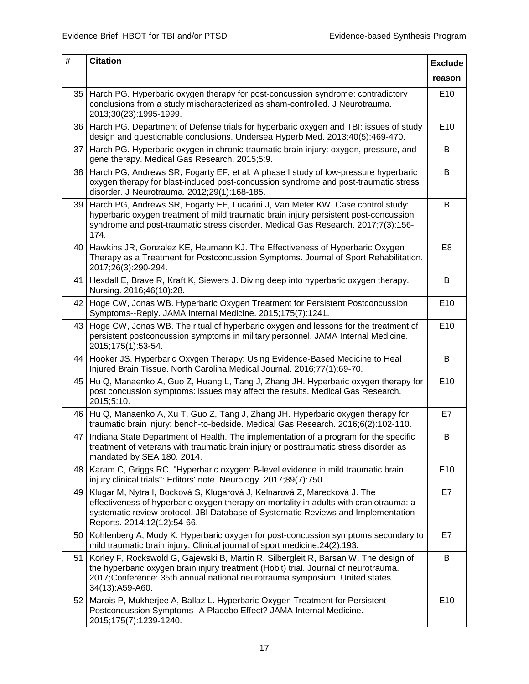| #  | <b>Citation</b>                                                                                                                                                                                                                                                                        | <b>Exclude</b>  |
|----|----------------------------------------------------------------------------------------------------------------------------------------------------------------------------------------------------------------------------------------------------------------------------------------|-----------------|
|    |                                                                                                                                                                                                                                                                                        | reason          |
|    | 35   Harch PG. Hyperbaric oxygen therapy for post-concussion syndrome: contradictory<br>conclusions from a study mischaracterized as sham-controlled. J Neurotrauma.<br>2013;30(23):1995-1999.                                                                                         | E <sub>10</sub> |
|    | 36   Harch PG. Department of Defense trials for hyperbaric oxygen and TBI: issues of study<br>design and questionable conclusions. Undersea Hyperb Med. 2013;40(5):469-470.                                                                                                            | E10             |
| 37 | Harch PG. Hyperbaric oxygen in chronic traumatic brain injury: oxygen, pressure, and<br>gene therapy. Medical Gas Research. 2015;5:9.                                                                                                                                                  | B               |
| 38 | Harch PG, Andrews SR, Fogarty EF, et al. A phase I study of low-pressure hyperbaric<br>oxygen therapy for blast-induced post-concussion syndrome and post-traumatic stress<br>disorder. J Neurotrauma. 2012;29(1):168-185.                                                             | B               |
| 39 | Harch PG, Andrews SR, Fogarty EF, Lucarini J, Van Meter KW. Case control study:<br>hyperbaric oxygen treatment of mild traumatic brain injury persistent post-concussion<br>syndrome and post-traumatic stress disorder. Medical Gas Research. 2017;7(3):156-<br>174.                  | B               |
| 40 | Hawkins JR, Gonzalez KE, Heumann KJ. The Effectiveness of Hyperbaric Oxygen<br>Therapy as a Treatment for Postconcussion Symptoms. Journal of Sport Rehabilitation.<br>2017;26(3):290-294.                                                                                             | E <sub>8</sub>  |
| 41 | Hexdall E, Brave R, Kraft K, Siewers J. Diving deep into hyperbaric oxygen therapy.<br>Nursing. 2016;46(10):28.                                                                                                                                                                        | B               |
|    | 42 Hoge CW, Jonas WB. Hyperbaric Oxygen Treatment for Persistent Postconcussion<br>Symptoms--Reply. JAMA Internal Medicine. 2015;175(7):1241.                                                                                                                                          | E10             |
| 43 | Hoge CW, Jonas WB. The ritual of hyperbaric oxygen and lessons for the treatment of<br>persistent postconcussion symptoms in military personnel. JAMA Internal Medicine.<br>2015;175(1):53-54.                                                                                         | E10             |
| 44 | Hooker JS. Hyperbaric Oxygen Therapy: Using Evidence-Based Medicine to Heal<br>Injured Brain Tissue. North Carolina Medical Journal. 2016;77(1):69-70.                                                                                                                                 | B               |
| 45 | Hu Q, Manaenko A, Guo Z, Huang L, Tang J, Zhang JH. Hyperbaric oxygen therapy for<br>post concussion symptoms: issues may affect the results. Medical Gas Research.<br>2015;5:10.                                                                                                      | E10             |
|    | 46 Hu Q, Manaenko A, Xu T, Guo Z, Tang J, Zhang JH. Hyperbaric oxygen therapy for<br>traumatic brain injury: bench-to-bedside. Medical Gas Research. 2016;6(2):102-110.                                                                                                                | E7              |
|    | 47 Indiana State Department of Health. The implementation of a program for the specific<br>treatment of veterans with traumatic brain injury or posttraumatic stress disorder as<br>mandated by SEA 180. 2014.                                                                         | B               |
| 48 | Karam C, Griggs RC. "Hyperbaric oxygen: B-level evidence in mild traumatic brain<br>injury clinical trials": Editors' note. Neurology. 2017;89(7):750.                                                                                                                                 | E10             |
| 49 | Klugar M, Nytra I, Bocková S, Klugarová J, Kelnarová Z, Marecková J. The<br>effectiveness of hyperbaric oxygen therapy on mortality in adults with craniotrauma: a<br>systematic review protocol. JBI Database of Systematic Reviews and Implementation<br>Reports. 2014;12(12):54-66. | E7              |
| 50 | Kohlenberg A, Mody K. Hyperbaric oxygen for post-concussion symptoms secondary to<br>mild traumatic brain injury. Clinical journal of sport medicine.24(2):193.                                                                                                                        | E7              |
| 51 | Korley F, Rockswold G, Gajewski B, Martin R, Silbergleit R, Barsan W. The design of<br>the hyperbaric oxygen brain injury treatment (Hobit) trial. Journal of neurotrauma.<br>2017; Conference: 35th annual national neurotrauma symposium. United states.<br>34(13):A59-A60.          | B               |
| 52 | Marois P, Mukherjee A, Ballaz L. Hyperbaric Oxygen Treatment for Persistent<br>Postconcussion Symptoms--A Placebo Effect? JAMA Internal Medicine.<br>2015;175(7):1239-1240.                                                                                                            | E10             |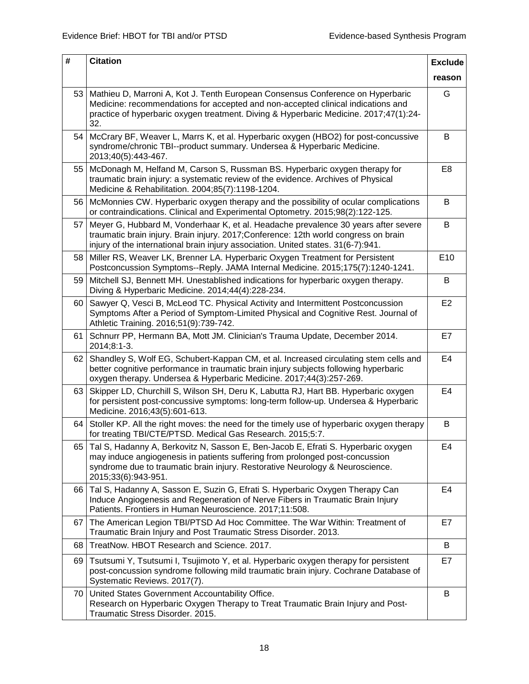| #  | <b>Citation</b>                                                                                                                                                                                                                                                           | <b>Exclude</b> |
|----|---------------------------------------------------------------------------------------------------------------------------------------------------------------------------------------------------------------------------------------------------------------------------|----------------|
|    |                                                                                                                                                                                                                                                                           | reason         |
| 53 | Mathieu D, Marroni A, Kot J. Tenth European Consensus Conference on Hyperbaric<br>Medicine: recommendations for accepted and non-accepted clinical indications and<br>practice of hyperbaric oxygen treatment. Diving & Hyperbaric Medicine. 2017;47(1):24-<br>32.        | G              |
| 54 | McCrary BF, Weaver L, Marrs K, et al. Hyperbaric oxygen (HBO2) for post-concussive<br>syndrome/chronic TBI--product summary. Undersea & Hyperbaric Medicine.<br>2013;40(5):443-467.                                                                                       | В              |
| 55 | McDonagh M, Helfand M, Carson S, Russman BS. Hyperbaric oxygen therapy for<br>traumatic brain injury: a systematic review of the evidence. Archives of Physical<br>Medicine & Rehabilitation. 2004;85(7):1198-1204.                                                       | E <sub>8</sub> |
| 56 | McMonnies CW. Hyperbaric oxygen therapy and the possibility of ocular complications<br>or contraindications. Clinical and Experimental Optometry. 2015;98(2):122-125.                                                                                                     | B              |
| 57 | Meyer G, Hubbard M, Vonderhaar K, et al. Headache prevalence 30 years after severe<br>traumatic brain injury. Brain injury. 2017; Conference: 12th world congress on brain<br>injury of the international brain injury association. United states. 31(6-7):941.           | B              |
| 58 | Miller RS, Weaver LK, Brenner LA. Hyperbaric Oxygen Treatment for Persistent<br>Postconcussion Symptoms--Reply. JAMA Internal Medicine. 2015;175(7):1240-1241.                                                                                                            | E10            |
| 59 | Mitchell SJ, Bennett MH. Unestablished indications for hyperbaric oxygen therapy.<br>Diving & Hyperbaric Medicine. 2014;44(4):228-234.                                                                                                                                    | В              |
| 60 | Sawyer Q, Vesci B, McLeod TC. Physical Activity and Intermittent Postconcussion<br>Symptoms After a Period of Symptom-Limited Physical and Cognitive Rest. Journal of<br>Athletic Training. 2016;51(9):739-742.                                                           | E <sub>2</sub> |
| 61 | Schnurr PP, Hermann BA, Mott JM. Clinician's Trauma Update, December 2014.<br>2014;8:1-3.                                                                                                                                                                                 | E7             |
| 62 | Shandley S, Wolf EG, Schubert-Kappan CM, et al. Increased circulating stem cells and<br>better cognitive performance in traumatic brain injury subjects following hyperbaric<br>oxygen therapy. Undersea & Hyperbaric Medicine. 2017;44(3):257-269.                       | E4             |
| 63 | Skipper LD, Churchill S, Wilson SH, Deru K, Labutta RJ, Hart BB. Hyperbaric oxygen<br>for persistent post-concussive symptoms: long-term follow-up. Undersea & Hyperbaric<br>Medicine. 2016;43(5):601-613.                                                                | E4             |
| 64 | Stoller KP. All the right moves: the need for the timely use of hyperbaric oxygen therapy<br>for treating TBI/CTE/PTSD. Medical Gas Research. 2015;5:7.                                                                                                                   | В              |
| 65 | Tal S, Hadanny A, Berkovitz N, Sasson E, Ben-Jacob E, Efrati S. Hyperbaric oxygen<br>may induce angiogenesis in patients suffering from prolonged post-concussion<br>syndrome due to traumatic brain injury. Restorative Neurology & Neuroscience.<br>2015;33(6):943-951. | E4             |
| 66 | Tal S, Hadanny A, Sasson E, Suzin G, Efrati S. Hyperbaric Oxygen Therapy Can<br>Induce Angiogenesis and Regeneration of Nerve Fibers in Traumatic Brain Injury<br>Patients. Frontiers in Human Neuroscience. 2017;11:508.                                                 | E <sub>4</sub> |
| 67 | The American Legion TBI/PTSD Ad Hoc Committee. The War Within: Treatment of<br>Traumatic Brain Injury and Post Traumatic Stress Disorder. 2013.                                                                                                                           | E7             |
| 68 | TreatNow. HBOT Research and Science. 2017.                                                                                                                                                                                                                                | B              |
| 69 | Tsutsumi Y, Tsutsumi I, Tsujimoto Y, et al. Hyperbaric oxygen therapy for persistent<br>post-concussion syndrome following mild traumatic brain injury. Cochrane Database of<br>Systematic Reviews. 2017(7).                                                              | E7             |
| 70 | United States Government Accountability Office.<br>Research on Hyperbaric Oxygen Therapy to Treat Traumatic Brain Injury and Post-<br>Traumatic Stress Disorder. 2015.                                                                                                    | B              |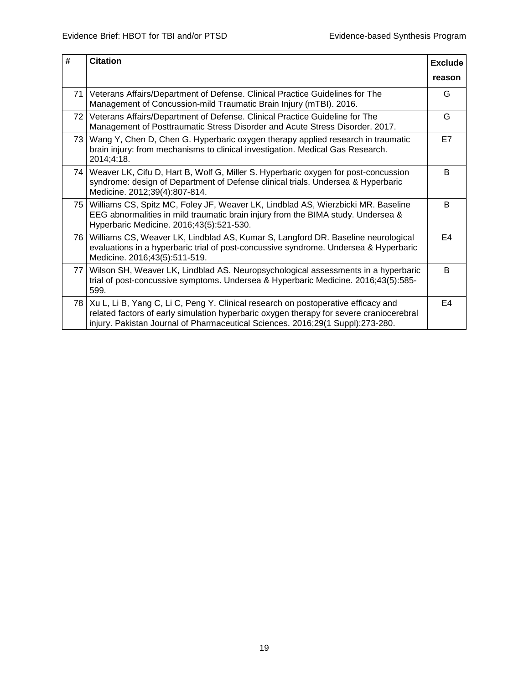| #         | <b>Citation</b>                                                                                                                                                                                                                                                     | <b>Exclude</b> |
|-----------|---------------------------------------------------------------------------------------------------------------------------------------------------------------------------------------------------------------------------------------------------------------------|----------------|
|           |                                                                                                                                                                                                                                                                     | reason         |
| <b>71</b> | Veterans Affairs/Department of Defense. Clinical Practice Guidelines for The<br>Management of Concussion-mild Traumatic Brain Injury (mTBI). 2016.                                                                                                                  | G              |
| 72 I      | Veterans Affairs/Department of Defense. Clinical Practice Guideline for The<br>Management of Posttraumatic Stress Disorder and Acute Stress Disorder. 2017.                                                                                                         | G              |
| 73        | Wang Y, Chen D, Chen G. Hyperbaric oxygen therapy applied research in traumatic<br>brain injury: from mechanisms to clinical investigation. Medical Gas Research.<br>2014;4:18.                                                                                     | E7             |
|           | 74   Weaver LK, Cifu D, Hart B, Wolf G, Miller S. Hyperbaric oxygen for post-concussion<br>syndrome: design of Department of Defense clinical trials. Undersea & Hyperbaric<br>Medicine. 2012;39(4):807-814.                                                        | B              |
| 75        | Williams CS, Spitz MC, Foley JF, Weaver LK, Lindblad AS, Wierzbicki MR. Baseline<br>EEG abnormalities in mild traumatic brain injury from the BIMA study. Undersea &<br>Hyperbaric Medicine. 2016;43(5):521-530.                                                    | B              |
|           | 76   Williams CS, Weaver LK, Lindblad AS, Kumar S, Langford DR. Baseline neurological<br>evaluations in a hyperbaric trial of post-concussive syndrome. Undersea & Hyperbaric<br>Medicine. 2016;43(5):511-519.                                                      | E4             |
| 77        | Wilson SH, Weaver LK, Lindblad AS. Neuropsychological assessments in a hyperbaric<br>trial of post-concussive symptoms. Undersea & Hyperbaric Medicine. 2016;43(5):585-<br>599.                                                                                     | B              |
|           | 78   Xu L, Li B, Yang C, Li C, Peng Y. Clinical research on postoperative efficacy and<br>related factors of early simulation hyperbaric oxygen therapy for severe craniocerebral<br>injury. Pakistan Journal of Pharmaceutical Sciences. 2016;29(1 Suppl):273-280. | E4             |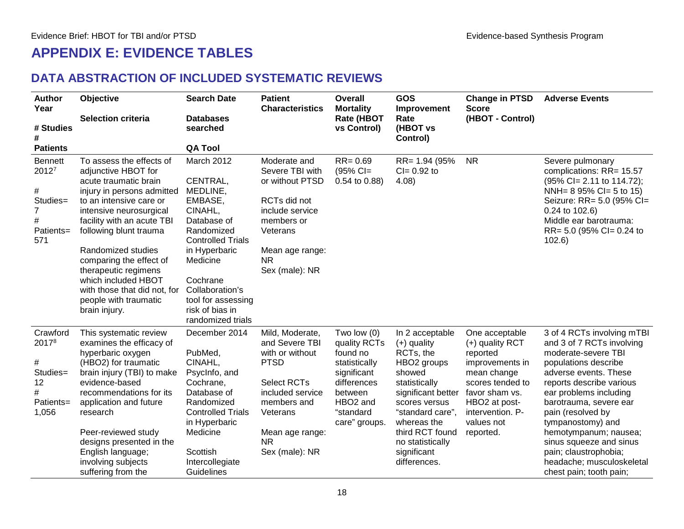#### **APPENDIX E: EVIDENCE TABLES**

#### **DATA ABSTRACTION OF INCLUDED SYSTEMATIC REVIEWS**

<span id="page-21-1"></span><span id="page-21-0"></span>

| <b>Author</b><br>Year                                                     | Objective                                                                                                                                                                                                                                                                                                                                                                                      | <b>Search Date</b>                                                                                                                                                                                                                          | <b>Patient</b><br><b>Characteristics</b>                                                                                                                                                   | Overall<br><b>Mortality</b>                                                                                                                               | <b>GOS</b><br>Improvement                                                                                                                                                                                                                           | <b>Change in PTSD</b><br><b>Score</b>                                                                                                                                                 | <b>Adverse Events</b>                                                                                                                                                                                                                                                                                                                                                                          |
|---------------------------------------------------------------------------|------------------------------------------------------------------------------------------------------------------------------------------------------------------------------------------------------------------------------------------------------------------------------------------------------------------------------------------------------------------------------------------------|---------------------------------------------------------------------------------------------------------------------------------------------------------------------------------------------------------------------------------------------|--------------------------------------------------------------------------------------------------------------------------------------------------------------------------------------------|-----------------------------------------------------------------------------------------------------------------------------------------------------------|-----------------------------------------------------------------------------------------------------------------------------------------------------------------------------------------------------------------------------------------------------|---------------------------------------------------------------------------------------------------------------------------------------------------------------------------------------|------------------------------------------------------------------------------------------------------------------------------------------------------------------------------------------------------------------------------------------------------------------------------------------------------------------------------------------------------------------------------------------------|
| # Studies                                                                 | <b>Selection criteria</b>                                                                                                                                                                                                                                                                                                                                                                      | <b>Databases</b><br>searched                                                                                                                                                                                                                |                                                                                                                                                                                            | <b>Rate (HBOT</b><br>vs Control)                                                                                                                          | Rate<br>(HBOT vs<br>Control)                                                                                                                                                                                                                        | (HBOT - Control)                                                                                                                                                                      |                                                                                                                                                                                                                                                                                                                                                                                                |
| <b>Patients</b>                                                           |                                                                                                                                                                                                                                                                                                                                                                                                | <b>QA Tool</b>                                                                                                                                                                                                                              |                                                                                                                                                                                            |                                                                                                                                                           |                                                                                                                                                                                                                                                     |                                                                                                                                                                                       |                                                                                                                                                                                                                                                                                                                                                                                                |
| <b>Bennett</b><br>20127<br>#<br>Studies=<br>7<br>$\#$<br>Patients=<br>571 | To assess the effects of<br>adjunctive HBOT for<br>acute traumatic brain<br>injury in persons admitted<br>to an intensive care or<br>intensive neurosurgical<br>facility with an acute TBI<br>following blunt trauma<br>Randomized studies<br>comparing the effect of<br>therapeutic regimens<br>which included HBOT<br>with those that did not, for<br>people with traumatic<br>brain injury. | March 2012<br>CENTRAL,<br>MEDLINE,<br>EMBASE,<br>CINAHL,<br>Database of<br>Randomized<br><b>Controlled Trials</b><br>in Hyperbaric<br>Medicine<br>Cochrane<br>Collaboration's<br>tool for assessing<br>risk of bias in<br>randomized trials | Moderate and<br>Severe TBI with<br>or without PTSD<br>RCTs did not<br>include service<br>members or<br>Veterans<br>Mean age range:<br><b>NR</b><br>Sex (male): NR                          | $RR = 0.69$<br>$(95% CI =$<br>$0.54$ to $0.88$ )                                                                                                          | RR= 1.94 (95%)<br>$Cl = 0.92$ to<br>4.08                                                                                                                                                                                                            | <b>NR</b>                                                                                                                                                                             | Severe pulmonary<br>complications: RR= 15.57<br>$(95\%$ Cl= 2.11 to 114.72);<br>NNH= $895\%$ CI= 5 to 15)<br>Seizure: RR= 5.0 (95% Cl=<br>0.24 to 102.6)<br>Middle ear barotrauma:<br>RR= 5.0 (95% CI= 0.24 to<br>102.6                                                                                                                                                                        |
| Crawford<br>20178<br>#<br>Studies=<br>12<br>Patients=<br>1,056            | This systematic review<br>examines the efficacy of<br>hyperbaric oxygen<br>(HBO2) for traumatic<br>brain injury (TBI) to make<br>evidence-based<br>recommendations for its<br>application and future<br>research<br>Peer-reviewed study<br>designs presented in the<br>English language;<br>involving subjects<br>suffering from the                                                           | December 2014<br>PubMed,<br>CINAHL,<br>PsycInfo, and<br>Cochrane,<br>Database of<br>Randomized<br><b>Controlled Trials</b><br>in Hyperbaric<br>Medicine<br>Scottish<br>Intercollegiate<br>Guidelines                                        | Mild, Moderate,<br>and Severe TBI<br>with or without<br><b>PTSD</b><br><b>Select RCTs</b><br>included service<br>members and<br>Veterans<br>Mean age range:<br><b>NR</b><br>Sex (male): NR | Two low $(0)$<br>quality RCTs<br>found no<br>statistically<br>significant<br>differences<br>between<br>HBO <sub>2</sub> and<br>"standard<br>care" groups. | In 2 acceptable<br>$(+)$ quality<br>RCTs, the<br>HBO <sub>2</sub> groups<br>showed<br>statistically<br>significant better<br>scores versus<br>"standard care",<br>whereas the<br>third RCT found<br>no statistically<br>significant<br>differences. | One acceptable<br>(+) quality RCT<br>reported<br>improvements in<br>mean change<br>scores tended to<br>favor sham vs.<br>HBO2 at post-<br>intervention. P-<br>values not<br>reported. | 3 of 4 RCTs involving mTBI<br>and 3 of 7 RCTs involving<br>moderate-severe TBI<br>populations describe<br>adverse events. These<br>reports describe various<br>ear problems including<br>barotrauma, severe ear<br>pain (resolved by<br>tympanostomy) and<br>hemotympanum; nausea;<br>sinus squeeze and sinus<br>pain; claustrophobia;<br>headache; musculoskeletal<br>chest pain; tooth pain; |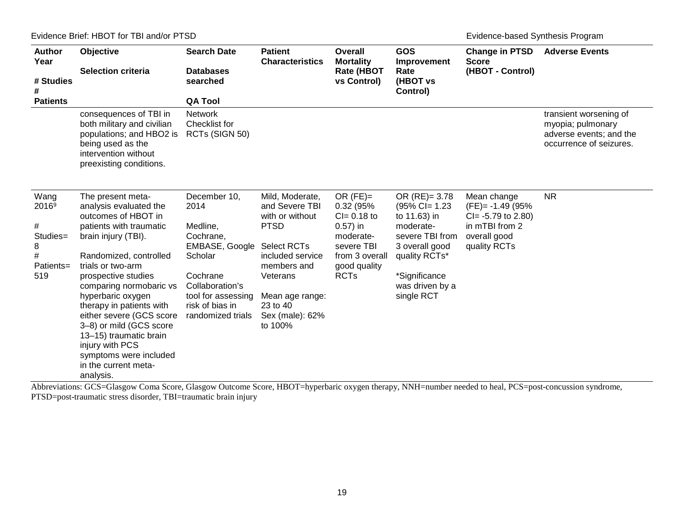#### Evidence Brief: HBOT for TBI and/or PTSD example and the state of the state of the state of the Evidence-based Synthesis Program

| <b>Author</b><br>Year<br># Studies<br>#<br><b>Patients</b>      | Objective<br><b>Selection criteria</b>                                                                                                                                                                                                                                                                                                                                                                                                    | <b>Search Date</b><br><b>Databases</b><br>searched<br><b>QA Tool</b>                                                                                                    | <b>Patient</b><br><b>Characteristics</b>                                                                                                                                                              | Overall<br><b>Mortality</b><br><b>Rate (HBOT</b><br>vs Control)                                                                       | GOS<br>Improvement<br>Rate<br>(HBOT vs<br>Control)                                                                                                                        | <b>Change in PTSD</b><br><b>Score</b><br>(HBOT - Control)                                                       | <b>Adverse Events</b>                                                                             |
|-----------------------------------------------------------------|-------------------------------------------------------------------------------------------------------------------------------------------------------------------------------------------------------------------------------------------------------------------------------------------------------------------------------------------------------------------------------------------------------------------------------------------|-------------------------------------------------------------------------------------------------------------------------------------------------------------------------|-------------------------------------------------------------------------------------------------------------------------------------------------------------------------------------------------------|---------------------------------------------------------------------------------------------------------------------------------------|---------------------------------------------------------------------------------------------------------------------------------------------------------------------------|-----------------------------------------------------------------------------------------------------------------|---------------------------------------------------------------------------------------------------|
|                                                                 | consequences of TBI in<br>both military and civilian<br>populations; and HBO2 is<br>being used as the<br>intervention without<br>preexisting conditions.                                                                                                                                                                                                                                                                                  | <b>Network</b><br>Checklist for<br>RCTs (SIGN 50)                                                                                                                       |                                                                                                                                                                                                       |                                                                                                                                       |                                                                                                                                                                           |                                                                                                                 | transient worsening of<br>myopia; pulmonary<br>adverse events; and the<br>occurrence of seizures. |
| Wang<br>20169<br>#<br>Studies=<br>8<br>$\#$<br>Patients=<br>519 | The present meta-<br>analysis evaluated the<br>outcomes of HBOT in<br>patients with traumatic<br>brain injury (TBI).<br>Randomized, controlled<br>trials or two-arm<br>prospective studies<br>comparing normobaric vs<br>hyperbaric oxygen<br>therapy in patients with<br>either severe (GCS score<br>3-8) or mild (GCS score<br>13-15) traumatic brain<br>injury with PCS<br>symptoms were included<br>in the current meta-<br>analysis. | December 10,<br>2014<br>Medline,<br>Cochrane,<br>EMBASE, Google<br>Scholar<br>Cochrane<br>Collaboration's<br>tool for assessing<br>risk of bias in<br>randomized trials | Mild, Moderate,<br>and Severe TBI<br>with or without<br><b>PTSD</b><br><b>Select RCTs</b><br>included service<br>members and<br>Veterans<br>Mean age range:<br>23 to 40<br>Sex (male): 62%<br>to 100% | OR $(FE) =$<br>0.32 (95%<br>$CI = 0.18$ to<br>$0.57$ ) in<br>moderate-<br>severe TBI<br>from 3 overall<br>good quality<br><b>RCTs</b> | OR $(RE) = 3.78$<br>$(95\%$ CI= 1.23<br>to 11.63) in<br>moderate-<br>severe TBI from<br>3 overall good<br>quality RCTs*<br>*Significance<br>was driven by a<br>single RCT | Mean change<br>$(FE) = -1.49 (95\%)$<br>$Cl = -5.79$ to 2.80)<br>in mTBI from 2<br>overall good<br>quality RCTs | <b>NR</b>                                                                                         |

Abbreviations: GCS=Glasgow Coma Score, Glasgow Outcome Score, HBOT=hyperbaric oxygen therapy, NNH=number needed to heal, PCS=post-concussion syndrome, PTSD=post-traumatic stress disorder, TBI=traumatic brain injury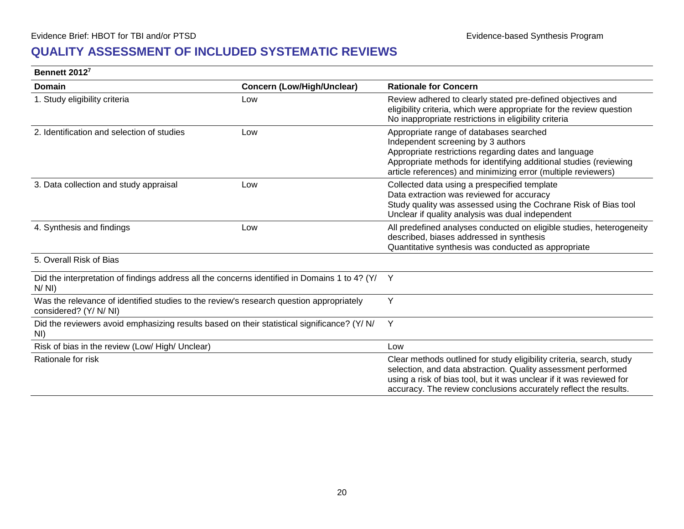#### **QUALITY ASSESSMENT OF INCLUDED SYSTEMATIC REVIEWS**

#### **Bennett 201[27](#page-56-1)**

<span id="page-23-0"></span>

| Domain                                                                                                            | <b>Concern (Low/High/Unclear)</b> | <b>Rationale for Concern</b>                                                                                                                                                                                                                                                      |
|-------------------------------------------------------------------------------------------------------------------|-----------------------------------|-----------------------------------------------------------------------------------------------------------------------------------------------------------------------------------------------------------------------------------------------------------------------------------|
| 1. Study eligibility criteria                                                                                     | Low                               | Review adhered to clearly stated pre-defined objectives and<br>eligibility criteria, which were appropriate for the review question<br>No inappropriate restrictions in eligibility criteria                                                                                      |
| 2. Identification and selection of studies                                                                        | Low                               | Appropriate range of databases searched<br>Independent screening by 3 authors<br>Appropriate restrictions regarding dates and language<br>Appropriate methods for identifying additional studies (reviewing<br>article references) and minimizing error (multiple reviewers)      |
| 3. Data collection and study appraisal                                                                            | Low                               | Collected data using a prespecified template<br>Data extraction was reviewed for accuracy<br>Study quality was assessed using the Cochrane Risk of Bias tool<br>Unclear if quality analysis was dual independent                                                                  |
| 4. Synthesis and findings                                                                                         | Low                               | All predefined analyses conducted on eligible studies, heterogeneity<br>described, biases addressed in synthesis<br>Quantitative synthesis was conducted as appropriate                                                                                                           |
| 5. Overall Risk of Bias                                                                                           |                                   |                                                                                                                                                                                                                                                                                   |
| Did the interpretation of findings address all the concerns identified in Domains 1 to 4? (Y/<br>N/NI)            |                                   | Y                                                                                                                                                                                                                                                                                 |
| Was the relevance of identified studies to the review's research question appropriately<br>considered? (Y/ N/ NI) |                                   | Y                                                                                                                                                                                                                                                                                 |
| Did the reviewers avoid emphasizing results based on their statistical significance? (Y/ N/<br>NI)                |                                   | Y                                                                                                                                                                                                                                                                                 |
| Risk of bias in the review (Low/ High/ Unclear)                                                                   |                                   | Low                                                                                                                                                                                                                                                                               |
| Rationale for risk                                                                                                |                                   | Clear methods outlined for study eligibility criteria, search, study<br>selection, and data abstraction. Quality assessment performed<br>using a risk of bias tool, but it was unclear if it was reviewed for<br>accuracy. The review conclusions accurately reflect the results. |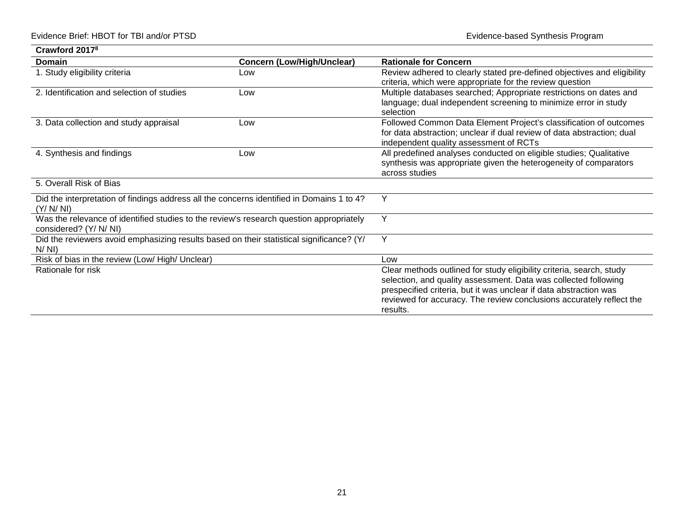| Crawford 2017 <sup>8</sup>                                                                                        |                                   |                                                                                                                                                                                                                                                                                                  |
|-------------------------------------------------------------------------------------------------------------------|-----------------------------------|--------------------------------------------------------------------------------------------------------------------------------------------------------------------------------------------------------------------------------------------------------------------------------------------------|
| Domain                                                                                                            | <b>Concern (Low/High/Unclear)</b> | <b>Rationale for Concern</b>                                                                                                                                                                                                                                                                     |
| 1. Study eligibility criteria                                                                                     | Low                               | Review adhered to clearly stated pre-defined objectives and eligibility<br>criteria, which were appropriate for the review question                                                                                                                                                              |
| 2. Identification and selection of studies                                                                        | Low                               | Multiple databases searched; Appropriate restrictions on dates and<br>language; dual independent screening to minimize error in study<br>selection                                                                                                                                               |
| 3. Data collection and study appraisal                                                                            | Low                               | Followed Common Data Element Project's classification of outcomes<br>for data abstraction; unclear if dual review of data abstraction; dual<br>independent quality assessment of RCTs                                                                                                            |
| 4. Synthesis and findings                                                                                         | Low                               | All predefined analyses conducted on eligible studies; Qualitative<br>synthesis was appropriate given the heterogeneity of comparators<br>across studies                                                                                                                                         |
| 5. Overall Risk of Bias                                                                                           |                                   |                                                                                                                                                                                                                                                                                                  |
| Did the interpretation of findings address all the concerns identified in Domains 1 to 4?<br>(Y/N/N)              |                                   | Y                                                                                                                                                                                                                                                                                                |
| Was the relevance of identified studies to the review's research question appropriately<br>considered? (Y/ N/ NI) |                                   | Y                                                                                                                                                                                                                                                                                                |
| Did the reviewers avoid emphasizing results based on their statistical significance? (Y/<br>N/NI)                 |                                   | Y                                                                                                                                                                                                                                                                                                |
| Risk of bias in the review (Low/ High/ Unclear)                                                                   |                                   | Low                                                                                                                                                                                                                                                                                              |
| Rationale for risk                                                                                                |                                   | Clear methods outlined for study eligibility criteria, search, study<br>selection, and quality assessment. Data was collected following<br>prespecified criteria, but it was unclear if data abstraction was<br>reviewed for accuracy. The review conclusions accurately reflect the<br>results. |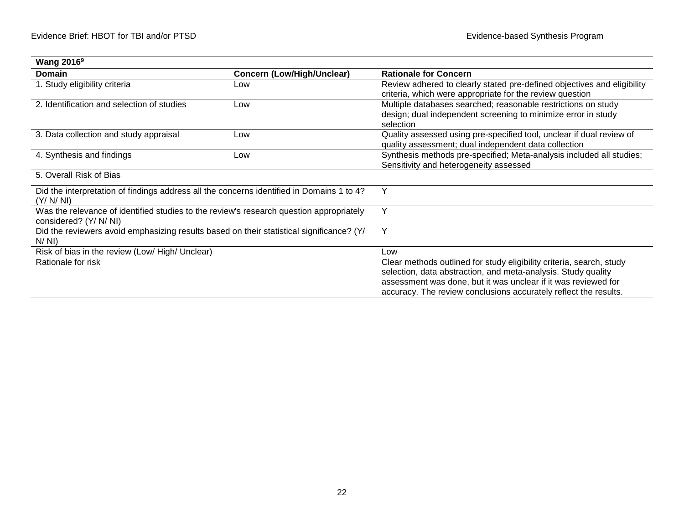| <b>Wang 2016<sup>9</sup></b>                                                                                      |                                   |                                                                                                                                                                                                                                                                             |
|-------------------------------------------------------------------------------------------------------------------|-----------------------------------|-----------------------------------------------------------------------------------------------------------------------------------------------------------------------------------------------------------------------------------------------------------------------------|
| Domain                                                                                                            | <b>Concern (Low/High/Unclear)</b> | <b>Rationale for Concern</b>                                                                                                                                                                                                                                                |
| 1. Study eligibility criteria                                                                                     | Low                               | Review adhered to clearly stated pre-defined objectives and eligibility<br>criteria, which were appropriate for the review question                                                                                                                                         |
| 2. Identification and selection of studies                                                                        | Low                               | Multiple databases searched; reasonable restrictions on study<br>design; dual independent screening to minimize error in study<br>selection                                                                                                                                 |
| 3. Data collection and study appraisal                                                                            | Low                               | Quality assessed using pre-specified tool, unclear if dual review of<br>quality assessment; dual independent data collection                                                                                                                                                |
| 4. Synthesis and findings                                                                                         | Low                               | Synthesis methods pre-specified; Meta-analysis included all studies;<br>Sensitivity and heterogeneity assessed                                                                                                                                                              |
| 5. Overall Risk of Bias                                                                                           |                                   |                                                                                                                                                                                                                                                                             |
| Did the interpretation of findings address all the concerns identified in Domains 1 to 4?<br>(Y/N/N)              |                                   | Υ                                                                                                                                                                                                                                                                           |
| Was the relevance of identified studies to the review's research question appropriately<br>considered? (Y/ N/ NI) |                                   | Y                                                                                                                                                                                                                                                                           |
| Did the reviewers avoid emphasizing results based on their statistical significance? (Y/<br>N/NI)                 |                                   | Υ                                                                                                                                                                                                                                                                           |
| Risk of bias in the review (Low/ High/ Unclear)                                                                   |                                   | Low                                                                                                                                                                                                                                                                         |
| Rationale for risk                                                                                                |                                   | Clear methods outlined for study eligibility criteria, search, study<br>selection, data abstraction, and meta-analysis. Study quality<br>assessment was done, but it was unclear if it was reviewed for<br>accuracy. The review conclusions accurately reflect the results. |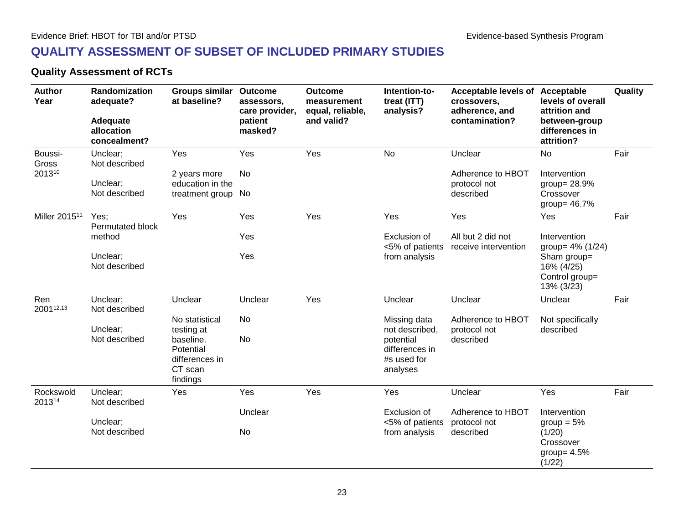#### **QUALITY ASSESSMENT OF SUBSET OF INCLUDED PRIMARY STUDIES**

#### **Quality Assessment of RCTs**

<span id="page-26-2"></span><span id="page-26-1"></span><span id="page-26-0"></span>

| <b>Author</b><br>Year     | Randomization<br>adequate?<br>Adequate<br>allocation<br>concealment? | Groups similar<br>at baseline?                                  | <b>Outcome</b><br>assessors,<br>care provider,<br>patient<br>masked? | <b>Outcome</b><br>measurement<br>equal, reliable,<br>and valid? | Intention-to-<br>treat (ITT)<br>analysis?              | Acceptable levels of Acceptable<br>crossovers,<br>adherence, and<br>contamination? | levels of overall<br>attrition and<br>between-group<br>differences in<br>attrition? | Quality |
|---------------------------|----------------------------------------------------------------------|-----------------------------------------------------------------|----------------------------------------------------------------------|-----------------------------------------------------------------|--------------------------------------------------------|------------------------------------------------------------------------------------|-------------------------------------------------------------------------------------|---------|
| Boussi-<br>Gross          | Unclear;<br>Not described                                            | Yes                                                             | Yes                                                                  | Yes                                                             | <b>No</b>                                              | Unclear                                                                            | No                                                                                  | Fair    |
| 201310                    | Unclear;                                                             | 2 years more<br>education in the                                | No                                                                   |                                                                 |                                                        | Adherence to HBOT<br>protocol not                                                  | Intervention<br>group= 28.9%                                                        |         |
|                           | Not described                                                        | treatment group                                                 | No                                                                   |                                                                 |                                                        | described                                                                          | Crossover<br>group= $46.7\%$                                                        |         |
| Miller 2015 <sup>11</sup> | Yes;<br><b>Permutated block</b>                                      | Yes                                                             | Yes                                                                  | Yes                                                             | Yes                                                    | Yes                                                                                | Yes                                                                                 | Fair    |
|                           | method                                                               |                                                                 | Yes                                                                  |                                                                 | Exclusion of<br><5% of patients                        | All but 2 did not<br>receive intervention                                          | Intervention<br>group= 4% (1/24)                                                    |         |
|                           | Unclear;<br>Not described                                            |                                                                 | Yes                                                                  |                                                                 | from analysis                                          |                                                                                    | Sham group=<br>16% (4/25)<br>Control group=<br>13% (3/23)                           |         |
| Ren<br>200112,13          | Unclear;<br>Not described                                            | Unclear                                                         | Unclear                                                              | Yes                                                             | Unclear                                                | Unclear                                                                            | Unclear                                                                             | Fair    |
|                           | Unclear;                                                             | No statistical<br>testing at                                    | No                                                                   |                                                                 | Missing data<br>not described,                         | Adherence to HBOT<br>protocol not                                                  | Not specifically<br>described                                                       |         |
|                           | Not described                                                        | baseline.<br>Potential<br>differences in<br>CT scan<br>findings | No                                                                   |                                                                 | potential<br>differences in<br>#s used for<br>analyses | described                                                                          |                                                                                     |         |
| Rockswold<br>201314       | Unclear;<br>Not described                                            | Yes                                                             | Yes                                                                  | Yes                                                             | Yes                                                    | Unclear                                                                            | Yes                                                                                 | Fair    |
|                           |                                                                      |                                                                 | Unclear                                                              |                                                                 | Exclusion of                                           | Adherence to HBOT                                                                  | Intervention                                                                        |         |
|                           | Unclear;<br>Not described                                            |                                                                 | No                                                                   |                                                                 | <5% of patients<br>from analysis                       | protocol not<br>described                                                          | group $= 5\%$<br>(1/20)<br>Crossover<br>group= $4.5%$<br>(1/22)                     |         |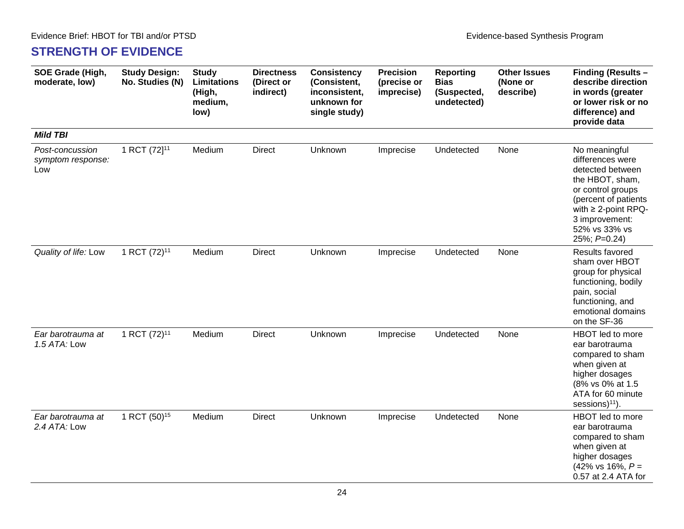#### **STRENGTH OF EVIDENCE**

| SOE Grade (High,<br>moderate, low)          | <b>Study Design:</b><br>No. Studies (N) | <b>Study</b><br>Limitations<br>(High,<br>medium,<br>low) | <b>Directness</b><br>(Direct or<br>indirect) | <b>Consistency</b><br>(Consistent,<br>inconsistent,<br>unknown for<br>single study) | <b>Precision</b><br>(precise or<br>imprecise) | <b>Reporting</b><br><b>Bias</b><br>(Suspected,<br>undetected) | <b>Other Issues</b><br>(None or<br>describe) | Finding (Results -<br>describe direction<br>in words (greater<br>or lower risk or no<br>difference) and<br>provide data                                                                              |
|---------------------------------------------|-----------------------------------------|----------------------------------------------------------|----------------------------------------------|-------------------------------------------------------------------------------------|-----------------------------------------------|---------------------------------------------------------------|----------------------------------------------|------------------------------------------------------------------------------------------------------------------------------------------------------------------------------------------------------|
| <b>Mild TBI</b>                             |                                         |                                                          |                                              |                                                                                     |                                               |                                                               |                                              |                                                                                                                                                                                                      |
| Post-concussion<br>symptom response:<br>Low | 1 RCT (72] <sup>11</sup>                | Medium                                                   | <b>Direct</b>                                | Unknown                                                                             | Imprecise                                     | Undetected                                                    | None                                         | No meaningful<br>differences were<br>detected between<br>the HBOT, sham,<br>or control groups<br>(percent of patients<br>with $\geq$ 2-point RPQ-<br>3 improvement:<br>52% vs 33% vs<br>25%; P=0.24) |
| Quality of life: Low                        | 1 RCT (72) <sup>11</sup>                | Medium                                                   | <b>Direct</b>                                | Unknown                                                                             | Imprecise                                     | Undetected                                                    | None                                         | Results favored<br>sham over HBOT<br>group for physical<br>functioning, bodily<br>pain, social<br>functioning, and<br>emotional domains<br>on the SF-36                                              |
| Ear barotrauma at<br>1.5 ATA: Low           | 1 RCT (72) <sup>11</sup>                | Medium                                                   | <b>Direct</b>                                | Unknown                                                                             | Imprecise                                     | Undetected                                                    | None                                         | HBOT led to more<br>ear barotrauma<br>compared to sham<br>when given at<br>higher dosages<br>(8% vs 0% at 1.5<br>ATA for 60 minute<br>sessions) <sup>11</sup> ).                                     |
| Ear barotrauma at<br>2.4 ATA: Low           | 1 RCT (50) <sup>15</sup>                | Medium                                                   | <b>Direct</b>                                | Unknown                                                                             | Imprecise                                     | Undetected                                                    | None                                         | HBOT led to more<br>ear barotrauma<br>compared to sham<br>when given at<br>higher dosages<br>$(42\% \text{ vs } 16\%, P =$<br>0.57 at 2.4 ATA for                                                    |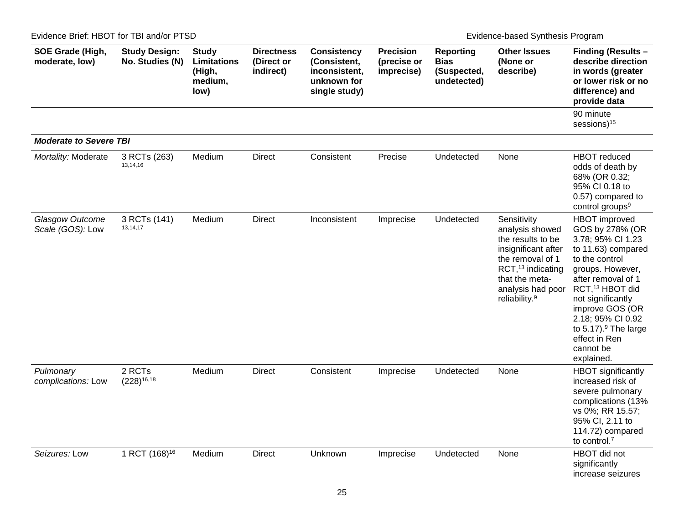Evidence Brief: HBOT for TBI and/or PTSD Evidence-based Synthesis Program

| SOE Grade (High,<br>moderate, low)  | <b>Study Design:</b><br>No. Studies (N) | <b>Study</b><br><b>Limitations</b><br>(High,<br>medium,<br>low) | <b>Directness</b><br>(Direct or<br>indirect) | <b>Consistency</b><br>(Consistent,<br>inconsistent,<br>unknown for<br>single study) | <b>Precision</b><br>(precise or<br>imprecise) | <b>Reporting</b><br><b>Bias</b><br>(Suspected,<br>undetected) | <b>Other Issues</b><br>(None or<br>describe)                                                                                                                                                        | Finding (Results -<br>describe direction<br>in words (greater<br>or lower risk or no<br>difference) and<br>provide data                                                                                                                                                                                                |
|-------------------------------------|-----------------------------------------|-----------------------------------------------------------------|----------------------------------------------|-------------------------------------------------------------------------------------|-----------------------------------------------|---------------------------------------------------------------|-----------------------------------------------------------------------------------------------------------------------------------------------------------------------------------------------------|------------------------------------------------------------------------------------------------------------------------------------------------------------------------------------------------------------------------------------------------------------------------------------------------------------------------|
|                                     |                                         |                                                                 |                                              |                                                                                     |                                               |                                                               |                                                                                                                                                                                                     | 90 minute<br>sessions) <sup>15</sup>                                                                                                                                                                                                                                                                                   |
| <b>Moderate to Severe TBI</b>       |                                         |                                                                 |                                              |                                                                                     |                                               |                                                               |                                                                                                                                                                                                     |                                                                                                                                                                                                                                                                                                                        |
| Mortality: Moderate                 | 3 RCTs (263)<br>13, 14, 16              | Medium                                                          | <b>Direct</b>                                | Consistent                                                                          | Precise                                       | Undetected                                                    | None                                                                                                                                                                                                | <b>HBOT</b> reduced<br>odds of death by<br>68% (OR 0.32;<br>95% CI 0.18 to<br>0.57) compared to<br>control groups <sup>9</sup>                                                                                                                                                                                         |
| Glasgow Outcome<br>Scale (GOS): Low | 3 RCTs (141)<br>13, 14, 17              | Medium                                                          | <b>Direct</b>                                | Inconsistent                                                                        | Imprecise                                     | Undetected                                                    | Sensitivity<br>analysis showed<br>the results to be<br>insignificant after<br>the removal of 1<br>RCT, <sup>13</sup> indicating<br>that the meta-<br>analysis had poor<br>reliability. <sup>9</sup> | HBOT improved<br>GOS by 278% (OR<br>3.78; 95% CI 1.23<br>to 11.63) compared<br>to the control<br>groups. However,<br>after removal of 1<br>RCT, <sup>13</sup> HBOT did<br>not significantly<br>improve GOS (OR<br>2.18; 95% CI 0.92<br>to $5.17$ ). <sup>9</sup> The large<br>effect in Ren<br>cannot be<br>explained. |
| Pulmonary<br>complications: Low     | 2 RCTs<br>$(228)^{16,18}$               | Medium                                                          | <b>Direct</b>                                | Consistent                                                                          | Imprecise                                     | Undetected                                                    | None                                                                                                                                                                                                | <b>HBOT</b> significantly<br>increased risk of<br>severe pulmonary<br>complications (13%<br>vs 0%; RR 15.57;<br>95% CI, 2.11 to<br>114.72) compared<br>to control.7                                                                                                                                                    |
| Seizures: Low                       | 1 RCT (168) <sup>16</sup>               | Medium                                                          | <b>Direct</b>                                | Unknown                                                                             | Imprecise                                     | Undetected                                                    | None                                                                                                                                                                                                | HBOT did not<br>significantly<br>increase seizures                                                                                                                                                                                                                                                                     |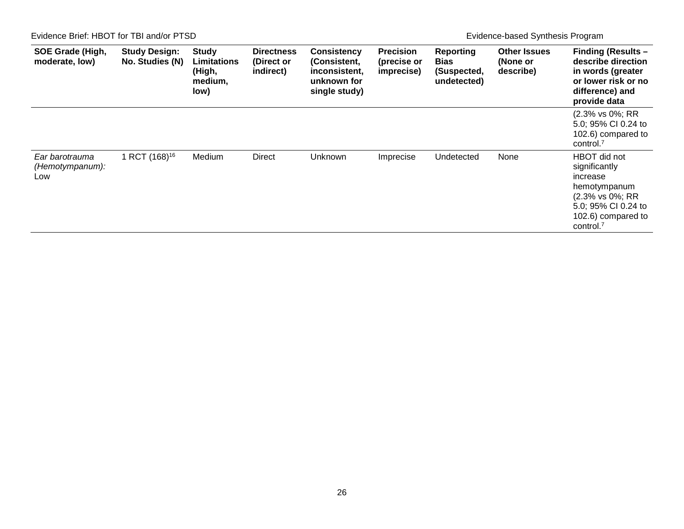Evidence Brief: HBOT for TBI and/or PTSD Evidence-based Synthesis Program

| <b>SOE Grade (High,</b><br>moderate, low) | <b>Study Design:</b><br>No. Studies (N) | <b>Study</b><br><b>Limitations</b><br>(High,<br>medium,<br>low) | <b>Directness</b><br>(Direct or<br>indirect) | <b>Consistency</b><br>(Consistent,<br>inconsistent,<br>unknown for<br>single study) | <b>Precision</b><br>(precise or<br>imprecise) | <b>Reporting</b><br><b>Bias</b><br>(Suspected,<br>undetected) | <b>Other Issues</b><br>(None or<br>describe) | <b>Finding (Results -</b><br>describe direction<br>in words (greater<br>or lower risk or no<br>difference) and<br>provide data                     |
|-------------------------------------------|-----------------------------------------|-----------------------------------------------------------------|----------------------------------------------|-------------------------------------------------------------------------------------|-----------------------------------------------|---------------------------------------------------------------|----------------------------------------------|----------------------------------------------------------------------------------------------------------------------------------------------------|
|                                           |                                         |                                                                 |                                              |                                                                                     |                                               |                                                               |                                              | (2.3% vs 0%; RR<br>5.0; 95% CI 0.24 to<br>102.6) compared to<br>control <sup>7</sup>                                                               |
| Ear barotrauma<br>(Hemotympanum):<br>Low  | 1 RCT (168) <sup>16</sup>               | Medium                                                          | <b>Direct</b>                                | Unknown                                                                             | Imprecise                                     | Undetected                                                    | None                                         | HBOT did not<br>significantly<br>increase<br>hemotympanum<br>(2.3% vs 0%; RR<br>5.0; 95% CI 0.24 to<br>102.6) compared to<br>control. <sup>7</sup> |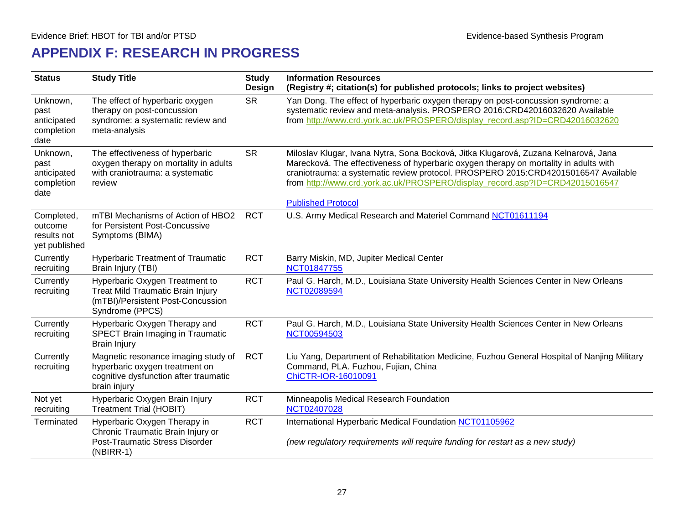# **APPENDIX F: RESEARCH IN PROGRESS**

<span id="page-30-0"></span>

| <b>Status</b>                                         | <b>Study Title</b>                                                                                                             | <b>Study</b><br><b>Design</b> | <b>Information Resources</b><br>(Registry #; citation(s) for published protocols; links to project websites)                                                                                                                                                                                                                                                                    |
|-------------------------------------------------------|--------------------------------------------------------------------------------------------------------------------------------|-------------------------------|---------------------------------------------------------------------------------------------------------------------------------------------------------------------------------------------------------------------------------------------------------------------------------------------------------------------------------------------------------------------------------|
| Unknown,<br>past<br>anticipated<br>completion<br>date | The effect of hyperbaric oxygen<br>therapy on post-concussion<br>syndrome: a systematic review and<br>meta-analysis            | <b>SR</b>                     | Yan Dong. The effect of hyperbaric oxygen therapy on post-concussion syndrome: a<br>systematic review and meta-analysis. PROSPERO 2016:CRD42016032620 Available<br>from http://www.crd.york.ac.uk/PROSPERO/display_record.asp?ID=CRD42016032620                                                                                                                                 |
| Unknown,<br>past<br>anticipated<br>completion<br>date | The effectiveness of hyperbaric<br>oxygen therapy on mortality in adults<br>with craniotrauma: a systematic<br>review          | <b>SR</b>                     | Miloslav Klugar, Ivana Nytra, Sona Bocková, Jitka Klugarová, Zuzana Kelnarová, Jana<br>Marecková. The effectiveness of hyperbaric oxygen therapy on mortality in adults with<br>craniotrauma: a systematic review protocol. PROSPERO 2015:CRD42015016547 Available<br>from http://www.crd.york.ac.uk/PROSPERO/display_record.asp?ID=CRD42015016547<br><b>Published Protocol</b> |
| Completed,<br>outcome<br>results not<br>yet published | mTBI Mechanisms of Action of HBO2<br>for Persistent Post-Concussive<br>Symptoms (BIMA)                                         | <b>RCT</b>                    | U.S. Army Medical Research and Materiel Command NCT01611194                                                                                                                                                                                                                                                                                                                     |
| Currently<br>recruiting                               | <b>Hyperbaric Treatment of Traumatic</b><br>Brain Injury (TBI)                                                                 | <b>RCT</b>                    | Barry Miskin, MD, Jupiter Medical Center<br>NCT01847755                                                                                                                                                                                                                                                                                                                         |
| Currently<br>recruiting                               | Hyperbaric Oxygen Treatment to<br>Treat Mild Traumatic Brain Injury<br>(mTBI)/Persistent Post-Concussion<br>Syndrome (PPCS)    | <b>RCT</b>                    | Paul G. Harch, M.D., Louisiana State University Health Sciences Center in New Orleans<br>NCT02089594                                                                                                                                                                                                                                                                            |
| Currently<br>recruiting                               | Hyperbaric Oxygen Therapy and<br>SPECT Brain Imaging in Traumatic<br><b>Brain Injury</b>                                       | <b>RCT</b>                    | Paul G. Harch, M.D., Louisiana State University Health Sciences Center in New Orleans<br>NCT00594503                                                                                                                                                                                                                                                                            |
| Currently<br>recruiting                               | Magnetic resonance imaging study of<br>hyperbaric oxygen treatment on<br>cognitive dysfunction after traumatic<br>brain injury | <b>RCT</b>                    | Liu Yang, Department of Rehabilitation Medicine, Fuzhou General Hospital of Nanjing Military<br>Command, PLA. Fuzhou, Fujian, China<br>ChiCTR-IOR-16010091                                                                                                                                                                                                                      |
| Not yet<br>recruiting                                 | Hyperbaric Oxygen Brain Injury<br><b>Treatment Trial (HOBIT)</b>                                                               | <b>RCT</b>                    | Minneapolis Medical Research Foundation<br>NCT02407028                                                                                                                                                                                                                                                                                                                          |
| Terminated                                            | Hyperbaric Oxygen Therapy in<br>Chronic Traumatic Brain Injury or<br>Post-Traumatic Stress Disorder<br>$(NBIRR-1)$             | <b>RCT</b>                    | International Hyperbaric Medical Foundation NCT01105962<br>(new regulatory requirements will require funding for restart as a new study)                                                                                                                                                                                                                                        |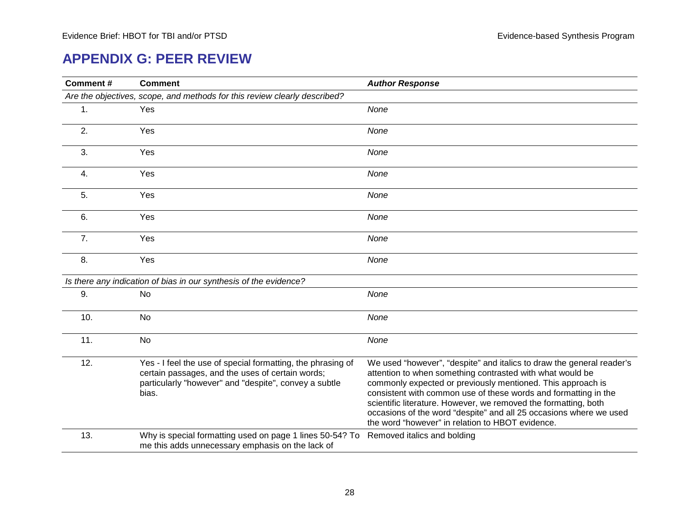#### **APPENDIX G: PEER REVIEW**

<span id="page-31-0"></span>

| Comment# | <b>Comment</b>                                                                                                                                                                    | <b>Author Response</b>                                                                                                                                                                                                                                                                                                                                                                                                                                            |
|----------|-----------------------------------------------------------------------------------------------------------------------------------------------------------------------------------|-------------------------------------------------------------------------------------------------------------------------------------------------------------------------------------------------------------------------------------------------------------------------------------------------------------------------------------------------------------------------------------------------------------------------------------------------------------------|
|          | Are the objectives, scope, and methods for this review clearly described?                                                                                                         |                                                                                                                                                                                                                                                                                                                                                                                                                                                                   |
| 1.       | Yes                                                                                                                                                                               | None                                                                                                                                                                                                                                                                                                                                                                                                                                                              |
| 2.       | Yes                                                                                                                                                                               | None                                                                                                                                                                                                                                                                                                                                                                                                                                                              |
| 3.       | Yes                                                                                                                                                                               | None                                                                                                                                                                                                                                                                                                                                                                                                                                                              |
| 4.       | Yes                                                                                                                                                                               | None                                                                                                                                                                                                                                                                                                                                                                                                                                                              |
| 5.       | Yes                                                                                                                                                                               | None                                                                                                                                                                                                                                                                                                                                                                                                                                                              |
| 6.       | Yes                                                                                                                                                                               | None                                                                                                                                                                                                                                                                                                                                                                                                                                                              |
| 7.       | Yes                                                                                                                                                                               | None                                                                                                                                                                                                                                                                                                                                                                                                                                                              |
| 8.       | Yes                                                                                                                                                                               | None                                                                                                                                                                                                                                                                                                                                                                                                                                                              |
|          | Is there any indication of bias in our synthesis of the evidence?                                                                                                                 |                                                                                                                                                                                                                                                                                                                                                                                                                                                                   |
| 9.       | No                                                                                                                                                                                | None                                                                                                                                                                                                                                                                                                                                                                                                                                                              |
| 10.      | No                                                                                                                                                                                | None                                                                                                                                                                                                                                                                                                                                                                                                                                                              |
| 11.      | No                                                                                                                                                                                | None                                                                                                                                                                                                                                                                                                                                                                                                                                                              |
| 12.      | Yes - I feel the use of special formatting, the phrasing of<br>certain passages, and the uses of certain words;<br>particularly "however" and "despite", convey a subtle<br>bias. | We used "however", "despite" and italics to draw the general reader's<br>attention to when something contrasted with what would be<br>commonly expected or previously mentioned. This approach is<br>consistent with common use of these words and formatting in the<br>scientific literature. However, we removed the formatting, both<br>occasions of the word "despite" and all 25 occasions where we used<br>the word "however" in relation to HBOT evidence. |
| 13.      | Why is special formatting used on page 1 lines 50-54? To<br>me this adds unnecessary emphasis on the lack of                                                                      | Removed italics and bolding                                                                                                                                                                                                                                                                                                                                                                                                                                       |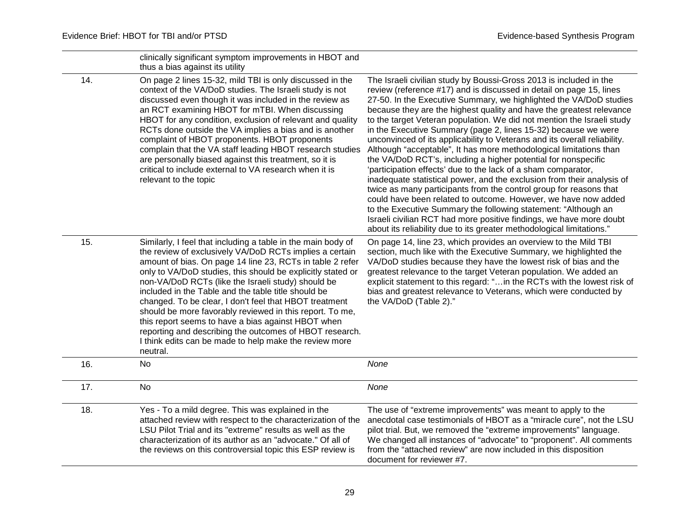|     | clinically significant symptom improvements in HBOT and<br>thus a bias against its utility                                                                                                                                                                                                                                                                                                                                                                                                                                                                                                                                                                                    |                                                                                                                                                                                                                                                                                                                                                                                                                                                                                                                                                                                                                                                                                                                                                                                                                                                                                                                                                                                                                                                                                                                                                               |
|-----|-------------------------------------------------------------------------------------------------------------------------------------------------------------------------------------------------------------------------------------------------------------------------------------------------------------------------------------------------------------------------------------------------------------------------------------------------------------------------------------------------------------------------------------------------------------------------------------------------------------------------------------------------------------------------------|---------------------------------------------------------------------------------------------------------------------------------------------------------------------------------------------------------------------------------------------------------------------------------------------------------------------------------------------------------------------------------------------------------------------------------------------------------------------------------------------------------------------------------------------------------------------------------------------------------------------------------------------------------------------------------------------------------------------------------------------------------------------------------------------------------------------------------------------------------------------------------------------------------------------------------------------------------------------------------------------------------------------------------------------------------------------------------------------------------------------------------------------------------------|
| 14. | On page 2 lines 15-32, mild TBI is only discussed in the<br>context of the VA/DoD studies. The Israeli study is not<br>discussed even though it was included in the review as<br>an RCT examining HBOT for mTBI. When discussing<br>HBOT for any condition, exclusion of relevant and quality<br>RCTs done outside the VA implies a bias and is another<br>complaint of HBOT proponents. HBOT proponents<br>complain that the VA staff leading HBOT research studies<br>are personally biased against this treatment, so it is<br>critical to include external to VA research when it is<br>relevant to the topic                                                             | The Israeli civilian study by Boussi-Gross 2013 is included in the<br>review (reference #17) and is discussed in detail on page 15, lines<br>27-50. In the Executive Summary, we highlighted the VA/DoD studies<br>because they are the highest quality and have the greatest relevance<br>to the target Veteran population. We did not mention the Israeli study<br>in the Executive Summary (page 2, lines 15-32) because we were<br>unconvinced of its applicability to Veterans and its overall reliability.<br>Although "acceptable", It has more methodological limitations than<br>the VA/DoD RCT's, including a higher potential for nonspecific<br>'participation effects' due to the lack of a sham comparator,<br>inadequate statistical power, and the exclusion from their analysis of<br>twice as many participants from the control group for reasons that<br>could have been related to outcome. However, we have now added<br>to the Executive Summary the following statement: "Although an<br>Israeli civilian RCT had more positive findings, we have more doubt<br>about its reliability due to its greater methodological limitations." |
| 15. | Similarly, I feel that including a table in the main body of<br>the review of exclusively VA/DoD RCTs implies a certain<br>amount of bias. On page 14 line 23, RCTs in table 2 refer<br>only to VA/DoD studies, this should be explicitly stated or<br>non-VA/DoD RCTs (like the Israeli study) should be<br>included in the Table and the table title should be<br>changed. To be clear, I don't feel that HBOT treatment<br>should be more favorably reviewed in this report. To me,<br>this report seems to have a bias against HBOT when<br>reporting and describing the outcomes of HBOT research.<br>I think edits can be made to help make the review more<br>neutral. | On page 14, line 23, which provides an overview to the Mild TBI<br>section, much like with the Executive Summary, we highlighted the<br>VA/DoD studies because they have the lowest risk of bias and the<br>greatest relevance to the target Veteran population. We added an<br>explicit statement to this regard: " in the RCTs with the lowest risk of<br>bias and greatest relevance to Veterans, which were conducted by<br>the VA/DoD (Table 2)."                                                                                                                                                                                                                                                                                                                                                                                                                                                                                                                                                                                                                                                                                                        |
| 16. | <b>No</b>                                                                                                                                                                                                                                                                                                                                                                                                                                                                                                                                                                                                                                                                     | None                                                                                                                                                                                                                                                                                                                                                                                                                                                                                                                                                                                                                                                                                                                                                                                                                                                                                                                                                                                                                                                                                                                                                          |
| 17. | <b>No</b>                                                                                                                                                                                                                                                                                                                                                                                                                                                                                                                                                                                                                                                                     | None                                                                                                                                                                                                                                                                                                                                                                                                                                                                                                                                                                                                                                                                                                                                                                                                                                                                                                                                                                                                                                                                                                                                                          |
| 18. | Yes - To a mild degree. This was explained in the<br>attached review with respect to the characterization of the<br>LSU Pilot Trial and its "extreme" results as well as the<br>characterization of its author as an "advocate." Of all of<br>the reviews on this controversial topic this ESP review is                                                                                                                                                                                                                                                                                                                                                                      | The use of "extreme improvements" was meant to apply to the<br>anecdotal case testimonials of HBOT as a "miracle cure", not the LSU<br>pilot trial. But, we removed the "extreme improvements" language.<br>We changed all instances of "advocate" to "proponent". All comments<br>from the "attached review" are now included in this disposition<br>document for reviewer #7.                                                                                                                                                                                                                                                                                                                                                                                                                                                                                                                                                                                                                                                                                                                                                                               |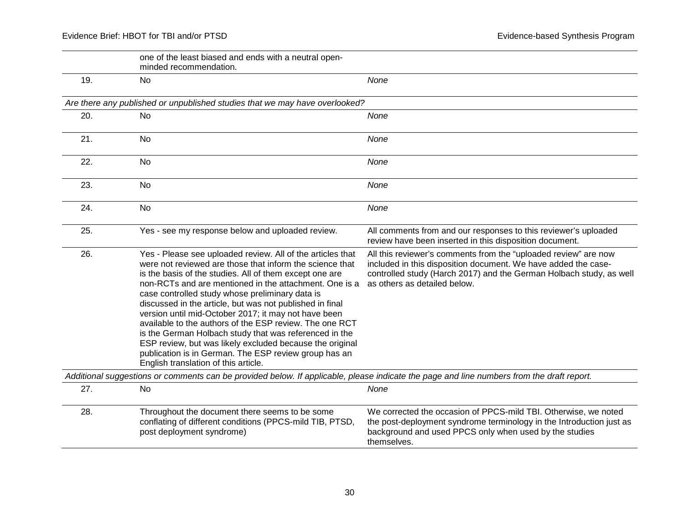|     | one of the least biased and ends with a neutral open-<br>minded recommendation.                                                                                                                                                                                                                                                                                                                                                                                                                                                                                                                                                                                                                      |                                                                                                                                                                                                                                          |
|-----|------------------------------------------------------------------------------------------------------------------------------------------------------------------------------------------------------------------------------------------------------------------------------------------------------------------------------------------------------------------------------------------------------------------------------------------------------------------------------------------------------------------------------------------------------------------------------------------------------------------------------------------------------------------------------------------------------|------------------------------------------------------------------------------------------------------------------------------------------------------------------------------------------------------------------------------------------|
| 19. | <b>No</b>                                                                                                                                                                                                                                                                                                                                                                                                                                                                                                                                                                                                                                                                                            | None                                                                                                                                                                                                                                     |
|     | Are there any published or unpublished studies that we may have overlooked?                                                                                                                                                                                                                                                                                                                                                                                                                                                                                                                                                                                                                          |                                                                                                                                                                                                                                          |
| 20. | <b>No</b>                                                                                                                                                                                                                                                                                                                                                                                                                                                                                                                                                                                                                                                                                            | None                                                                                                                                                                                                                                     |
| 21. | <b>No</b>                                                                                                                                                                                                                                                                                                                                                                                                                                                                                                                                                                                                                                                                                            | None                                                                                                                                                                                                                                     |
| 22. | <b>No</b>                                                                                                                                                                                                                                                                                                                                                                                                                                                                                                                                                                                                                                                                                            | None                                                                                                                                                                                                                                     |
| 23. | <b>No</b>                                                                                                                                                                                                                                                                                                                                                                                                                                                                                                                                                                                                                                                                                            | None                                                                                                                                                                                                                                     |
| 24. | <b>No</b>                                                                                                                                                                                                                                                                                                                                                                                                                                                                                                                                                                                                                                                                                            | None                                                                                                                                                                                                                                     |
| 25. | Yes - see my response below and uploaded review.                                                                                                                                                                                                                                                                                                                                                                                                                                                                                                                                                                                                                                                     | All comments from and our responses to this reviewer's uploaded<br>review have been inserted in this disposition document.                                                                                                               |
| 26. | Yes - Please see uploaded review. All of the articles that<br>were not reviewed are those that inform the science that<br>is the basis of the studies. All of them except one are<br>non-RCTs and are mentioned in the attachment. One is a<br>case controlled study whose preliminary data is<br>discussed in the article, but was not published in final<br>version until mid-October 2017; it may not have been<br>available to the authors of the ESP review. The one RCT<br>is the German Holbach study that was referenced in the<br>ESP review, but was likely excluded because the original<br>publication is in German. The ESP review group has an<br>English translation of this article. | All this reviewer's comments from the "uploaded review" are now<br>included in this disposition document. We have added the case-<br>controlled study (Harch 2017) and the German Holbach study, as well<br>as others as detailed below. |
|     | Additional suggestions or comments can be provided below. If applicable, please indicate the page and line numbers from the draft report.                                                                                                                                                                                                                                                                                                                                                                                                                                                                                                                                                            |                                                                                                                                                                                                                                          |
| 27. | <b>No</b>                                                                                                                                                                                                                                                                                                                                                                                                                                                                                                                                                                                                                                                                                            | None                                                                                                                                                                                                                                     |
| 28. | Throughout the document there seems to be some<br>conflating of different conditions (PPCS-mild TIB, PTSD,<br>post deployment syndrome)                                                                                                                                                                                                                                                                                                                                                                                                                                                                                                                                                              | We corrected the occasion of PPCS-mild TBI. Otherwise, we noted<br>the post-deployment syndrome terminology in the Introduction just as<br>background and used PPCS only when used by the studies<br>themselves.                         |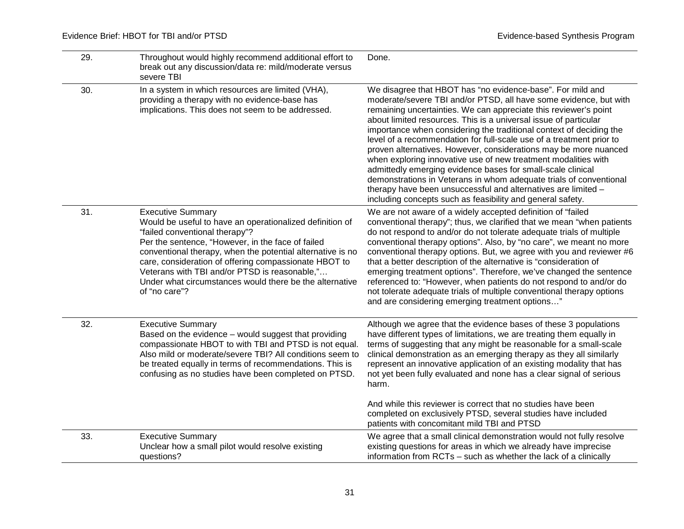| 29. | Throughout would highly recommend additional effort to<br>break out any discussion/data re: mild/moderate versus<br>severe TBI                                                                                                                                                                                                                                                                                                  | Done.                                                                                                                                                                                                                                                                                                                                                                                                                                                                                                                                                                                                                                                                                                                                                                                                                            |
|-----|---------------------------------------------------------------------------------------------------------------------------------------------------------------------------------------------------------------------------------------------------------------------------------------------------------------------------------------------------------------------------------------------------------------------------------|----------------------------------------------------------------------------------------------------------------------------------------------------------------------------------------------------------------------------------------------------------------------------------------------------------------------------------------------------------------------------------------------------------------------------------------------------------------------------------------------------------------------------------------------------------------------------------------------------------------------------------------------------------------------------------------------------------------------------------------------------------------------------------------------------------------------------------|
| 30. | In a system in which resources are limited (VHA),<br>providing a therapy with no evidence-base has<br>implications. This does not seem to be addressed.                                                                                                                                                                                                                                                                         | We disagree that HBOT has "no evidence-base". For mild and<br>moderate/severe TBI and/or PTSD, all have some evidence, but with<br>remaining uncertainties. We can appreciate this reviewer's point<br>about limited resources. This is a universal issue of particular<br>importance when considering the traditional context of deciding the<br>level of a recommendation for full-scale use of a treatment prior to<br>proven alternatives. However, considerations may be more nuanced<br>when exploring innovative use of new treatment modalities with<br>admittedly emerging evidence bases for small-scale clinical<br>demonstrations in Veterans in whom adequate trials of conventional<br>therapy have been unsuccessful and alternatives are limited -<br>including concepts such as feasibility and general safety. |
| 31. | <b>Executive Summary</b><br>Would be useful to have an operationalized definition of<br>"failed conventional therapy"?<br>Per the sentence, "However, in the face of failed<br>conventional therapy, when the potential alternative is no<br>care, consideration of offering compassionate HBOT to<br>Veterans with TBI and/or PTSD is reasonable,"<br>Under what circumstances would there be the alternative<br>of "no care"? | We are not aware of a widely accepted definition of "failed"<br>conventional therapy"; thus, we clarified that we mean "when patients<br>do not respond to and/or do not tolerate adequate trials of multiple<br>conventional therapy options". Also, by "no care", we meant no more<br>conventional therapy options. But, we agree with you and reviewer #6<br>that a better description of the alternative is "consideration of<br>emerging treatment options". Therefore, we've changed the sentence<br>referenced to: "However, when patients do not respond to and/or do<br>not tolerate adequate trials of multiple conventional therapy options<br>and are considering emerging treatment options"                                                                                                                        |
| 32. | <b>Executive Summary</b><br>Based on the evidence - would suggest that providing<br>compassionate HBOT to with TBI and PTSD is not equal.<br>Also mild or moderate/severe TBI? All conditions seem to<br>be treated equally in terms of recommendations. This is<br>confusing as no studies have been completed on PTSD.                                                                                                        | Although we agree that the evidence bases of these 3 populations<br>have different types of limitations, we are treating them equally in<br>terms of suggesting that any might be reasonable for a small-scale<br>clinical demonstration as an emerging therapy as they all similarly<br>represent an innovative application of an existing modality that has<br>not yet been fully evaluated and none has a clear signal of serious<br>harm.<br>And while this reviewer is correct that no studies have been<br>completed on exclusively PTSD, several studies have included<br>patients with concomitant mild TBI and PTSD                                                                                                                                                                                                     |
| 33. | <b>Executive Summary</b><br>Unclear how a small pilot would resolve existing<br>questions?                                                                                                                                                                                                                                                                                                                                      | We agree that a small clinical demonstration would not fully resolve<br>existing questions for areas in which we already have imprecise<br>information from RCTs - such as whether the lack of a clinically                                                                                                                                                                                                                                                                                                                                                                                                                                                                                                                                                                                                                      |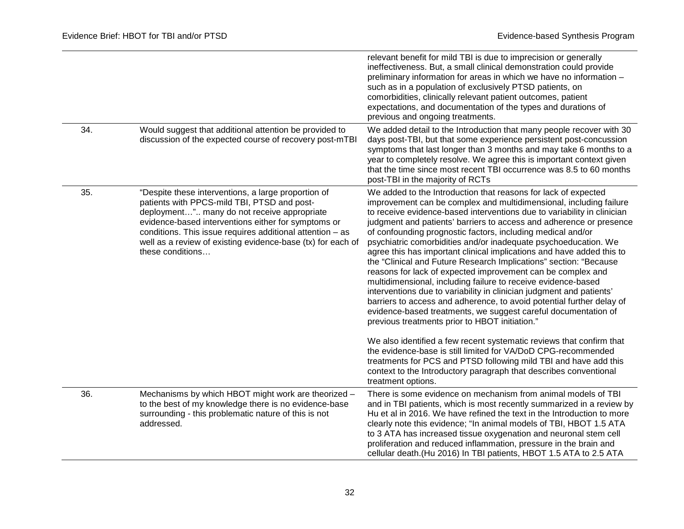|     |                                                                                                                                                                                                                                                                                                                                                            | relevant benefit for mild TBI is due to imprecision or generally<br>ineffectiveness. But, a small clinical demonstration could provide<br>preliminary information for areas in which we have no information -<br>such as in a population of exclusively PTSD patients, on<br>comorbidities, clinically relevant patient outcomes, patient<br>expectations, and documentation of the types and durations of<br>previous and ongoing treatments.                                                                                                                                                                                                                                                                                                                                                                                                                                                                                                                                                                                                                                                                                                                                                                                                                                      |
|-----|------------------------------------------------------------------------------------------------------------------------------------------------------------------------------------------------------------------------------------------------------------------------------------------------------------------------------------------------------------|-------------------------------------------------------------------------------------------------------------------------------------------------------------------------------------------------------------------------------------------------------------------------------------------------------------------------------------------------------------------------------------------------------------------------------------------------------------------------------------------------------------------------------------------------------------------------------------------------------------------------------------------------------------------------------------------------------------------------------------------------------------------------------------------------------------------------------------------------------------------------------------------------------------------------------------------------------------------------------------------------------------------------------------------------------------------------------------------------------------------------------------------------------------------------------------------------------------------------------------------------------------------------------------|
| 34. | Would suggest that additional attention be provided to<br>discussion of the expected course of recovery post-mTBI                                                                                                                                                                                                                                          | We added detail to the Introduction that many people recover with 30<br>days post-TBI, but that some experience persistent post-concussion<br>symptoms that last longer than 3 months and may take 6 months to a<br>year to completely resolve. We agree this is important context given<br>that the time since most recent TBI occurrence was 8.5 to 60 months<br>post-TBI in the majority of RCTs                                                                                                                                                                                                                                                                                                                                                                                                                                                                                                                                                                                                                                                                                                                                                                                                                                                                                 |
| 35. | "Despite these interventions, a large proportion of<br>patients with PPCS-mild TBI, PTSD and post-<br>deployment" many do not receive appropriate<br>evidence-based interventions either for symptoms or<br>conditions. This issue requires additional attention $-$ as<br>well as a review of existing evidence-base (tx) for each of<br>these conditions | We added to the Introduction that reasons for lack of expected<br>improvement can be complex and multidimensional, including failure<br>to receive evidence-based interventions due to variability in clinician<br>judgment and patients' barriers to access and adherence or presence<br>of confounding prognostic factors, including medical and/or<br>psychiatric comorbidities and/or inadequate psychoeducation. We<br>agree this has important clinical implications and have added this to<br>the "Clinical and Future Research Implications" section: "Because<br>reasons for lack of expected improvement can be complex and<br>multidimensional, including failure to receive evidence-based<br>interventions due to variability in clinician judgment and patients'<br>barriers to access and adherence, to avoid potential further delay of<br>evidence-based treatments, we suggest careful documentation of<br>previous treatments prior to HBOT initiation."<br>We also identified a few recent systematic reviews that confirm that<br>the evidence-base is still limited for VA/DoD CPG-recommended<br>treatments for PCS and PTSD following mild TBI and have add this<br>context to the Introductory paragraph that describes conventional<br>treatment options. |
| 36. | Mechanisms by which HBOT might work are theorized -<br>to the best of my knowledge there is no evidence-base<br>surrounding - this problematic nature of this is not<br>addressed.                                                                                                                                                                         | There is some evidence on mechanism from animal models of TBI<br>and in TBI patients, which is most recently summarized in a review by<br>Hu et al in 2016. We have refined the text in the Introduction to more<br>clearly note this evidence; "In animal models of TBI, HBOT 1.5 ATA<br>to 3 ATA has increased tissue oxygenation and neuronal stem cell<br>proliferation and reduced inflammation, pressure in the brain and<br>cellular death.(Hu 2016) In TBI patients, HBOT 1.5 ATA to 2.5 ATA                                                                                                                                                                                                                                                                                                                                                                                                                                                                                                                                                                                                                                                                                                                                                                                |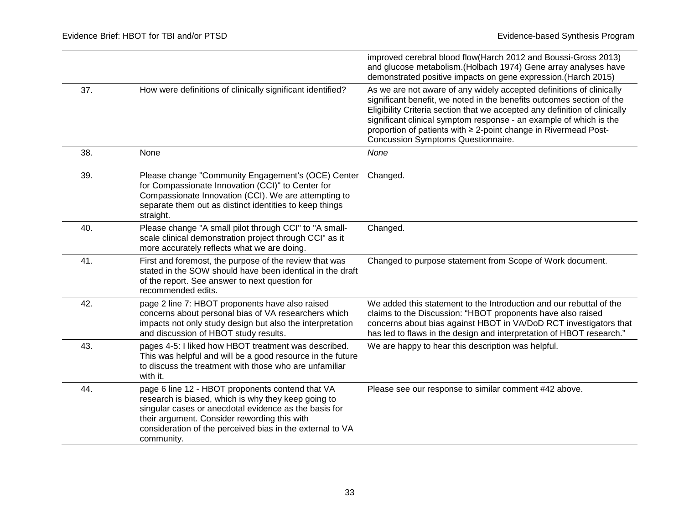|     |                                                                                                                                                                                                                                                                                             | improved cerebral blood flow(Harch 2012 and Boussi-Gross 2013)<br>and glucose metabolism. (Holbach 1974) Gene array analyses have<br>demonstrated positive impacts on gene expression. (Harch 2015)                                                                                                                                                                                                        |
|-----|---------------------------------------------------------------------------------------------------------------------------------------------------------------------------------------------------------------------------------------------------------------------------------------------|------------------------------------------------------------------------------------------------------------------------------------------------------------------------------------------------------------------------------------------------------------------------------------------------------------------------------------------------------------------------------------------------------------|
| 37. | How were definitions of clinically significant identified?                                                                                                                                                                                                                                  | As we are not aware of any widely accepted definitions of clinically<br>significant benefit, we noted in the benefits outcomes section of the<br>Eligibility Criteria section that we accepted any definition of clinically<br>significant clinical symptom response - an example of which is the<br>proportion of patients with ≥ 2-point change in Rivermead Post-<br>Concussion Symptoms Questionnaire. |
| 38. | None                                                                                                                                                                                                                                                                                        | None                                                                                                                                                                                                                                                                                                                                                                                                       |
| 39. | Please change "Community Engagement's (OCE) Center<br>for Compassionate Innovation (CCI)" to Center for<br>Compassionate Innovation (CCI). We are attempting to<br>separate them out as distinct identities to keep things<br>straight.                                                     | Changed.                                                                                                                                                                                                                                                                                                                                                                                                   |
| 40. | Please change "A small pilot through CCI" to "A small-<br>scale clinical demonstration project through CCI" as it<br>more accurately reflects what we are doing.                                                                                                                            | Changed.                                                                                                                                                                                                                                                                                                                                                                                                   |
| 41. | First and foremost, the purpose of the review that was<br>stated in the SOW should have been identical in the draft<br>of the report. See answer to next question for<br>recommended edits.                                                                                                 | Changed to purpose statement from Scope of Work document.                                                                                                                                                                                                                                                                                                                                                  |
| 42. | page 2 line 7: HBOT proponents have also raised<br>concerns about personal bias of VA researchers which<br>impacts not only study design but also the interpretation<br>and discussion of HBOT study results.                                                                               | We added this statement to the Introduction and our rebuttal of the<br>claims to the Discussion: "HBOT proponents have also raised<br>concerns about bias against HBOT in VA/DoD RCT investigators that<br>has led to flaws in the design and interpretation of HBOT research."                                                                                                                            |
| 43. | pages 4-5: I liked how HBOT treatment was described.<br>This was helpful and will be a good resource in the future<br>to discuss the treatment with those who are unfamiliar<br>with it.                                                                                                    | We are happy to hear this description was helpful.                                                                                                                                                                                                                                                                                                                                                         |
| 44. | page 6 line 12 - HBOT proponents contend that VA<br>research is biased, which is why they keep going to<br>singular cases or anecdotal evidence as the basis for<br>their argument. Consider rewording this with<br>consideration of the perceived bias in the external to VA<br>community. | Please see our response to similar comment #42 above.                                                                                                                                                                                                                                                                                                                                                      |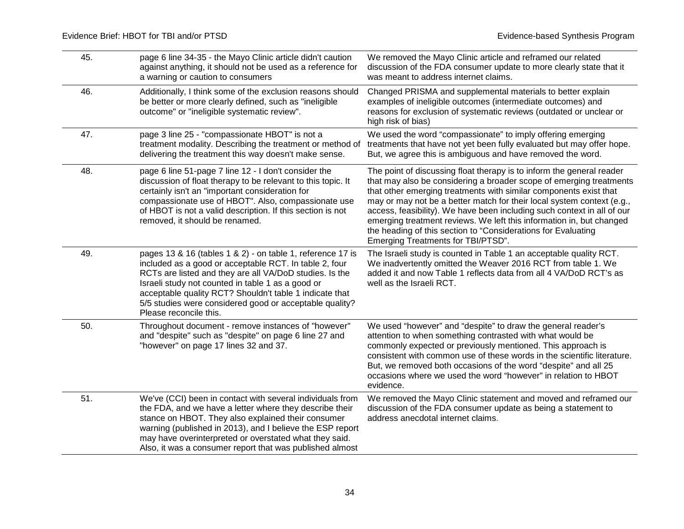| 45. | page 6 line 34-35 - the Mayo Clinic article didn't caution<br>against anything, it should not be used as a reference for<br>a warning or caution to consumers                                                                                                                                                                                                                        | We removed the Mayo Clinic article and reframed our related<br>discussion of the FDA consumer update to more clearly state that it<br>was meant to address internet claims.                                                                                                                                                                                                                                                                                                                                                                           |
|-----|--------------------------------------------------------------------------------------------------------------------------------------------------------------------------------------------------------------------------------------------------------------------------------------------------------------------------------------------------------------------------------------|-------------------------------------------------------------------------------------------------------------------------------------------------------------------------------------------------------------------------------------------------------------------------------------------------------------------------------------------------------------------------------------------------------------------------------------------------------------------------------------------------------------------------------------------------------|
| 46. | Additionally, I think some of the exclusion reasons should<br>be better or more clearly defined, such as "ineligible<br>outcome" or "ineligible systematic review".                                                                                                                                                                                                                  | Changed PRISMA and supplemental materials to better explain<br>examples of ineligible outcomes (intermediate outcomes) and<br>reasons for exclusion of systematic reviews (outdated or unclear or<br>high risk of bias)                                                                                                                                                                                                                                                                                                                               |
| 47. | page 3 line 25 - "compassionate HBOT" is not a<br>treatment modality. Describing the treatment or method of<br>delivering the treatment this way doesn't make sense.                                                                                                                                                                                                                 | We used the word "compassionate" to imply offering emerging<br>treatments that have not yet been fully evaluated but may offer hope.<br>But, we agree this is ambiguous and have removed the word.                                                                                                                                                                                                                                                                                                                                                    |
| 48. | page 6 line 51-page 7 line 12 - I don't consider the<br>discussion of float therapy to be relevant to this topic. It<br>certainly isn't an "important consideration for<br>compassionate use of HBOT". Also, compassionate use<br>of HBOT is not a valid description. If this section is not<br>removed, it should be renamed.                                                       | The point of discussing float therapy is to inform the general reader<br>that may also be considering a broader scope of emerging treatments<br>that other emerging treatments with similar components exist that<br>may or may not be a better match for their local system context (e.g.,<br>access, feasibility). We have been including such context in all of our<br>emerging treatment reviews. We left this information in, but changed<br>the heading of this section to "Considerations for Evaluating<br>Emerging Treatments for TBI/PTSD". |
| 49. | pages 13 & 16 (tables 1 & 2) - on table 1, reference 17 is<br>included as a good or acceptable RCT. In table 2, four<br>RCTs are listed and they are all VA/DoD studies. Is the<br>Israeli study not counted in table 1 as a good or<br>acceptable quality RCT? Shouldn't table 1 indicate that<br>5/5 studies were considered good or acceptable quality?<br>Please reconcile this. | The Israeli study is counted in Table 1 an acceptable quality RCT.<br>We inadvertently omitted the Weaver 2016 RCT from table 1. We<br>added it and now Table 1 reflects data from all 4 VA/DoD RCT's as<br>well as the Israeli RCT.                                                                                                                                                                                                                                                                                                                  |
| 50. | Throughout document - remove instances of "however"<br>and "despite" such as "despite" on page 6 line 27 and<br>"however" on page 17 lines 32 and 37.                                                                                                                                                                                                                                | We used "however" and "despite" to draw the general reader's<br>attention to when something contrasted with what would be<br>commonly expected or previously mentioned. This approach is<br>consistent with common use of these words in the scientific literature.<br>But, we removed both occasions of the word "despite" and all 25<br>occasions where we used the word "however" in relation to HBOT<br>evidence.                                                                                                                                 |
| 51. | We've (CCI) been in contact with several individuals from<br>the FDA, and we have a letter where they describe their<br>stance on HBOT. They also explained their consumer<br>warning (published in 2013), and I believe the ESP report<br>may have overinterpreted or overstated what they said.<br>Also, it was a consumer report that was published almost                        | We removed the Mayo Clinic statement and moved and reframed our<br>discussion of the FDA consumer update as being a statement to<br>address anecdotal internet claims.                                                                                                                                                                                                                                                                                                                                                                                |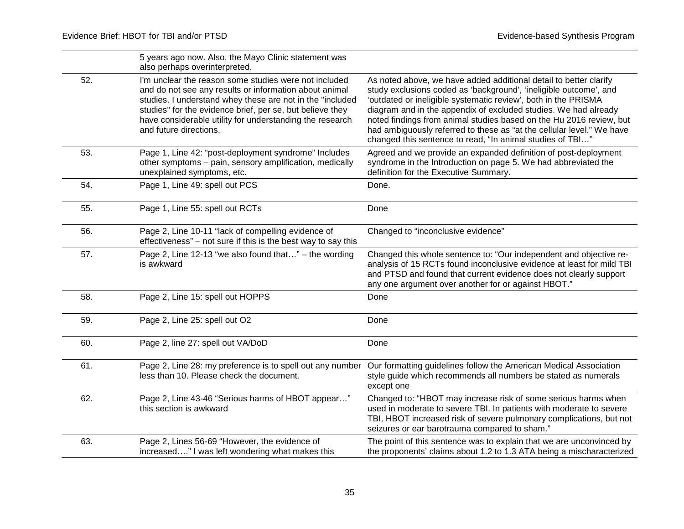|     | 5 years ago now. Also, the Mayo Clinic statement was<br>also perhaps overinterpreted.                                                                                                                                                                                                                                           |                                                                                                                                                                                                                                                                                                                                                                                                                                                                                          |
|-----|---------------------------------------------------------------------------------------------------------------------------------------------------------------------------------------------------------------------------------------------------------------------------------------------------------------------------------|------------------------------------------------------------------------------------------------------------------------------------------------------------------------------------------------------------------------------------------------------------------------------------------------------------------------------------------------------------------------------------------------------------------------------------------------------------------------------------------|
| 52. | I'm unclear the reason some studies were not included<br>and do not see any results or information about animal<br>studies. I understand whey these are not in the "included<br>studies" for the evidence brief, per se, but believe they<br>have considerable utility for understanding the research<br>and future directions. | As noted above, we have added additional detail to better clarify<br>study exclusions coded as 'background', 'ineligible outcome', and<br>'outdated or ineligible systematic review', both in the PRISMA<br>diagram and in the appendix of excluded studies. We had already<br>noted findings from animal studies based on the Hu 2016 review, but<br>had ambiguously referred to these as "at the cellular level." We have<br>changed this sentence to read, "In animal studies of TBI" |
| 53. | Page 1, Line 42: "post-deployment syndrome" Includes<br>other symptoms - pain, sensory amplification, medically<br>unexplained symptoms, etc.                                                                                                                                                                                   | Agreed and we provide an expanded definition of post-deployment<br>syndrome in the Introduction on page 5. We had abbreviated the<br>definition for the Executive Summary.                                                                                                                                                                                                                                                                                                               |
| 54. | Page 1, Line 49: spell out PCS                                                                                                                                                                                                                                                                                                  | Done.                                                                                                                                                                                                                                                                                                                                                                                                                                                                                    |
| 55. | Page 1, Line 55: spell out RCTs                                                                                                                                                                                                                                                                                                 | Done                                                                                                                                                                                                                                                                                                                                                                                                                                                                                     |
| 56. | Page 2, Line 10-11 "lack of compelling evidence of<br>effectiveness" – not sure if this is the best way to say this                                                                                                                                                                                                             | Changed to "inconclusive evidence"                                                                                                                                                                                                                                                                                                                                                                                                                                                       |
| 57. | Page 2, Line 12-13 "we also found that" - the wording<br>is awkward                                                                                                                                                                                                                                                             | Changed this whole sentence to: "Our independent and objective re-<br>analysis of 15 RCTs found inconclusive evidence at least for mild TBI<br>and PTSD and found that current evidence does not clearly support<br>any one argument over another for or against HBOT."                                                                                                                                                                                                                  |
| 58. | Page 2, Line 15: spell out HOPPS                                                                                                                                                                                                                                                                                                | Done                                                                                                                                                                                                                                                                                                                                                                                                                                                                                     |
| 59. | Page 2, Line 25: spell out O2                                                                                                                                                                                                                                                                                                   | Done                                                                                                                                                                                                                                                                                                                                                                                                                                                                                     |
| 60. | Page 2, line 27: spell out VA/DoD                                                                                                                                                                                                                                                                                               | Done                                                                                                                                                                                                                                                                                                                                                                                                                                                                                     |
| 61. | less than 10. Please check the document.                                                                                                                                                                                                                                                                                        | Page 2, Line 28: my preference is to spell out any number Our formatting guidelines follow the American Medical Association<br>style guide which recommends all numbers be stated as numerals<br>except one                                                                                                                                                                                                                                                                              |
| 62. | Page 2, Line 43-46 "Serious harms of HBOT appear"<br>this section is awkward                                                                                                                                                                                                                                                    | Changed to: "HBOT may increase risk of some serious harms when<br>used in moderate to severe TBI. In patients with moderate to severe<br>TBI, HBOT increased risk of severe pulmonary complications, but not<br>seizures or ear barotrauma compared to sham."                                                                                                                                                                                                                            |
| 63. | Page 2, Lines 56-69 "However, the evidence of<br>increased" I was left wondering what makes this                                                                                                                                                                                                                                | The point of this sentence was to explain that we are unconvinced by<br>the proponents' claims about 1.2 to 1.3 ATA being a mischaracterized                                                                                                                                                                                                                                                                                                                                             |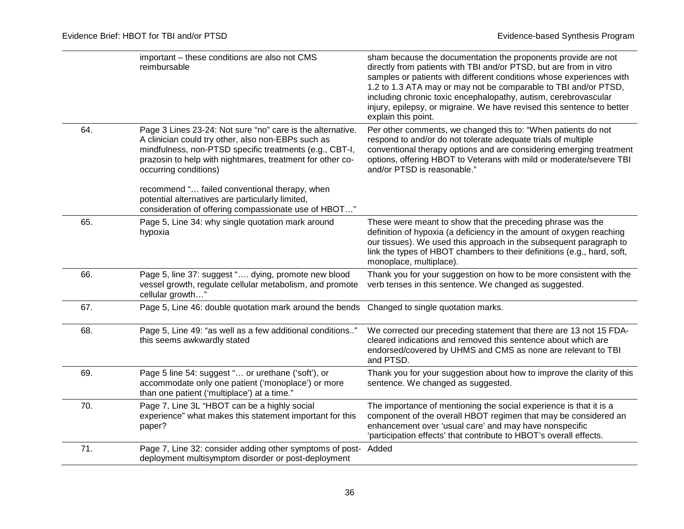|     | important - these conditions are also not CMS<br>reimbursable                                                                                                                                                                                                                                                      | sham because the documentation the proponents provide are not<br>directly from patients with TBI and/or PTSD, but are from in vitro<br>samples or patients with different conditions whose experiences with<br>1.2 to 1.3 ATA may or may not be comparable to TBI and/or PTSD,<br>including chronic toxic encephalopathy, autism, cerebrovascular<br>injury, epilepsy, or migraine. We have revised this sentence to better<br>explain this point. |
|-----|--------------------------------------------------------------------------------------------------------------------------------------------------------------------------------------------------------------------------------------------------------------------------------------------------------------------|----------------------------------------------------------------------------------------------------------------------------------------------------------------------------------------------------------------------------------------------------------------------------------------------------------------------------------------------------------------------------------------------------------------------------------------------------|
| 64. | Page 3 Lines 23-24: Not sure "no" care is the alternative.<br>A clinician could try other, also non-EBPs such as<br>mindfulness, non-PTSD specific treatments (e.g., CBT-I,<br>prazosin to help with nightmares, treatment for other co-<br>occurring conditions)<br>recommend " failed conventional therapy, when | Per other comments, we changed this to: "When patients do not<br>respond to and/or do not tolerate adequate trials of multiple<br>conventional therapy options and are considering emerging treatment<br>options, offering HBOT to Veterans with mild or moderate/severe TBI<br>and/or PTSD is reasonable."                                                                                                                                        |
|     | potential alternatives are particularly limited,<br>consideration of offering compassionate use of HBOT"                                                                                                                                                                                                           |                                                                                                                                                                                                                                                                                                                                                                                                                                                    |
| 65. | Page 5, Line 34: why single quotation mark around<br>hypoxia                                                                                                                                                                                                                                                       | These were meant to show that the preceding phrase was the<br>definition of hypoxia (a deficiency in the amount of oxygen reaching<br>our tissues). We used this approach in the subsequent paragraph to<br>link the types of HBOT chambers to their definitions (e.g., hard, soft,<br>monoplace, multiplace).                                                                                                                                     |
| 66. | Page 5, line 37: suggest " dying, promote new blood<br>vessel growth, regulate cellular metabolism, and promote<br>cellular growth"                                                                                                                                                                                | Thank you for your suggestion on how to be more consistent with the<br>verb tenses in this sentence. We changed as suggested.                                                                                                                                                                                                                                                                                                                      |
| 67. | Page 5, Line 46: double quotation mark around the bends Changed to single quotation marks.                                                                                                                                                                                                                         |                                                                                                                                                                                                                                                                                                                                                                                                                                                    |
| 68. | Page 5, Line 49: "as well as a few additional conditions"<br>this seems awkwardly stated                                                                                                                                                                                                                           | We corrected our preceding statement that there are 13 not 15 FDA-<br>cleared indications and removed this sentence about which are<br>endorsed/covered by UHMS and CMS as none are relevant to TBI<br>and PTSD.                                                                                                                                                                                                                                   |
| 69. | Page 5 line 54: suggest " or urethane ('soft'), or<br>accommodate only one patient ('monoplace') or more<br>than one patient ('multiplace') at a time."                                                                                                                                                            | Thank you for your suggestion about how to improve the clarity of this<br>sentence. We changed as suggested.                                                                                                                                                                                                                                                                                                                                       |
| 70. | Page 7, Line 3L "HBOT can be a highly social<br>experience" what makes this statement important for this<br>paper?                                                                                                                                                                                                 | The importance of mentioning the social experience is that it is a<br>component of the overall HBOT regimen that may be considered an<br>enhancement over 'usual care' and may have nonspecific<br>'participation effects' that contribute to HBOT's overall effects.                                                                                                                                                                              |
| 71. | Page 7, Line 32: consider adding other symptoms of post- Added<br>deployment multisymptom disorder or post-deployment                                                                                                                                                                                              |                                                                                                                                                                                                                                                                                                                                                                                                                                                    |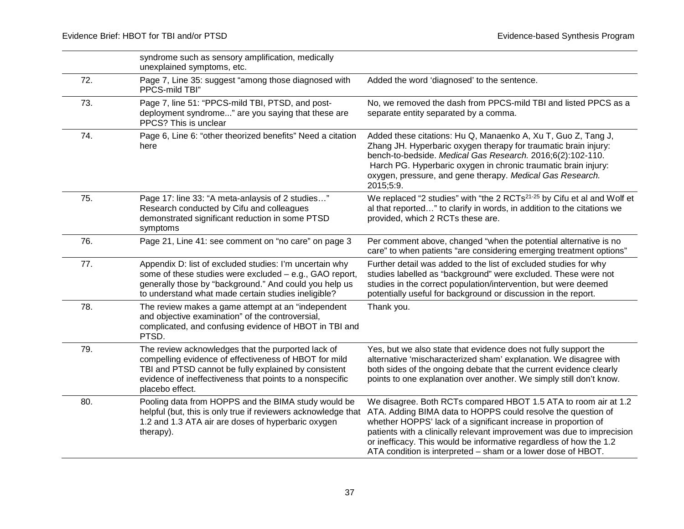|     | syndrome such as sensory amplification, medically<br>unexplained symptoms, etc.                                                                                                                                                                    |                                                                                                                                                                                                                                                                                                                                                                                                                   |
|-----|----------------------------------------------------------------------------------------------------------------------------------------------------------------------------------------------------------------------------------------------------|-------------------------------------------------------------------------------------------------------------------------------------------------------------------------------------------------------------------------------------------------------------------------------------------------------------------------------------------------------------------------------------------------------------------|
| 72. | Page 7, Line 35: suggest "among those diagnosed with<br>PPCS-mild TBI"                                                                                                                                                                             | Added the word 'diagnosed' to the sentence.                                                                                                                                                                                                                                                                                                                                                                       |
| 73. | Page 7, line 51: "PPCS-mild TBI, PTSD, and post-<br>deployment syndrome" are you saying that these are<br>PPCS? This is unclear                                                                                                                    | No, we removed the dash from PPCS-mild TBI and listed PPCS as a<br>separate entity separated by a comma.                                                                                                                                                                                                                                                                                                          |
| 74. | Page 6, Line 6: "other theorized benefits" Need a citation<br>here                                                                                                                                                                                 | Added these citations: Hu Q, Manaenko A, Xu T, Guo Z, Tang J,<br>Zhang JH. Hyperbaric oxygen therapy for traumatic brain injury:<br>bench-to-bedside. Medical Gas Research. 2016;6(2):102-110.<br>Harch PG. Hyperbaric oxygen in chronic traumatic brain injury:<br>oxygen, pressure, and gene therapy. Medical Gas Research.<br>2015;5:9.                                                                        |
| 75. | Page 17: line 33: "A meta-anlaysis of 2 studies"<br>Research conducted by Cifu and colleagues<br>demonstrated significant reduction in some PTSD<br>symptoms                                                                                       | We replaced "2 studies" with "the 2 RCTs <sup>21-25</sup> by Cifu et al and Wolf et<br>al that reported" to clarify in words, in addition to the citations we<br>provided, which 2 RCTs these are.                                                                                                                                                                                                                |
| 76. | Page 21, Line 41: see comment on "no care" on page 3                                                                                                                                                                                               | Per comment above, changed "when the potential alternative is no<br>care" to when patients "are considering emerging treatment options"                                                                                                                                                                                                                                                                           |
| 77. | Appendix D: list of excluded studies: I'm uncertain why<br>some of these studies were excluded - e.g., GAO report,<br>generally those by "background." And could you help us<br>to understand what made certain studies ineligible?                | Further detail was added to the list of excluded studies for why<br>studies labelled as "background" were excluded. These were not<br>studies in the correct population/intervention, but were deemed<br>potentially useful for background or discussion in the report.                                                                                                                                           |
| 78. | The review makes a game attempt at an "independent"<br>and objective examination" of the controversial,<br>complicated, and confusing evidence of HBOT in TBI and<br>PTSD.                                                                         | Thank you.                                                                                                                                                                                                                                                                                                                                                                                                        |
| 79. | The review acknowledges that the purported lack of<br>compelling evidence of effectiveness of HBOT for mild<br>TBI and PTSD cannot be fully explained by consistent<br>evidence of ineffectiveness that points to a nonspecific<br>placebo effect. | Yes, but we also state that evidence does not fully support the<br>alternative 'mischaracterized sham' explanation. We disagree with<br>both sides of the ongoing debate that the current evidence clearly<br>points to one explanation over another. We simply still don't know.                                                                                                                                 |
| 80. | Pooling data from HOPPS and the BIMA study would be<br>helpful (but, this is only true if reviewers acknowledge that<br>1.2 and 1.3 ATA air are doses of hyperbaric oxygen<br>therapy).                                                            | We disagree. Both RCTs compared HBOT 1.5 ATA to room air at 1.2<br>ATA. Adding BIMA data to HOPPS could resolve the question of<br>whether HOPPS' lack of a significant increase in proportion of<br>patients with a clinically relevant improvement was due to imprecision<br>or inefficacy. This would be informative regardless of how the 1.2<br>ATA condition is interpreted - sham or a lower dose of HBOT. |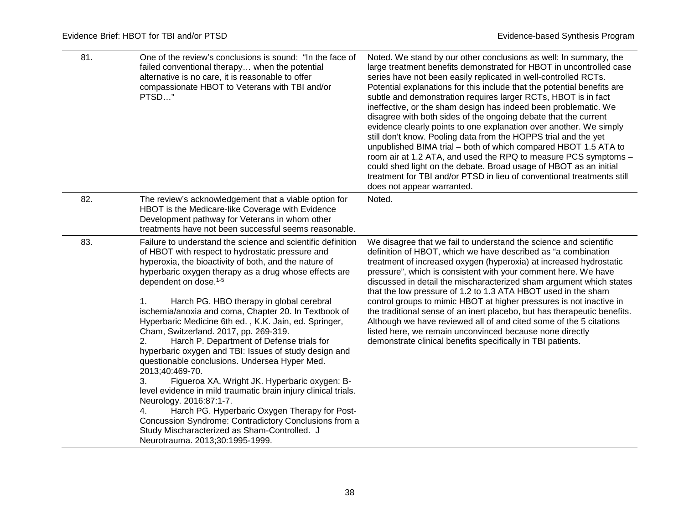| 81. | One of the review's conclusions is sound: "In the face of<br>failed conventional therapy when the potential<br>alternative is no care, it is reasonable to offer<br>compassionate HBOT to Veterans with TBI and/or<br>PTSD"                                                                                                                                                                                                                                                                                                                                                                                                                                                                                                                                                                                                                                                                                                                                                                                         | Noted. We stand by our other conclusions as well: In summary, the<br>large treatment benefits demonstrated for HBOT in uncontrolled case<br>series have not been easily replicated in well-controlled RCTs.<br>Potential explanations for this include that the potential benefits are<br>subtle and demonstration requires larger RCTs, HBOT is in fact<br>ineffective, or the sham design has indeed been problematic. We<br>disagree with both sides of the ongoing debate that the current<br>evidence clearly points to one explanation over another. We simply<br>still don't know. Pooling data from the HOPPS trial and the yet<br>unpublished BIMA trial - both of which compared HBOT 1.5 ATA to<br>room air at 1.2 ATA, and used the RPQ to measure PCS symptoms -<br>could shed light on the debate. Broad usage of HBOT as an initial<br>treatment for TBI and/or PTSD in lieu of conventional treatments still<br>does not appear warranted. |
|-----|---------------------------------------------------------------------------------------------------------------------------------------------------------------------------------------------------------------------------------------------------------------------------------------------------------------------------------------------------------------------------------------------------------------------------------------------------------------------------------------------------------------------------------------------------------------------------------------------------------------------------------------------------------------------------------------------------------------------------------------------------------------------------------------------------------------------------------------------------------------------------------------------------------------------------------------------------------------------------------------------------------------------|------------------------------------------------------------------------------------------------------------------------------------------------------------------------------------------------------------------------------------------------------------------------------------------------------------------------------------------------------------------------------------------------------------------------------------------------------------------------------------------------------------------------------------------------------------------------------------------------------------------------------------------------------------------------------------------------------------------------------------------------------------------------------------------------------------------------------------------------------------------------------------------------------------------------------------------------------------|
| 82. | The review's acknowledgement that a viable option for<br>HBOT is the Medicare-like Coverage with Evidence<br>Development pathway for Veterans in whom other<br>treatments have not been successful seems reasonable.                                                                                                                                                                                                                                                                                                                                                                                                                                                                                                                                                                                                                                                                                                                                                                                                | Noted.                                                                                                                                                                                                                                                                                                                                                                                                                                                                                                                                                                                                                                                                                                                                                                                                                                                                                                                                                     |
| 83. | Failure to understand the science and scientific definition<br>of HBOT with respect to hydrostatic pressure and<br>hyperoxia, the bioactivity of both, and the nature of<br>hyperbaric oxygen therapy as a drug whose effects are<br>dependent on dose. <sup>1-5</sup><br>Harch PG. HBO therapy in global cerebral<br>1.<br>ischemia/anoxia and coma, Chapter 20. In Textbook of<br>Hyperbaric Medicine 6th ed., K.K. Jain, ed. Springer,<br>Cham, Switzerland. 2017, pp. 269-319.<br>Harch P. Department of Defense trials for<br>hyperbaric oxygen and TBI: Issues of study design and<br>questionable conclusions. Undersea Hyper Med.<br>2013;40:469-70.<br>Figueroa XA, Wright JK. Hyperbaric oxygen: B-<br>3.<br>level evidence in mild traumatic brain injury clinical trials.<br>Neurology. 2016:87:1-7.<br>Harch PG. Hyperbaric Oxygen Therapy for Post-<br>4.<br>Concussion Syndrome: Contradictory Conclusions from a<br>Study Mischaracterized as Sham-Controlled. J<br>Neurotrauma. 2013;30:1995-1999. | We disagree that we fail to understand the science and scientific<br>definition of HBOT, which we have described as "a combination<br>treatment of increased oxygen (hyperoxia) at increased hydrostatic<br>pressure", which is consistent with your comment here. We have<br>discussed in detail the mischaracterized sham argument which states<br>that the low pressure of 1.2 to 1.3 ATA HBOT used in the sham<br>control groups to mimic HBOT at higher pressures is not inactive in<br>the traditional sense of an inert placebo, but has therapeutic benefits.<br>Although we have reviewed all of and cited some of the 5 citations<br>listed here, we remain unconvinced because none directly<br>demonstrate clinical benefits specifically in TBI patients.                                                                                                                                                                                     |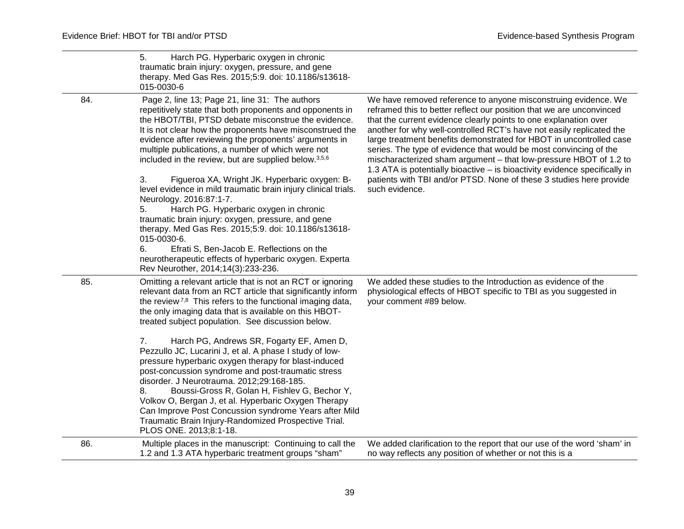|     | Harch PG. Hyperbaric oxygen in chronic<br>5.<br>traumatic brain injury: oxygen, pressure, and gene<br>therapy. Med Gas Res. 2015;5:9. doi: 10.1186/s13618-<br>015-0030-6                                                                                                                                                                                                                                                                                                                                                                                                                                                                                                                                                                                                                                                                                                                            |                                                                                                                                                                                                                                                                                                                                                                                                                                                                                                                                                                                                                                                                            |
|-----|-----------------------------------------------------------------------------------------------------------------------------------------------------------------------------------------------------------------------------------------------------------------------------------------------------------------------------------------------------------------------------------------------------------------------------------------------------------------------------------------------------------------------------------------------------------------------------------------------------------------------------------------------------------------------------------------------------------------------------------------------------------------------------------------------------------------------------------------------------------------------------------------------------|----------------------------------------------------------------------------------------------------------------------------------------------------------------------------------------------------------------------------------------------------------------------------------------------------------------------------------------------------------------------------------------------------------------------------------------------------------------------------------------------------------------------------------------------------------------------------------------------------------------------------------------------------------------------------|
| 84. | Page 2, line 13; Page 21, line 31: The authors<br>repetitively state that both proponents and opponents in<br>the HBOT/TBI, PTSD debate misconstrue the evidence.<br>It is not clear how the proponents have misconstrued the<br>evidence after reviewing the proponents' arguments in<br>multiple publications, a number of which were not<br>included in the review, but are supplied below. <sup>3,5,6</sup><br>Figueroa XA, Wright JK. Hyperbaric oxygen: B-<br>3.<br>level evidence in mild traumatic brain injury clinical trials.<br>Neurology. 2016:87:1-7.<br>Harch PG. Hyperbaric oxygen in chronic<br>5.<br>traumatic brain injury: oxygen, pressure, and gene<br>therapy. Med Gas Res. 2015;5:9. doi: 10.1186/s13618-<br>015-0030-6.<br>Efrati S, Ben-Jacob E. Reflections on the<br>6.<br>neurotherapeutic effects of hyperbaric oxygen. Experta<br>Rev Neurother, 2014;14(3):233-236. | We have removed reference to anyone misconstruing evidence. We<br>reframed this to better reflect our position that we are unconvinced<br>that the current evidence clearly points to one explanation over<br>another for why well-controlled RCT's have not easily replicated the<br>large treatment benefits demonstrated for HBOT in uncontrolled case<br>series. The type of evidence that would be most convincing of the<br>mischaracterized sham argument - that low-pressure HBOT of 1.2 to<br>1.3 ATA is potentially bioactive - is bioactivity evidence specifically in<br>patients with TBI and/or PTSD. None of these 3 studies here provide<br>such evidence. |
| 85. | Omitting a relevant article that is not an RCT or ignoring<br>relevant data from an RCT article that significantly inform<br>the review <sup>7,8</sup> This refers to the functional imaging data,<br>the only imaging data that is available on this HBOT-<br>treated subject population. See discussion below.<br>Harch PG, Andrews SR, Fogarty EF, Amen D,<br>7.<br>Pezzullo JC, Lucarini J, et al. A phase I study of low-<br>pressure hyperbaric oxygen therapy for blast-induced<br>post-concussion syndrome and post-traumatic stress<br>disorder. J Neurotrauma. 2012;29:168-185.<br>Boussi-Gross R, Golan H, Fishlev G, Bechor Y,<br>8.<br>Volkov O, Bergan J, et al. Hyperbaric Oxygen Therapy<br>Can Improve Post Concussion syndrome Years after Mild<br>Traumatic Brain Injury-Randomized Prospective Trial.<br>PLOS ONE. 2013;8:1-18.                                                 | We added these studies to the Introduction as evidence of the<br>physiological effects of HBOT specific to TBI as you suggested in<br>your comment #89 below.                                                                                                                                                                                                                                                                                                                                                                                                                                                                                                              |
| 86. | Multiple places in the manuscript: Continuing to call the<br>1.2 and 1.3 ATA hyperbaric treatment groups "sham"                                                                                                                                                                                                                                                                                                                                                                                                                                                                                                                                                                                                                                                                                                                                                                                     | We added clarification to the report that our use of the word 'sham' in<br>no way reflects any position of whether or not this is a                                                                                                                                                                                                                                                                                                                                                                                                                                                                                                                                        |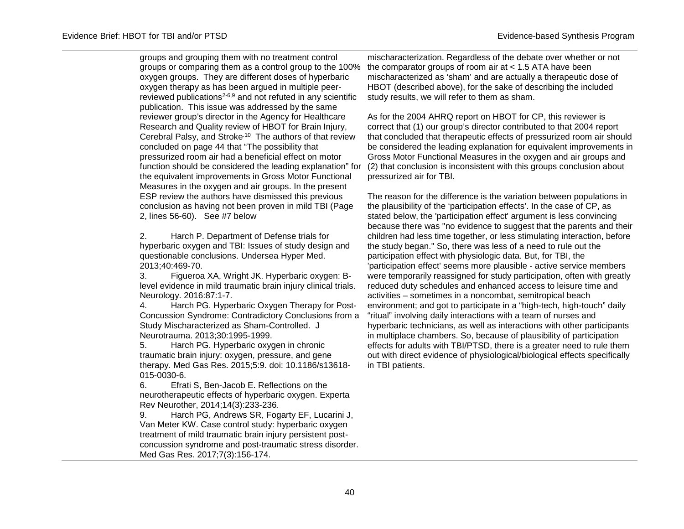groups and grouping them with no treatment control groups or comparing them as a control group to the 100% oxygen groups. They are different doses of hyperbaric oxygen therapy as has been argued in multiple peerreviewed publications2-6,9 and not refuted in any scientific publication. This issue was addressed by the same reviewer group's director in the Agency for Healthcare Research and Quality review of HBOT for Brain Injury, Cerebral Palsy, and Stroke.10 The authors of that review concluded on page 44 that "The possibility that pressurized room air had a beneficial effect on motor function should be considered the leading explanation" for the equivalent improvements in Gross Motor Functional Measures in the oxygen and air groups. In the present ESP review the authors have dismissed this previous conclusion as having not been proven in mild TBI (Page 2, lines 56-60). See #7 below

2. Harch P. Department of Defense trials for hyperbaric oxygen and TBI: Issues of study design and questionable conclusions. Undersea Hyper Med. 2013;40:469-70.

3. Figueroa XA, Wright JK. Hyperbaric oxygen: Blevel evidence in mild traumatic brain injury clinical trials. Neurology. 2016:87:1-7.

4. Harch PG. Hyperbaric Oxygen Therapy for Post-Concussion Syndrome: Contradictory Conclusions from a Study Mischaracterized as Sham-Controlled. J Neurotrauma. 2013;30:1995-1999.

5. Harch PG. Hyperbaric oxygen in chronic traumatic brain injury: oxygen, pressure, and gene therapy. Med Gas Res. 2015;5:9. doi: 10.1186/s13618- 015-0030-6.

6. Efrati S, Ben-Jacob E. Reflections on the neurotherapeutic effects of hyperbaric oxygen. Experta Rev Neurother, 2014;14(3):233-236.

9. Harch PG, Andrews SR, Fogarty EF, Lucarini J, Van Meter KW. Case control study: hyperbaric oxygen treatment of mild traumatic brain injury persistent postconcussion syndrome and post-traumatic stress disorder. Med Gas Res. 2017;7(3):156-174.

mischaracterization. Regardless of the debate over whether or not the comparator groups of room air at < 1.5 ATA have been mischaracterized as 'sham' and are actually a therapeutic dose of HBOT (described above), for the sake of describing the included study results, we will refer to them as sham.

As for the 2004 AHRQ report on HBOT for CP, this reviewer is correct that (1) our group's director contributed to that 2004 report that concluded that therapeutic effects of pressurized room air should be considered the leading explanation for equivalent improvements in Gross Motor Functional Measures in the oxygen and air groups and (2) that conclusion is inconsistent with this groups conclusion about pressurized air for TBI.

The reason for the difference is the variation between populations in the plausibility of the 'participation effects'. In the case of CP, as stated below, the 'participation effect' argument is less convincing because there was "no evidence to suggest that the parents and their children had less time together, or less stimulating interaction, before the study began." So, there was less of a need to rule out the participation effect with physiologic data. But, for TBI, the 'participation effect' seems more plausible - active service members were temporarily reassigned for study participation, often with greatly reduced duty schedules and enhanced access to leisure time and activities – sometimes in a noncombat, semitropical beach environment; and got to participate in a "high-tech, high-touch" daily "ritual" involving daily interactions with a team of nurses and hyperbaric technicians, as well as interactions with other participants in multiplace chambers. So, because of plausibility of participation effects for adults with TBI/PTSD, there is a greater need to rule them out with direct evidence of physiological/biological effects specifically in TBI patients.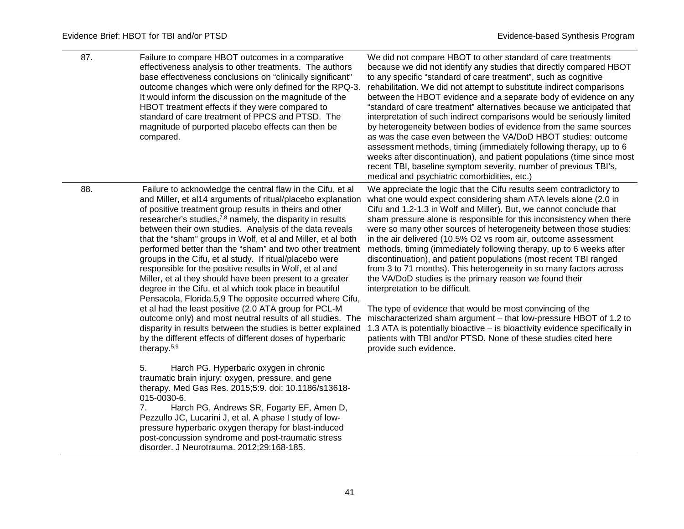<u>e a</u>

| 87. | Failure to compare HBOT outcomes in a comparative<br>effectiveness analysis to other treatments. The authors<br>base effectiveness conclusions on "clinically significant"<br>outcome changes which were only defined for the RPQ-3.<br>It would inform the discussion on the magnitude of the<br>HBOT treatment effects if they were compared to<br>standard of care treatment of PPCS and PTSD. The<br>magnitude of purported placebo effects can then be<br>compared.                                                                                                                                                                                                                                                                                                                                                                                                                                                                                                                                                   | We did not compare HBOT to other standard of care treatments<br>because we did not identify any studies that directly compared HBOT<br>to any specific "standard of care treatment", such as cognitive<br>rehabilitation. We did not attempt to substitute indirect comparisons<br>between the HBOT evidence and a separate body of evidence on any<br>"standard of care treatment" alternatives because we anticipated that<br>interpretation of such indirect comparisons would be seriously limited<br>by heterogeneity between bodies of evidence from the same sources<br>as was the case even between the VA/DoD HBOT studies: outcome<br>assessment methods, timing (immediately following therapy, up to 6<br>weeks after discontinuation), and patient populations (time since most<br>recent TBI, baseline symptom severity, number of previous TBI's,<br>medical and psychiatric comorbidities, etc.)                                                                                                                                          |
|-----|----------------------------------------------------------------------------------------------------------------------------------------------------------------------------------------------------------------------------------------------------------------------------------------------------------------------------------------------------------------------------------------------------------------------------------------------------------------------------------------------------------------------------------------------------------------------------------------------------------------------------------------------------------------------------------------------------------------------------------------------------------------------------------------------------------------------------------------------------------------------------------------------------------------------------------------------------------------------------------------------------------------------------|-----------------------------------------------------------------------------------------------------------------------------------------------------------------------------------------------------------------------------------------------------------------------------------------------------------------------------------------------------------------------------------------------------------------------------------------------------------------------------------------------------------------------------------------------------------------------------------------------------------------------------------------------------------------------------------------------------------------------------------------------------------------------------------------------------------------------------------------------------------------------------------------------------------------------------------------------------------------------------------------------------------------------------------------------------------|
| 88. | Failure to acknowledge the central flaw in the Cifu, et al<br>and Miller, et al14 arguments of ritual/placebo explanation<br>of positive treatment group results in theirs and other<br>researcher's studies, $7,8$ namely, the disparity in results<br>between their own studies. Analysis of the data reveals<br>that the "sham" groups in Wolf, et al and Miller, et al both<br>performed better than the "sham" and two other treatment<br>groups in the Cifu, et al study. If ritual/placebo were<br>responsible for the positive results in Wolf, et al and<br>Miller, et al they should have been present to a greater<br>degree in the Cifu, et al which took place in beautiful<br>Pensacola, Florida.5,9 The opposite occurred where Cifu,<br>et al had the least positive (2.0 ATA group for PCL-M<br>outcome only) and most neutral results of all studies. The<br>disparity in results between the studies is better explained<br>by the different effects of different doses of hyperbaric<br>therapy. $5,9$ | We appreciate the logic that the Cifu results seem contradictory to<br>what one would expect considering sham ATA levels alone (2.0 in<br>Cifu and 1.2-1.3 in Wolf and Miller). But, we cannot conclude that<br>sham pressure alone is responsible for this inconsistency when there<br>were so many other sources of heterogeneity between those studies:<br>in the air delivered (10.5% O2 vs room air, outcome assessment<br>methods, timing (immediately following therapy, up to 6 weeks after<br>discontinuation), and patient populations (most recent TBI ranged<br>from 3 to 71 months). This heterogeneity in so many factors across<br>the VA/DoD studies is the primary reason we found their<br>interpretation to be difficult.<br>The type of evidence that would be most convincing of the<br>mischaracterized sham argument - that low-pressure HBOT of 1.2 to<br>1.3 ATA is potentially bioactive – is bioactivity evidence specifically in<br>patients with TBI and/or PTSD. None of these studies cited here<br>provide such evidence. |
|     | 5.<br>Harch PG. Hyperbaric oxygen in chronic<br>traumatic brain injury: oxygen, pressure, and gene<br>therapy. Med Gas Res. 2015;5:9. doi: 10.1186/s13618-<br>015-0030-6.<br>Harch PG, Andrews SR, Fogarty EF, Amen D,<br>7.<br>Pezzullo JC, Lucarini J, et al. A phase I study of low-<br>pressure hyperbaric oxygen therapy for blast-induced<br>post-concussion syndrome and post-traumatic stress<br>disorder. J Neurotrauma. 2012;29:168-185.                                                                                                                                                                                                                                                                                                                                                                                                                                                                                                                                                                         |                                                                                                                                                                                                                                                                                                                                                                                                                                                                                                                                                                                                                                                                                                                                                                                                                                                                                                                                                                                                                                                           |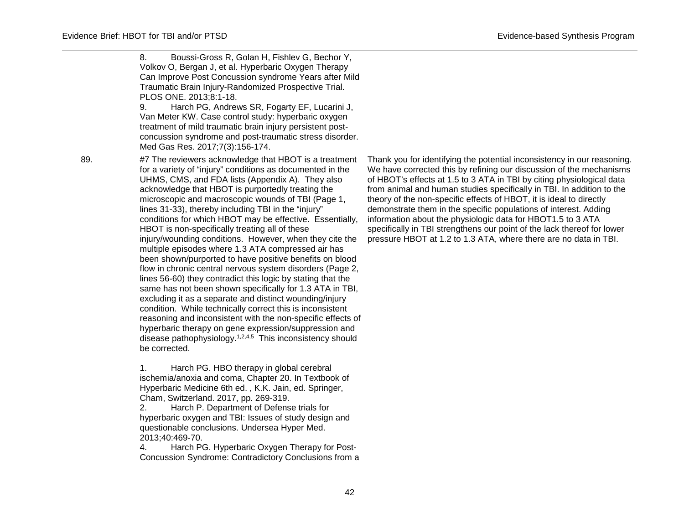|     | 8.<br>Boussi-Gross R, Golan H, Fishlev G, Bechor Y,<br>Volkov O, Bergan J, et al. Hyperbaric Oxygen Therapy<br>Can Improve Post Concussion syndrome Years after Mild<br>Traumatic Brain Injury-Randomized Prospective Trial.<br>PLOS ONE. 2013;8:1-18.<br>Harch PG, Andrews SR, Fogarty EF, Lucarini J,<br>9.<br>Van Meter KW. Case control study: hyperbaric oxygen<br>treatment of mild traumatic brain injury persistent post-<br>concussion syndrome and post-traumatic stress disorder.<br>Med Gas Res. 2017;7(3):156-174.                                                                                                                                                                                                                                                                                                                                                                                                                                                                                                                                                                                                                                                                                                                                                |                                                                                                                                                                                                                                                                                                                                                                                                                                                                                                                                                                                                                                                           |
|-----|--------------------------------------------------------------------------------------------------------------------------------------------------------------------------------------------------------------------------------------------------------------------------------------------------------------------------------------------------------------------------------------------------------------------------------------------------------------------------------------------------------------------------------------------------------------------------------------------------------------------------------------------------------------------------------------------------------------------------------------------------------------------------------------------------------------------------------------------------------------------------------------------------------------------------------------------------------------------------------------------------------------------------------------------------------------------------------------------------------------------------------------------------------------------------------------------------------------------------------------------------------------------------------|-----------------------------------------------------------------------------------------------------------------------------------------------------------------------------------------------------------------------------------------------------------------------------------------------------------------------------------------------------------------------------------------------------------------------------------------------------------------------------------------------------------------------------------------------------------------------------------------------------------------------------------------------------------|
| 89. | #7 The reviewers acknowledge that HBOT is a treatment<br>for a variety of "injury" conditions as documented in the<br>UHMS, CMS, and FDA lists (Appendix A). They also<br>acknowledge that HBOT is purportedly treating the<br>microscopic and macroscopic wounds of TBI (Page 1,<br>lines 31-33), thereby including TBI in the "injury"<br>conditions for which HBOT may be effective. Essentially,<br>HBOT is non-specifically treating all of these<br>injury/wounding conditions. However, when they cite the<br>multiple episodes where 1.3 ATA compressed air has<br>been shown/purported to have positive benefits on blood<br>flow in chronic central nervous system disorders (Page 2,<br>lines 56-60) they contradict this logic by stating that the<br>same has not been shown specifically for 1.3 ATA in TBI,<br>excluding it as a separate and distinct wounding/injury<br>condition. While technically correct this is inconsistent<br>reasoning and inconsistent with the non-specific effects of<br>hyperbaric therapy on gene expression/suppression and<br>disease pathophysiology. <sup>1,2,4,5</sup> This inconsistency should<br>be corrected.<br>Harch PG. HBO therapy in global cerebral<br>1.<br>ischemia/anoxia and coma, Chapter 20. In Textbook of | Thank you for identifying the potential inconsistency in our reasoning.<br>We have corrected this by refining our discussion of the mechanisms<br>of HBOT's effects at 1.5 to 3 ATA in TBI by citing physiological data<br>from animal and human studies specifically in TBI. In addition to the<br>theory of the non-specific effects of HBOT, it is ideal to directly<br>demonstrate them in the specific populations of interest. Adding<br>information about the physiologic data for HBOT1.5 to 3 ATA<br>specifically in TBI strengthens our point of the lack thereof for lower<br>pressure HBOT at 1.2 to 1.3 ATA, where there are no data in TBI. |
|     | Hyperbaric Medicine 6th ed., K.K. Jain, ed. Springer,<br>Cham, Switzerland. 2017, pp. 269-319.<br>Harch P. Department of Defense trials for<br>2.<br>hyperbaric oxygen and TBI: Issues of study design and<br>questionable conclusions. Undersea Hyper Med.<br>2013;40:469-70.<br>Harch PG. Hyperbaric Oxygen Therapy for Post-<br>Concussion Syndrome: Contradictory Conclusions from a                                                                                                                                                                                                                                                                                                                                                                                                                                                                                                                                                                                                                                                                                                                                                                                                                                                                                       |                                                                                                                                                                                                                                                                                                                                                                                                                                                                                                                                                                                                                                                           |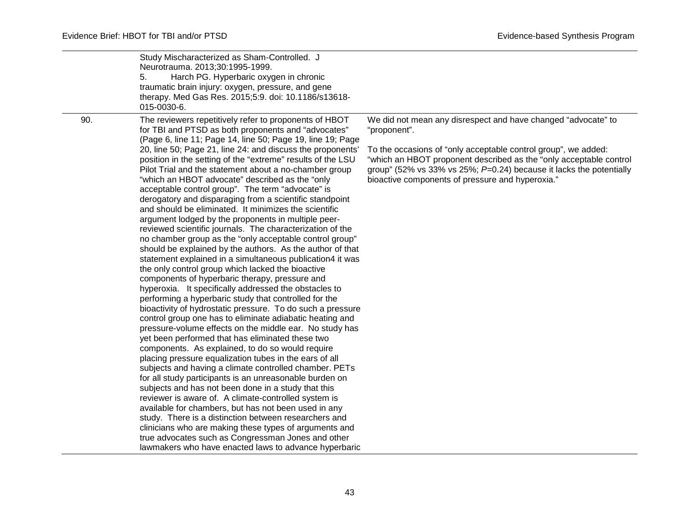|     | Study Mischaracterized as Sham-Controlled. J<br>Neurotrauma. 2013;30:1995-1999.<br>5.<br>Harch PG. Hyperbaric oxygen in chronic<br>traumatic brain injury: oxygen, pressure, and gene<br>therapy. Med Gas Res. 2015;5:9. doi: 10.1186/s13618-<br>015-0030-6.                                                                                                                                                                                                                                                                                                                                                                                                                                                                                                                                                                                                                                                                                                                                                                                                                                                                                                                                                                                                                                                                                                                                                                                                                                                                                                                                                                                                                                                                                                                                                                                                                                                                                                                                                           |                                                                                                                                                                                                                                                                                                                                                     |
|-----|------------------------------------------------------------------------------------------------------------------------------------------------------------------------------------------------------------------------------------------------------------------------------------------------------------------------------------------------------------------------------------------------------------------------------------------------------------------------------------------------------------------------------------------------------------------------------------------------------------------------------------------------------------------------------------------------------------------------------------------------------------------------------------------------------------------------------------------------------------------------------------------------------------------------------------------------------------------------------------------------------------------------------------------------------------------------------------------------------------------------------------------------------------------------------------------------------------------------------------------------------------------------------------------------------------------------------------------------------------------------------------------------------------------------------------------------------------------------------------------------------------------------------------------------------------------------------------------------------------------------------------------------------------------------------------------------------------------------------------------------------------------------------------------------------------------------------------------------------------------------------------------------------------------------------------------------------------------------------------------------------------------------|-----------------------------------------------------------------------------------------------------------------------------------------------------------------------------------------------------------------------------------------------------------------------------------------------------------------------------------------------------|
| 90. | The reviewers repetitively refer to proponents of HBOT<br>for TBI and PTSD as both proponents and "advocates"<br>(Page 6, line 11; Page 14, line 50; Page 19, line 19; Page<br>20, line 50; Page 21, line 24: and discuss the proponents'<br>position in the setting of the "extreme" results of the LSU<br>Pilot Trial and the statement about a no-chamber group<br>"which an HBOT advocate" described as the "only"<br>acceptable control group". The term "advocate" is<br>derogatory and disparaging from a scientific standpoint<br>and should be eliminated. It minimizes the scientific<br>argument lodged by the proponents in multiple peer-<br>reviewed scientific journals. The characterization of the<br>no chamber group as the "only acceptable control group"<br>should be explained by the authors. As the author of that<br>statement explained in a simultaneous publication4 it was<br>the only control group which lacked the bioactive<br>components of hyperbaric therapy, pressure and<br>hyperoxia. It specifically addressed the obstacles to<br>performing a hyperbaric study that controlled for the<br>bioactivity of hydrostatic pressure. To do such a pressure<br>control group one has to eliminate adiabatic heating and<br>pressure-volume effects on the middle ear. No study has<br>yet been performed that has eliminated these two<br>components. As explained, to do so would require<br>placing pressure equalization tubes in the ears of all<br>subjects and having a climate controlled chamber. PETs<br>for all study participants is an unreasonable burden on<br>subjects and has not been done in a study that this<br>reviewer is aware of. A climate-controlled system is<br>available for chambers, but has not been used in any<br>study. There is a distinction between researchers and<br>clinicians who are making these types of arguments and<br>true advocates such as Congressman Jones and other<br>lawmakers who have enacted laws to advance hyperbaric | We did not mean any disrespect and have changed "advocate" to<br>"proponent".<br>To the occasions of "only acceptable control group", we added:<br>"which an HBOT proponent described as the "only acceptable control<br>group" (52% vs 33% vs 25%; $P=0.24$ ) because it lacks the potentially<br>bioactive components of pressure and hyperoxia." |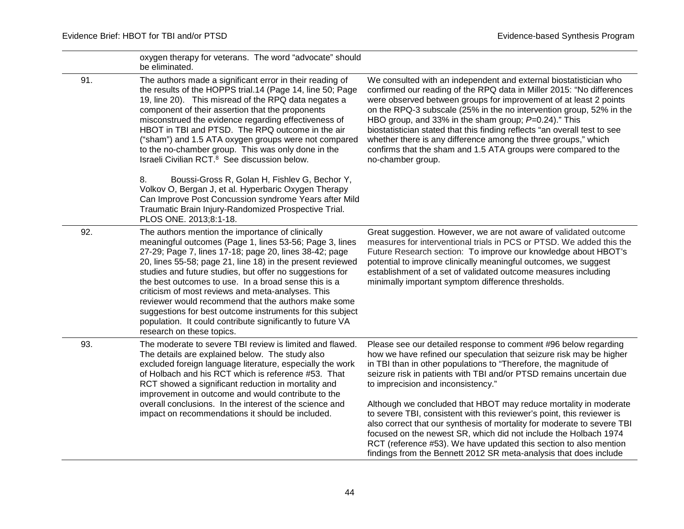|     | oxygen therapy for veterans. The word "advocate" should<br>be eliminated.                                                                                                                                                                                                                                                                                                                                                                                                                                                                                                                                                   |                                                                                                                                                                                                                                                                                                                                                                                                                                                                                                                                                                                      |
|-----|-----------------------------------------------------------------------------------------------------------------------------------------------------------------------------------------------------------------------------------------------------------------------------------------------------------------------------------------------------------------------------------------------------------------------------------------------------------------------------------------------------------------------------------------------------------------------------------------------------------------------------|--------------------------------------------------------------------------------------------------------------------------------------------------------------------------------------------------------------------------------------------------------------------------------------------------------------------------------------------------------------------------------------------------------------------------------------------------------------------------------------------------------------------------------------------------------------------------------------|
| 91. | The authors made a significant error in their reading of<br>the results of the HOPPS trial.14 (Page 14, line 50; Page<br>19, line 20). This misread of the RPQ data negates a<br>component of their assertion that the proponents<br>misconstrued the evidence regarding effectiveness of<br>HBOT in TBI and PTSD. The RPQ outcome in the air<br>("sham") and 1.5 ATA oxygen groups were not compared<br>to the no-chamber group. This was only done in the<br>Israeli Civilian RCT. <sup>8</sup> See discussion below.                                                                                                     | We consulted with an independent and external biostatistician who<br>confirmed our reading of the RPQ data in Miller 2015: "No differences<br>were observed between groups for improvement of at least 2 points<br>on the RPQ-3 subscale (25% in the no intervention group, 52% in the<br>HBO group, and 33% in the sham group; P=0.24)." This<br>biostatistician stated that this finding reflects "an overall test to see<br>whether there is any difference among the three groups," which<br>confirms that the sham and 1.5 ATA groups were compared to the<br>no-chamber group. |
|     | Boussi-Gross R, Golan H, Fishlev G, Bechor Y,<br>8.<br>Volkov O, Bergan J, et al. Hyperbaric Oxygen Therapy<br>Can Improve Post Concussion syndrome Years after Mild<br>Traumatic Brain Injury-Randomized Prospective Trial.<br>PLOS ONE. 2013;8:1-18.                                                                                                                                                                                                                                                                                                                                                                      |                                                                                                                                                                                                                                                                                                                                                                                                                                                                                                                                                                                      |
| 92. | The authors mention the importance of clinically<br>meaningful outcomes (Page 1, lines 53-56; Page 3, lines<br>27-29; Page 7, lines 17-18; page 20, lines 38-42; page<br>20, lines 55-58; page 21, line 18) in the present reviewed<br>studies and future studies, but offer no suggestions for<br>the best outcomes to use. In a broad sense this is a<br>criticism of most reviews and meta-analyses. This<br>reviewer would recommend that the authors make some<br>suggestions for best outcome instruments for this subject<br>population. It could contribute significantly to future VA<br>research on these topics. | Great suggestion. However, we are not aware of validated outcome<br>measures for interventional trials in PCS or PTSD. We added this the<br>Future Research section: To improve our knowledge about HBOT's<br>potential to improve clinically meaningful outcomes, we suggest<br>establishment of a set of validated outcome measures including<br>minimally important symptom difference thresholds.                                                                                                                                                                                |
| 93. | The moderate to severe TBI review is limited and flawed.<br>The details are explained below. The study also<br>excluded foreign language literature, especially the work<br>of Holbach and his RCT which is reference #53. That<br>RCT showed a significant reduction in mortality and<br>improvement in outcome and would contribute to the                                                                                                                                                                                                                                                                                | Please see our detailed response to comment #96 below regarding<br>how we have refined our speculation that seizure risk may be higher<br>in TBI than in other populations to "Therefore, the magnitude of<br>seizure risk in patients with TBI and/or PTSD remains uncertain due<br>to imprecision and inconsistency."                                                                                                                                                                                                                                                              |
|     | overall conclusions. In the interest of the science and<br>impact on recommendations it should be included.                                                                                                                                                                                                                                                                                                                                                                                                                                                                                                                 | Although we concluded that HBOT may reduce mortality in moderate<br>to severe TBI, consistent with this reviewer's point, this reviewer is<br>also correct that our synthesis of mortality for moderate to severe TBI<br>focused on the newest SR, which did not include the Holbach 1974<br>RCT (reference #53). We have updated this section to also mention<br>findings from the Bennett 2012 SR meta-analysis that does include                                                                                                                                                  |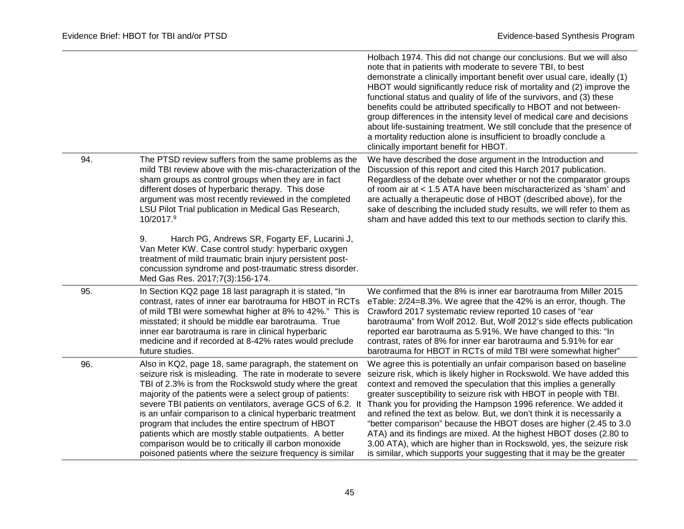|     |                                                                                                                                                                                                                                                                                                                                                                                                                                                                                                                                                                                                              | Holbach 1974. This did not change our conclusions. But we will also<br>note that in patients with moderate to severe TBI, to best<br>demonstrate a clinically important benefit over usual care, ideally (1)<br>HBOT would significantly reduce risk of mortality and (2) improve the<br>functional status and quality of life of the survivors, and (3) these<br>benefits could be attributed specifically to HBOT and not between-<br>group differences in the intensity level of medical care and decisions<br>about life-sustaining treatment. We still conclude that the presence of<br>a mortality reduction alone is insufficient to broadly conclude a<br>clinically important benefit for HBOT.                             |
|-----|--------------------------------------------------------------------------------------------------------------------------------------------------------------------------------------------------------------------------------------------------------------------------------------------------------------------------------------------------------------------------------------------------------------------------------------------------------------------------------------------------------------------------------------------------------------------------------------------------------------|--------------------------------------------------------------------------------------------------------------------------------------------------------------------------------------------------------------------------------------------------------------------------------------------------------------------------------------------------------------------------------------------------------------------------------------------------------------------------------------------------------------------------------------------------------------------------------------------------------------------------------------------------------------------------------------------------------------------------------------|
| 94. | The PTSD review suffers from the same problems as the<br>mild TBI review above with the mis-characterization of the<br>sham groups as control groups when they are in fact<br>different doses of hyperbaric therapy. This dose<br>argument was most recently reviewed in the completed<br>LSU Pilot Trial publication in Medical Gas Research,<br>10/2017.9                                                                                                                                                                                                                                                  | We have described the dose argument in the Introduction and<br>Discussion of this report and cited this Harch 2017 publication.<br>Regardless of the debate over whether or not the comparator groups<br>of room air at < 1.5 ATA have been mischaracterized as 'sham' and<br>are actually a therapeutic dose of HBOT (described above), for the<br>sake of describing the included study results, we will refer to them as<br>sham and have added this text to our methods section to clarify this.                                                                                                                                                                                                                                 |
|     | Harch PG, Andrews SR, Fogarty EF, Lucarini J,<br>9.<br>Van Meter KW. Case control study: hyperbaric oxygen<br>treatment of mild traumatic brain injury persistent post-<br>concussion syndrome and post-traumatic stress disorder.<br>Med Gas Res. 2017;7(3):156-174.                                                                                                                                                                                                                                                                                                                                        |                                                                                                                                                                                                                                                                                                                                                                                                                                                                                                                                                                                                                                                                                                                                      |
| 95. | In Section KQ2 page 18 last paragraph it is stated, "In<br>contrast, rates of inner ear barotrauma for HBOT in RCTs<br>of mild TBI were somewhat higher at 8% to 42%." This is<br>misstated; it should be middle ear barotrauma. True<br>inner ear barotrauma is rare in clinical hyperbaric<br>medicine and if recorded at 8-42% rates would preclude<br>future studies.                                                                                                                                                                                                                                    | We confirmed that the 8% is inner ear barotrauma from Miller 2015<br>eTable: 2/24=8.3%. We agree that the 42% is an error, though. The<br>Crawford 2017 systematic review reported 10 cases of "ear<br>barotrauma" from Wolf 2012. But, Wolf 2012's side effects publication<br>reported ear barotrauma as 5.91%. We have changed to this: "In<br>contrast, rates of 8% for inner ear barotrauma and 5.91% for ear<br>barotrauma for HBOT in RCTs of mild TBI were somewhat higher"                                                                                                                                                                                                                                                  |
| 96. | Also in KQ2, page 18, same paragraph, the statement on<br>seizure risk is misleading. The rate in moderate to severe<br>TBI of 2.3% is from the Rockswold study where the great<br>majority of the patients were a select group of patients:<br>severe TBI patients on ventilators, average GCS of 6.2. It<br>is an unfair comparison to a clinical hyperbaric treatment<br>program that includes the entire spectrum of HBOT<br>patients which are mostly stable outpatients. A better<br>comparison would be to critically ill carbon monoxide<br>poisoned patients where the seizure frequency is similar | We agree this is potentially an unfair comparison based on baseline<br>seizure risk, which is likely higher in Rockswold. We have added this<br>context and removed the speculation that this implies a generally<br>greater susceptibility to seizure risk with HBOT in people with TBI.<br>Thank you for providing the Hampson 1996 reference. We added it<br>and refined the text as below. But, we don't think it is necessarily a<br>"better comparison" because the HBOT doses are higher (2.45 to 3.0<br>ATA) and its findings are mixed. At the highest HBOT doses (2.80 to<br>3.00 ATA), which are higher than in Rockswold, yes, the seizure risk<br>is similar, which supports your suggesting that it may be the greater |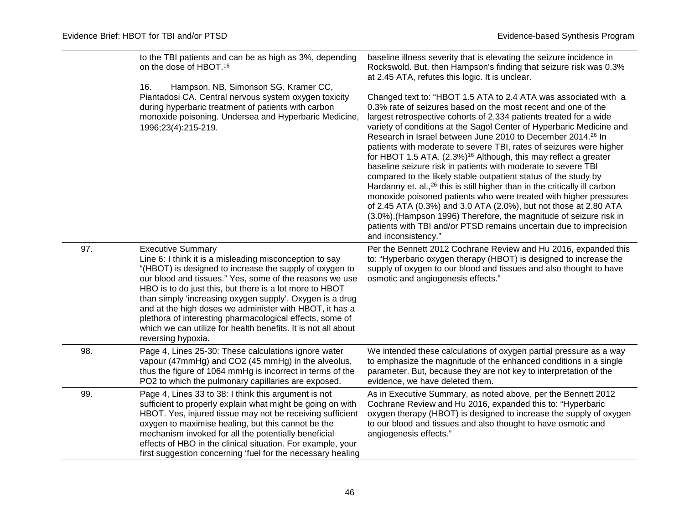|     | to the TBI patients and can be as high as 3%, depending<br>on the dose of HBOT. <sup>16</sup>                                                                                                                                                                                                                                                                                                                                                                                                                                                  | baseline illness severity that is elevating the seizure incidence in<br>Rockswold. But, then Hampson's finding that seizure risk was 0.3%<br>at 2.45 ATA, refutes this logic. It is unclear.                                                                                                                                                                                                                                                                                                                                                                                                                                                                                                                                                                                                                                                                                                                                                                                                                                                              |
|-----|------------------------------------------------------------------------------------------------------------------------------------------------------------------------------------------------------------------------------------------------------------------------------------------------------------------------------------------------------------------------------------------------------------------------------------------------------------------------------------------------------------------------------------------------|-----------------------------------------------------------------------------------------------------------------------------------------------------------------------------------------------------------------------------------------------------------------------------------------------------------------------------------------------------------------------------------------------------------------------------------------------------------------------------------------------------------------------------------------------------------------------------------------------------------------------------------------------------------------------------------------------------------------------------------------------------------------------------------------------------------------------------------------------------------------------------------------------------------------------------------------------------------------------------------------------------------------------------------------------------------|
|     | 16.<br>Hampson, NB, Simonson SG, Kramer CC,<br>Piantadosi CA. Central nervous system oxygen toxicity<br>during hyperbaric treatment of patients with carbon<br>monoxide poisoning. Undersea and Hyperbaric Medicine,<br>1996;23(4):215-219.                                                                                                                                                                                                                                                                                                    | Changed text to: "HBOT 1.5 ATA to 2.4 ATA was associated with a<br>0.3% rate of seizures based on the most recent and one of the<br>largest retrospective cohorts of 2,334 patients treated for a wide<br>variety of conditions at the Sagol Center of Hyperbaric Medicine and<br>Research in Israel between June 2010 to December 2014. <sup>26</sup> In<br>patients with moderate to severe TBI, rates of seizures were higher<br>for HBOT 1.5 ATA. (2.3%) <sup>16</sup> Although, this may reflect a greater<br>baseline seizure risk in patients with moderate to severe TBI<br>compared to the likely stable outpatient status of the study by<br>Hardanny et. al., <sup>26</sup> this is still higher than in the critically ill carbon<br>monoxide poisoned patients who were treated with higher pressures<br>of 2.45 ATA (0.3%) and 3.0 ATA (2.0%), but not those at 2.80 ATA<br>(3.0%). (Hampson 1996) Therefore, the magnitude of seizure risk in<br>patients with TBI and/or PTSD remains uncertain due to imprecision<br>and inconsistency." |
| 97. | <b>Executive Summary</b><br>Line 6: I think it is a misleading misconception to say<br>"(HBOT) is designed to increase the supply of oxygen to<br>our blood and tissues." Yes, some of the reasons we use<br>HBO is to do just this, but there is a lot more to HBOT<br>than simply 'increasing oxygen supply'. Oxygen is a drug<br>and at the high doses we administer with HBOT, it has a<br>plethora of interesting pharmacological effects, some of<br>which we can utilize for health benefits. It is not all about<br>reversing hypoxia. | Per the Bennett 2012 Cochrane Review and Hu 2016, expanded this<br>to: "Hyperbaric oxygen therapy (HBOT) is designed to increase the<br>supply of oxygen to our blood and tissues and also thought to have<br>osmotic and angiogenesis effects."                                                                                                                                                                                                                                                                                                                                                                                                                                                                                                                                                                                                                                                                                                                                                                                                          |
| 98. | Page 4, Lines 25-30: These calculations ignore water<br>vapour (47mmHg) and CO2 (45 mmHg) in the alveolus,<br>thus the figure of 1064 mmHg is incorrect in terms of the<br>PO2 to which the pulmonary capillaries are exposed.                                                                                                                                                                                                                                                                                                                 | We intended these calculations of oxygen partial pressure as a way<br>to emphasize the magnitude of the enhanced conditions in a single<br>parameter. But, because they are not key to interpretation of the<br>evidence, we have deleted them.                                                                                                                                                                                                                                                                                                                                                                                                                                                                                                                                                                                                                                                                                                                                                                                                           |
| 99. | Page 4, Lines 33 to 38: I think this argument is not<br>sufficient to properly explain what might be going on with<br>HBOT. Yes, injured tissue may not be receiving sufficient<br>oxygen to maximise healing, but this cannot be the<br>mechanism invoked for all the potentially beneficial<br>effects of HBO in the clinical situation. For example, your<br>first suggestion concerning 'fuel for the necessary healing                                                                                                                    | As in Executive Summary, as noted above, per the Bennett 2012<br>Cochrane Review and Hu 2016, expanded this to: "Hyperbaric<br>oxygen therapy (HBOT) is designed to increase the supply of oxygen<br>to our blood and tissues and also thought to have osmotic and<br>angiogenesis effects."                                                                                                                                                                                                                                                                                                                                                                                                                                                                                                                                                                                                                                                                                                                                                              |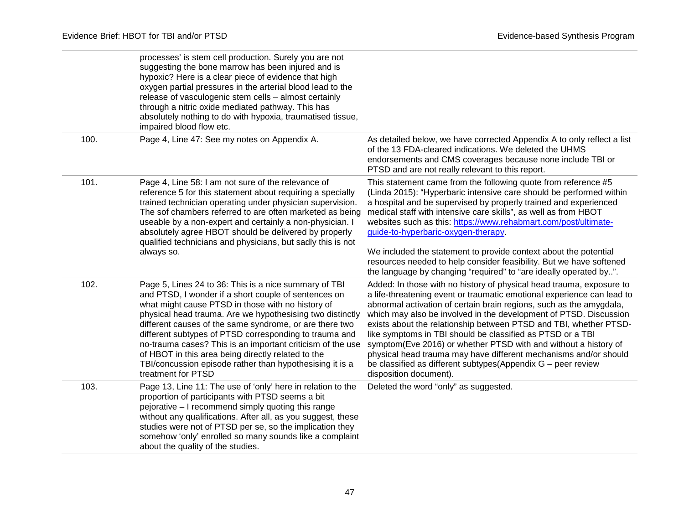|      | processes' is stem cell production. Surely you are not<br>suggesting the bone marrow has been injured and is<br>hypoxic? Here is a clear piece of evidence that high<br>oxygen partial pressures in the arterial blood lead to the<br>release of vasculogenic stem cells - almost certainly<br>through a nitric oxide mediated pathway. This has<br>absolutely nothing to do with hypoxia, traumatised tissue,<br>impaired blood flow etc.                                                                                                                 |                                                                                                                                                                                                                                                                                                                                                                                                                                                                                                                                                                                                                                                                  |
|------|------------------------------------------------------------------------------------------------------------------------------------------------------------------------------------------------------------------------------------------------------------------------------------------------------------------------------------------------------------------------------------------------------------------------------------------------------------------------------------------------------------------------------------------------------------|------------------------------------------------------------------------------------------------------------------------------------------------------------------------------------------------------------------------------------------------------------------------------------------------------------------------------------------------------------------------------------------------------------------------------------------------------------------------------------------------------------------------------------------------------------------------------------------------------------------------------------------------------------------|
| 100. | Page 4, Line 47: See my notes on Appendix A.                                                                                                                                                                                                                                                                                                                                                                                                                                                                                                               | As detailed below, we have corrected Appendix A to only reflect a list<br>of the 13 FDA-cleared indications. We deleted the UHMS<br>endorsements and CMS coverages because none include TBI or<br>PTSD and are not really relevant to this report.                                                                                                                                                                                                                                                                                                                                                                                                               |
| 101. | Page 4, Line 58: I am not sure of the relevance of<br>reference 5 for this statement about requiring a specially<br>trained technician operating under physician supervision.<br>The sof chambers referred to are often marketed as being<br>useable by a non-expert and certainly a non-physician. I<br>absolutely agree HBOT should be delivered by properly<br>qualified technicians and physicians, but sadly this is not<br>always so.                                                                                                                | This statement came from the following quote from reference #5<br>(Linda 2015): "Hyperbaric intensive care should be performed within<br>a hospital and be supervised by properly trained and experienced<br>medical staff with intensive care skills", as well as from HBOT<br>websites such as this: https://www.rehabmart.com/post/ultimate-<br>guide-to-hyperbaric-oxygen-therapy.<br>We included the statement to provide context about the potential<br>resources needed to help consider feasibility. But we have softened<br>the language by changing "required" to "are ideally operated by".                                                           |
| 102. | Page 5, Lines 24 to 36: This is a nice summary of TBI<br>and PTSD, I wonder if a short couple of sentences on<br>what might cause PTSD in those with no history of<br>physical head trauma. Are we hypothesising two distinctly<br>different causes of the same syndrome, or are there two<br>different subtypes of PTSD corresponding to trauma and<br>no-trauma cases? This is an important criticism of the use<br>of HBOT in this area being directly related to the<br>TBI/concussion episode rather than hypothesising it is a<br>treatment for PTSD | Added: In those with no history of physical head trauma, exposure to<br>a life-threatening event or traumatic emotional experience can lead to<br>abnormal activation of certain brain regions, such as the amygdala,<br>which may also be involved in the development of PTSD. Discussion<br>exists about the relationship between PTSD and TBI, whether PTSD-<br>like symptoms in TBI should be classified as PTSD or a TBI<br>symptom(Eve 2016) or whether PTSD with and without a history of<br>physical head trauma may have different mechanisms and/or should<br>be classified as different subtypes(Appendix $G$ – peer review<br>disposition document). |
| 103. | Page 13, Line 11: The use of 'only' here in relation to the<br>proportion of participants with PTSD seems a bit<br>pejorative - I recommend simply quoting this range<br>without any qualifications. After all, as you suggest, these<br>studies were not of PTSD per se, so the implication they<br>somehow 'only' enrolled so many sounds like a complaint<br>about the quality of the studies.                                                                                                                                                          | Deleted the word "only" as suggested.                                                                                                                                                                                                                                                                                                                                                                                                                                                                                                                                                                                                                            |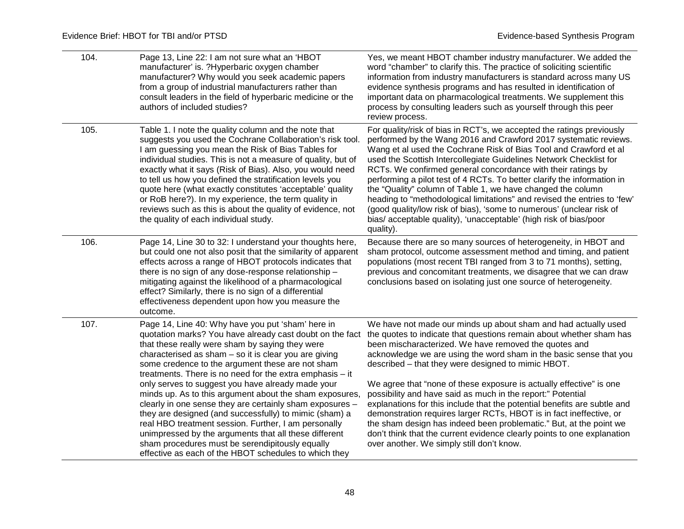| 104. | Page 13, Line 22: I am not sure what an 'HBOT<br>manufacturer' is. ?Hyperbaric oxygen chamber<br>manufacturer? Why would you seek academic papers<br>from a group of industrial manufacturers rather than<br>consult leaders in the field of hyperbaric medicine or the<br>authors of included studies?                                                                                                                                                                                                                                                                                      | Yes, we meant HBOT chamber industry manufacturer. We added the<br>word "chamber" to clarify this. The practice of soliciting scientific<br>information from industry manufacturers is standard across many US<br>evidence synthesis programs and has resulted in identification of<br>important data on pharmacological treatments. We supplement this<br>process by consulting leaders such as yourself through this peer<br>review process.                                                                                                                                                                                                                                                                                       |
|------|----------------------------------------------------------------------------------------------------------------------------------------------------------------------------------------------------------------------------------------------------------------------------------------------------------------------------------------------------------------------------------------------------------------------------------------------------------------------------------------------------------------------------------------------------------------------------------------------|-------------------------------------------------------------------------------------------------------------------------------------------------------------------------------------------------------------------------------------------------------------------------------------------------------------------------------------------------------------------------------------------------------------------------------------------------------------------------------------------------------------------------------------------------------------------------------------------------------------------------------------------------------------------------------------------------------------------------------------|
| 105. | Table 1. I note the quality column and the note that<br>suggests you used the Cochrane Collaboration's risk tool.<br>I am guessing you mean the Risk of Bias Tables for<br>individual studies. This is not a measure of quality, but of<br>exactly what it says (Risk of Bias). Also, you would need<br>to tell us how you defined the stratification levels you<br>quote here (what exactly constitutes 'acceptable' quality<br>or RoB here?). In my experience, the term quality in<br>reviews such as this is about the quality of evidence, not<br>the quality of each individual study. | For quality/risk of bias in RCT's, we accepted the ratings previously<br>performed by the Wang 2016 and Crawford 2017 systematic reviews.<br>Wang et al used the Cochrane Risk of Bias Tool and Crawford et al<br>used the Scottish Intercollegiate Guidelines Network Checklist for<br>RCTs. We confirmed general concordance with their ratings by<br>performing a pilot test of 4 RCTs. To better clarify the information in<br>the "Quality" column of Table 1, we have changed the column<br>heading to "methodological limitations" and revised the entries to 'few'<br>(good quality/low risk of bias), 'some to numerous' (unclear risk of<br>bias/acceptable quality), 'unacceptable' (high risk of bias/poor<br>quality). |
| 106. | Page 14, Line 30 to 32: I understand your thoughts here,<br>but could one not also posit that the similarity of apparent<br>effects across a range of HBOT protocols indicates that<br>there is no sign of any dose-response relationship -<br>mitigating against the likelihood of a pharmacological<br>effect? Similarly, there is no sign of a differential<br>effectiveness dependent upon how you measure the<br>outcome.                                                                                                                                                               | Because there are so many sources of heterogeneity, in HBOT and<br>sham protocol, outcome assessment method and timing, and patient<br>populations (most recent TBI ranged from 3 to 71 months), setting,<br>previous and concomitant treatments, we disagree that we can draw<br>conclusions based on isolating just one source of heterogeneity.                                                                                                                                                                                                                                                                                                                                                                                  |
| 107. | Page 14, Line 40: Why have you put 'sham' here in<br>quotation marks? You have already cast doubt on the fact<br>that these really were sham by saying they were<br>characterised as sham - so it is clear you are giving<br>some credence to the argument these are not sham<br>treatments. There is no need for the extra emphasis $-$ it<br>only serves to suggest you have already made your                                                                                                                                                                                             | We have not made our minds up about sham and had actually used<br>the quotes to indicate that questions remain about whether sham has<br>been mischaracterized. We have removed the quotes and<br>acknowledge we are using the word sham in the basic sense that you<br>described - that they were designed to mimic HBOT.<br>We agree that "none of these exposure is actually effective" is one                                                                                                                                                                                                                                                                                                                                   |
|      | minds up. As to this argument about the sham exposures,<br>clearly in one sense they are certainly sham exposures -<br>they are designed (and successfully) to mimic (sham) a<br>real HBO treatment session. Further, I am personally<br>unimpressed by the arguments that all these different<br>sham procedures must be serendipitously equally<br>effective as each of the HBOT schedules to which they                                                                                                                                                                                   | possibility and have said as much in the report:" Potential<br>explanations for this include that the potential benefits are subtle and<br>demonstration requires larger RCTs, HBOT is in fact ineffective, or<br>the sham design has indeed been problematic." But, at the point we<br>don't think that the current evidence clearly points to one explanation<br>over another. We simply still don't know.                                                                                                                                                                                                                                                                                                                        |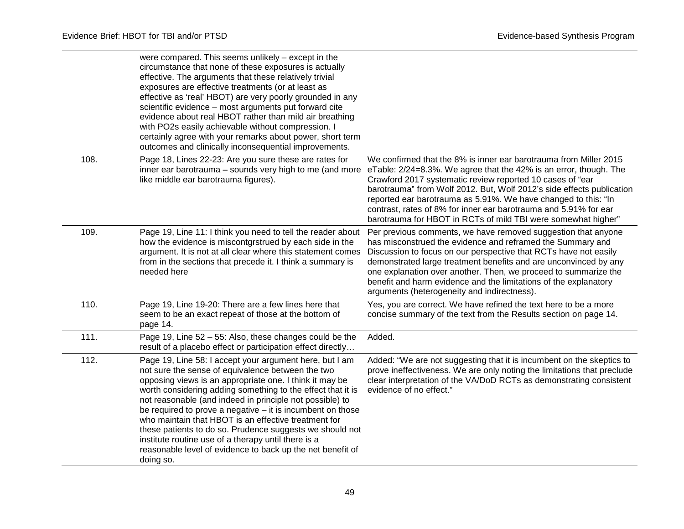|      | were compared. This seems unlikely - except in the<br>circumstance that none of these exposures is actually<br>effective. The arguments that these relatively trivial<br>exposures are effective treatments (or at least as<br>effective as 'real' HBOT) are very poorly grounded in any<br>scientific evidence - most arguments put forward cite<br>evidence about real HBOT rather than mild air breathing<br>with PO2s easily achievable without compression. I<br>certainly agree with your remarks about power, short term<br>outcomes and clinically inconsequential improvements.                                 |                                                                                                                                                                                                                                                                                                                                                                                                                                                                                     |
|------|--------------------------------------------------------------------------------------------------------------------------------------------------------------------------------------------------------------------------------------------------------------------------------------------------------------------------------------------------------------------------------------------------------------------------------------------------------------------------------------------------------------------------------------------------------------------------------------------------------------------------|-------------------------------------------------------------------------------------------------------------------------------------------------------------------------------------------------------------------------------------------------------------------------------------------------------------------------------------------------------------------------------------------------------------------------------------------------------------------------------------|
| 108. | Page 18, Lines 22-23: Are you sure these are rates for<br>inner ear barotrauma - sounds very high to me (and more<br>like middle ear barotrauma figures).                                                                                                                                                                                                                                                                                                                                                                                                                                                                | We confirmed that the 8% is inner ear barotrauma from Miller 2015<br>eTable: 2/24=8.3%. We agree that the 42% is an error, though. The<br>Crawford 2017 systematic review reported 10 cases of "ear<br>barotrauma" from Wolf 2012. But, Wolf 2012's side effects publication<br>reported ear barotrauma as 5.91%. We have changed to this: "In<br>contrast, rates of 8% for inner ear barotrauma and 5.91% for ear<br>barotrauma for HBOT in RCTs of mild TBI were somewhat higher" |
| 109. | Page 19, Line 11: I think you need to tell the reader about<br>how the evidence is miscontgrstrued by each side in the<br>argument. It is not at all clear where this statement comes<br>from in the sections that precede it. I think a summary is<br>needed here                                                                                                                                                                                                                                                                                                                                                       | Per previous comments, we have removed suggestion that anyone<br>has misconstrued the evidence and reframed the Summary and<br>Discussion to focus on our perspective that RCTs have not easily<br>demonstrated large treatment benefits and are unconvinced by any<br>one explanation over another. Then, we proceed to summarize the<br>benefit and harm evidence and the limitations of the explanatory<br>arguments (heterogeneity and indirectness).                           |
| 110. | Page 19, Line 19-20: There are a few lines here that<br>seem to be an exact repeat of those at the bottom of<br>page 14.                                                                                                                                                                                                                                                                                                                                                                                                                                                                                                 | Yes, you are correct. We have refined the text here to be a more<br>concise summary of the text from the Results section on page 14.                                                                                                                                                                                                                                                                                                                                                |
| 111. | Page 19, Line 52 - 55: Also, these changes could be the<br>result of a placebo effect or participation effect directly                                                                                                                                                                                                                                                                                                                                                                                                                                                                                                   | Added.                                                                                                                                                                                                                                                                                                                                                                                                                                                                              |
| 112. | Page 19, Line 58: I accept your argument here, but I am<br>not sure the sense of equivalence between the two<br>opposing views is an appropriate one. I think it may be<br>worth considering adding something to the effect that it is<br>not reasonable (and indeed in principle not possible) to<br>be required to prove a negative $-$ it is incumbent on those<br>who maintain that HBOT is an effective treatment for<br>these patients to do so. Prudence suggests we should not<br>institute routine use of a therapy until there is a<br>reasonable level of evidence to back up the net benefit of<br>doing so. | Added: "We are not suggesting that it is incumbent on the skeptics to<br>prove ineffectiveness. We are only noting the limitations that preclude<br>clear interpretation of the VA/DoD RCTs as demonstrating consistent<br>evidence of no effect."                                                                                                                                                                                                                                  |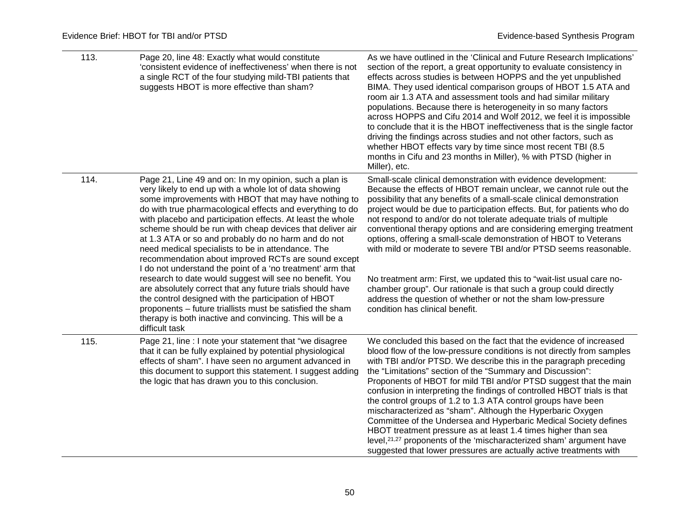| 113. | Page 20, line 48: Exactly what would constitute<br>'consistent evidence of ineffectiveness' when there is not<br>a single RCT of the four studying mild-TBI patients that<br>suggests HBOT is more effective than sham?                                                                                                                                                                                                                                                                                                                                                                                                                                                                                                                                                                                                                                                                                                   | As we have outlined in the 'Clinical and Future Research Implications'<br>section of the report, a great opportunity to evaluate consistency in<br>effects across studies is between HOPPS and the yet unpublished<br>BIMA. They used identical comparison groups of HBOT 1.5 ATA and<br>room air 1.3 ATA and assessment tools and had similar military<br>populations. Because there is heterogeneity in so many factors<br>across HOPPS and Cifu 2014 and Wolf 2012, we feel it is impossible<br>to conclude that it is the HBOT ineffectiveness that is the single factor<br>driving the findings across studies and not other factors, such as<br>whether HBOT effects vary by time since most recent TBI (8.5<br>months in Cifu and 23 months in Miller), % with PTSD (higher in<br>Miller), etc.                                               |
|------|---------------------------------------------------------------------------------------------------------------------------------------------------------------------------------------------------------------------------------------------------------------------------------------------------------------------------------------------------------------------------------------------------------------------------------------------------------------------------------------------------------------------------------------------------------------------------------------------------------------------------------------------------------------------------------------------------------------------------------------------------------------------------------------------------------------------------------------------------------------------------------------------------------------------------|------------------------------------------------------------------------------------------------------------------------------------------------------------------------------------------------------------------------------------------------------------------------------------------------------------------------------------------------------------------------------------------------------------------------------------------------------------------------------------------------------------------------------------------------------------------------------------------------------------------------------------------------------------------------------------------------------------------------------------------------------------------------------------------------------------------------------------------------------|
| 114. | Page 21, Line 49 and on: In my opinion, such a plan is<br>very likely to end up with a whole lot of data showing<br>some improvements with HBOT that may have nothing to<br>do with true pharmacological effects and everything to do<br>with placebo and participation effects. At least the whole<br>scheme should be run with cheap devices that deliver air<br>at 1.3 ATA or so and probably do no harm and do not<br>need medical specialists to be in attendance. The<br>recommendation about improved RCTs are sound except<br>I do not understand the point of a 'no treatment' arm that<br>research to date would suggest will see no benefit. You<br>are absolutely correct that any future trials should have<br>the control designed with the participation of HBOT<br>proponents - future triallists must be satisfied the sham<br>therapy is both inactive and convincing. This will be a<br>difficult task | Small-scale clinical demonstration with evidence development:<br>Because the effects of HBOT remain unclear, we cannot rule out the<br>possibility that any benefits of a small-scale clinical demonstration<br>project would be due to participation effects. But, for patients who do<br>not respond to and/or do not tolerate adequate trials of multiple<br>conventional therapy options and are considering emerging treatment<br>options, offering a small-scale demonstration of HBOT to Veterans<br>with mild or moderate to severe TBI and/or PTSD seems reasonable.<br>No treatment arm: First, we updated this to "wait-list usual care no-<br>chamber group". Our rationale is that such a group could directly<br>address the question of whether or not the sham low-pressure<br>condition has clinical benefit.                       |
| 115. | Page 21, line : I note your statement that "we disagree<br>that it can be fully explained by potential physiological<br>effects of sham". I have seen no argument advanced in<br>this document to support this statement. I suggest adding<br>the logic that has drawn you to this conclusion.                                                                                                                                                                                                                                                                                                                                                                                                                                                                                                                                                                                                                            | We concluded this based on the fact that the evidence of increased<br>blood flow of the low-pressure conditions is not directly from samples<br>with TBI and/or PTSD. We describe this in the paragraph preceding<br>the "Limitations" section of the "Summary and Discussion":<br>Proponents of HBOT for mild TBI and/or PTSD suggest that the main<br>confusion in interpreting the findings of controlled HBOT trials is that<br>the control groups of 1.2 to 1.3 ATA control groups have been<br>mischaracterized as "sham". Although the Hyperbaric Oxygen<br>Committee of the Undersea and Hyperbaric Medical Society defines<br>HBOT treatment pressure as at least 1.4 times higher than sea<br>level, $21,27$ proponents of the 'mischaracterized sham' argument have<br>suggested that lower pressures are actually active treatments with |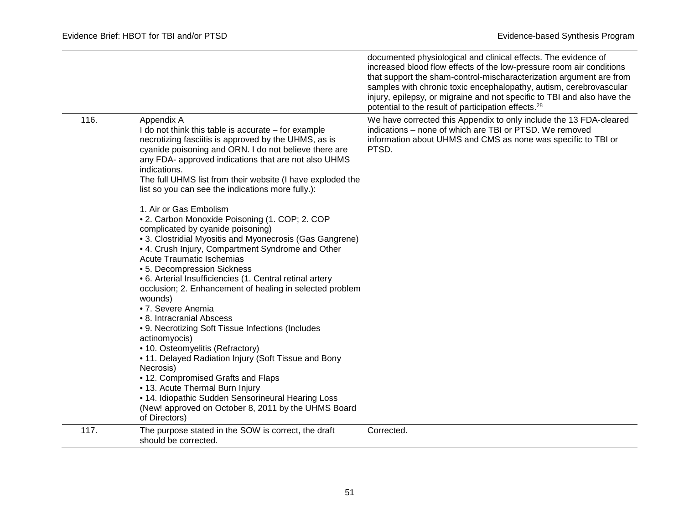|      |                                                                                                                                                                                                                                                                                                                                                                                                                                                                                                                                                                                                                                                                                                                                                                                                                                                                                                                                                | documented physiological and clinical effects. The evidence of<br>increased blood flow effects of the low-pressure room air conditions<br>that support the sham-control-mischaracterization argument are from<br>samples with chronic toxic encephalopathy, autism, cerebrovascular<br>injury, epilepsy, or migraine and not specific to TBI and also have the<br>potential to the result of participation effects. <sup>28</sup> |
|------|------------------------------------------------------------------------------------------------------------------------------------------------------------------------------------------------------------------------------------------------------------------------------------------------------------------------------------------------------------------------------------------------------------------------------------------------------------------------------------------------------------------------------------------------------------------------------------------------------------------------------------------------------------------------------------------------------------------------------------------------------------------------------------------------------------------------------------------------------------------------------------------------------------------------------------------------|-----------------------------------------------------------------------------------------------------------------------------------------------------------------------------------------------------------------------------------------------------------------------------------------------------------------------------------------------------------------------------------------------------------------------------------|
| 116. | Appendix A<br>I do not think this table is accurate - for example<br>necrotizing fasciitis is approved by the UHMS, as is<br>cyanide poisoning and ORN. I do not believe there are<br>any FDA- approved indications that are not also UHMS<br>indications.<br>The full UHMS list from their website (I have exploded the<br>list so you can see the indications more fully.):<br>1. Air or Gas Embolism<br>• 2. Carbon Monoxide Poisoning (1. COP; 2. COP<br>complicated by cyanide poisoning)<br>• 3. Clostridial Myositis and Myonecrosis (Gas Gangrene)<br>• 4. Crush Injury, Compartment Syndrome and Other<br><b>Acute Traumatic Ischemias</b><br>• 5. Decompression Sickness<br>• 6. Arterial Insufficiencies (1. Central retinal artery<br>occlusion; 2. Enhancement of healing in selected problem<br>wounds)<br>• 7. Severe Anemia<br>• 8. Intracranial Abscess<br>• 9. Necrotizing Soft Tissue Infections (Includes<br>actinomyocis) | We have corrected this Appendix to only include the 13 FDA-cleared<br>indications - none of which are TBI or PTSD. We removed<br>information about UHMS and CMS as none was specific to TBI or<br>PTSD.                                                                                                                                                                                                                           |
|      | • 10. Osteomyelitis (Refractory)<br>• 11. Delayed Radiation Injury (Soft Tissue and Bony<br>Necrosis)<br>• 12. Compromised Grafts and Flaps                                                                                                                                                                                                                                                                                                                                                                                                                                                                                                                                                                                                                                                                                                                                                                                                    |                                                                                                                                                                                                                                                                                                                                                                                                                                   |
|      | • 13. Acute Thermal Burn Injury<br>• 14. Idiopathic Sudden Sensorineural Hearing Loss<br>(New! approved on October 8, 2011 by the UHMS Board<br>of Directors)                                                                                                                                                                                                                                                                                                                                                                                                                                                                                                                                                                                                                                                                                                                                                                                  |                                                                                                                                                                                                                                                                                                                                                                                                                                   |
| 117. | The purpose stated in the SOW is correct, the draft<br>should be corrected.                                                                                                                                                                                                                                                                                                                                                                                                                                                                                                                                                                                                                                                                                                                                                                                                                                                                    | Corrected.                                                                                                                                                                                                                                                                                                                                                                                                                        |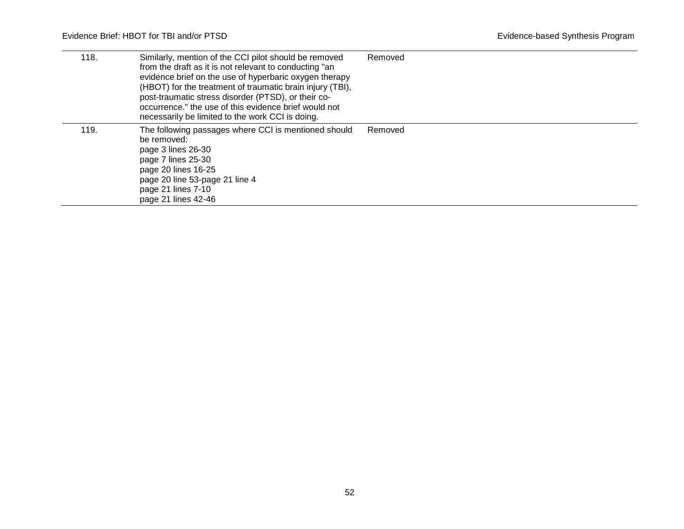| 118. | Similarly, mention of the CCI pilot should be removed<br>from the draft as it is not relevant to conducting "an<br>evidence brief on the use of hyperbaric oxygen therapy<br>(HBOT) for the treatment of traumatic brain injury (TBI),<br>post-traumatic stress disorder (PTSD), or their co-<br>occurrence." the use of this evidence brief would not<br>necessarily be limited to the work CCI is doing. | Removed |
|------|------------------------------------------------------------------------------------------------------------------------------------------------------------------------------------------------------------------------------------------------------------------------------------------------------------------------------------------------------------------------------------------------------------|---------|
| 119. | The following passages where CCI is mentioned should<br>be removed:<br>page 3 lines 26-30<br>page 7 lines 25-30<br>page 20 lines 16-25<br>page 20 line 53-page 21 line 4<br>page 21 lines 7-10<br>page 21 lines 42-46                                                                                                                                                                                      | Removed |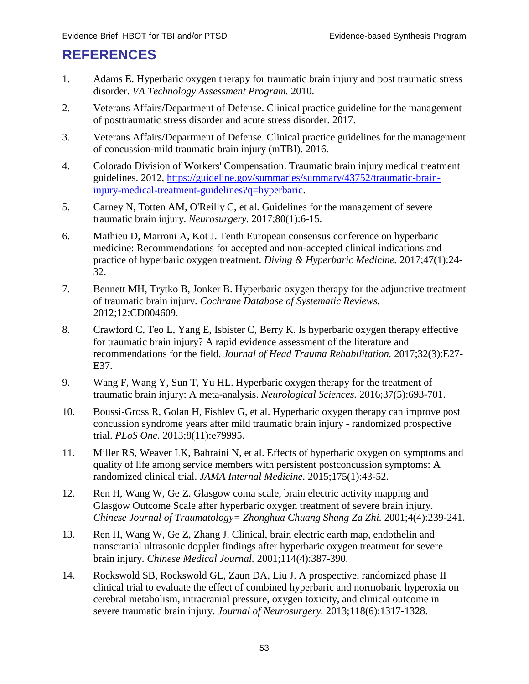### <span id="page-56-1"></span><span id="page-56-0"></span>**REFERENCES**

- 1. Adams E. Hyperbaric oxygen therapy for traumatic brain injury and post traumatic stress disorder. *VA Technology Assessment Program.* 2010.
- 2. Veterans Affairs/Department of Defense. Clinical practice guideline for the management of posttraumatic stress disorder and acute stress disorder. 2017.
- 3. Veterans Affairs/Department of Defense. Clinical practice guidelines for the management of concussion-mild traumatic brain injury (mTBI). 2016.
- 4. Colorado Division of Workers' Compensation. Traumatic brain injury medical treatment guidelines. 2012, [https://guideline.gov/summaries/summary/43752/traumatic-brain](https://guideline.gov/summaries/summary/43752/traumatic-brain-injury-medical-treatment-guidelines?q=hyperbaric)[injury-medical-treatment-guidelines?q=hyperbaric.](https://guideline.gov/summaries/summary/43752/traumatic-brain-injury-medical-treatment-guidelines?q=hyperbaric)
- 5. Carney N, Totten AM, O'Reilly C, et al. Guidelines for the management of severe traumatic brain injury. *Neurosurgery.* 2017;80(1):6-15.
- 6. Mathieu D, Marroni A, Kot J. Tenth European consensus conference on hyperbaric medicine: Recommendations for accepted and non-accepted clinical indications and practice of hyperbaric oxygen treatment. *Diving & Hyperbaric Medicine.* 2017;47(1):24- 32.
- 7. Bennett MH, Trytko B, Jonker B. Hyperbaric oxygen therapy for the adjunctive treatment of traumatic brain injury. *Cochrane Database of Systematic Reviews.*  2012;12:CD004609.
- <span id="page-56-2"></span>8. Crawford C, Teo L, Yang E, Isbister C, Berry K. Is hyperbaric oxygen therapy effective for traumatic brain injury? A rapid evidence assessment of the literature and recommendations for the field. *Journal of Head Trauma Rehabilitation.* 2017;32(3):E27- E37.
- <span id="page-56-3"></span>9. Wang F, Wang Y, Sun T, Yu HL. Hyperbaric oxygen therapy for the treatment of traumatic brain injury: A meta-analysis. *Neurological Sciences.* 2016;37(5):693-701.
- <span id="page-56-4"></span>10. Boussi-Gross R, Golan H, Fishlev G, et al. Hyperbaric oxygen therapy can improve post concussion syndrome years after mild traumatic brain injury - randomized prospective trial. *PLoS One.* 2013;8(11):e79995.
- 11. Miller RS, Weaver LK, Bahraini N, et al. Effects of hyperbaric oxygen on symptoms and quality of life among service members with persistent postconcussion symptoms: A randomized clinical trial. *JAMA Internal Medicine.* 2015;175(1):43-52.
- 12. Ren H, Wang W, Ge Z. Glasgow coma scale, brain electric activity mapping and Glasgow Outcome Scale after hyperbaric oxygen treatment of severe brain injury. *Chinese Journal of Traumatology= Zhonghua Chuang Shang Za Zhi.* 2001;4(4):239-241.
- 13. Ren H, Wang W, Ge Z, Zhang J. Clinical, brain electric earth map, endothelin and transcranial ultrasonic doppler findings after hyperbaric oxygen treatment for severe brain injury. *Chinese Medical Journal.* 2001;114(4):387-390.
- 14. Rockswold SB, Rockswold GL, Zaun DA, Liu J. A prospective, randomized phase II clinical trial to evaluate the effect of combined hyperbaric and normobaric hyperoxia on cerebral metabolism, intracranial pressure, oxygen toxicity, and clinical outcome in severe traumatic brain injury. *Journal of Neurosurgery.* 2013;118(6):1317-1328.